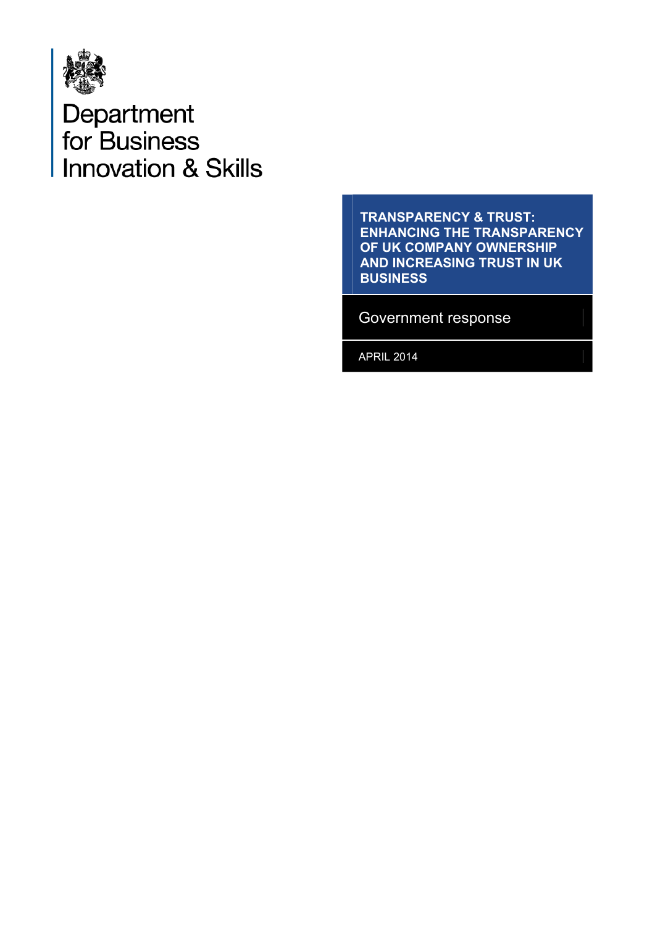

# Department<br>for Business **Innovation & Skills**

**TRANSPARENCY & TRUST: ENHANCING THE TRANSPARENCY OF UK COMPANY OWNERSHIP AND INCREASING TRUST IN UK BUSINESS** 

Government response

APRIL 2014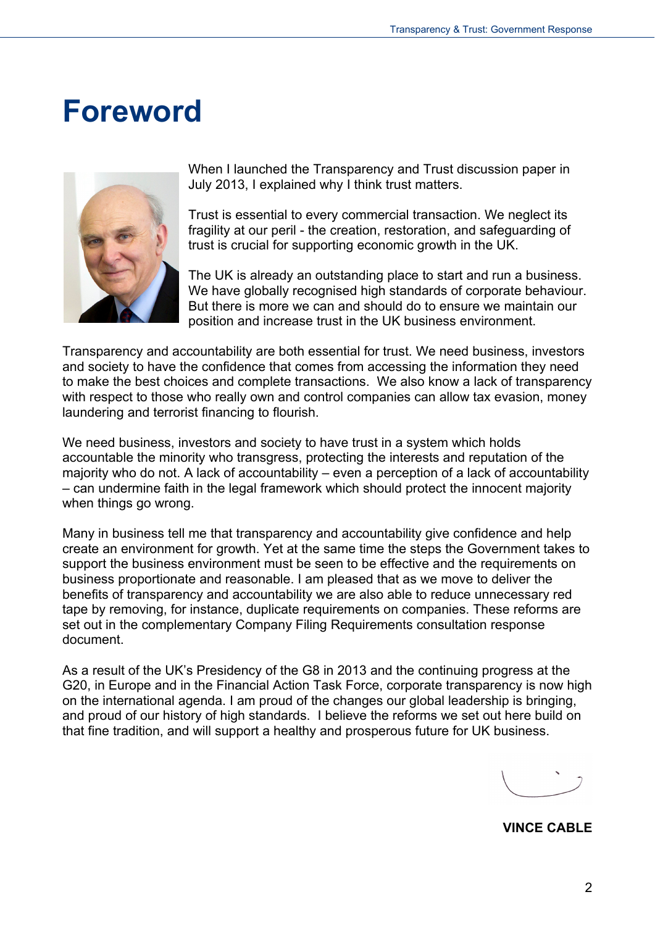### <span id="page-1-0"></span>**Foreword**



When I launched the Transparency and Trust discussion paper in July 2013, I explained why I think trust matters.

Trust is essential to every commercial transaction. We neglect its fragility at our peril - the creation, restoration, and safeguarding of trust is crucial for supporting economic growth in the UK.

The UK is already an outstanding place to start and run a business. We have globally recognised high standards of corporate behaviour. But there is more we can and should do to ensure we maintain our position and increase trust in the UK business environment.

Transparency and accountability are both essential for trust. We need business, investors and society to have the confidence that comes from accessing the information they need to make the best choices and complete transactions. We also know a lack of transparency with respect to those who really own and control companies can allow tax evasion, money laundering and terrorist financing to flourish.

We need business, investors and society to have trust in a system which holds accountable the minority who transgress, protecting the interests and reputation of the majority who do not. A lack of accountability – even a perception of a lack of accountability – can undermine faith in the legal framework which should protect the innocent majority when things go wrong.

Many in business tell me that transparency and accountability give confidence and help create an environment for growth. Yet at the same time the steps the Government takes to support the business environment must be seen to be effective and the requirements on business proportionate and reasonable. I am pleased that as we move to deliver the benefits of transparency and accountability we are also able to reduce unnecessary red tape by removing, for instance, duplicate requirements on companies. These reforms are set out in the complementary Company Filing Requirements consultation response document.

<span id="page-1-1"></span>As a result of the UK's Presidency of the G8 in 2013 and the continuing progress at the G20, in Europe and in the Financial Action Task Force, corporate transparency is now high on the international agenda. I am proud of the changes our global leadership is bringing, and proud of our history of high standards. I believe the reforms we set out here build on that fine tradition, and will support a healthy and prosperous future for UK business.

**VINCE CABLE**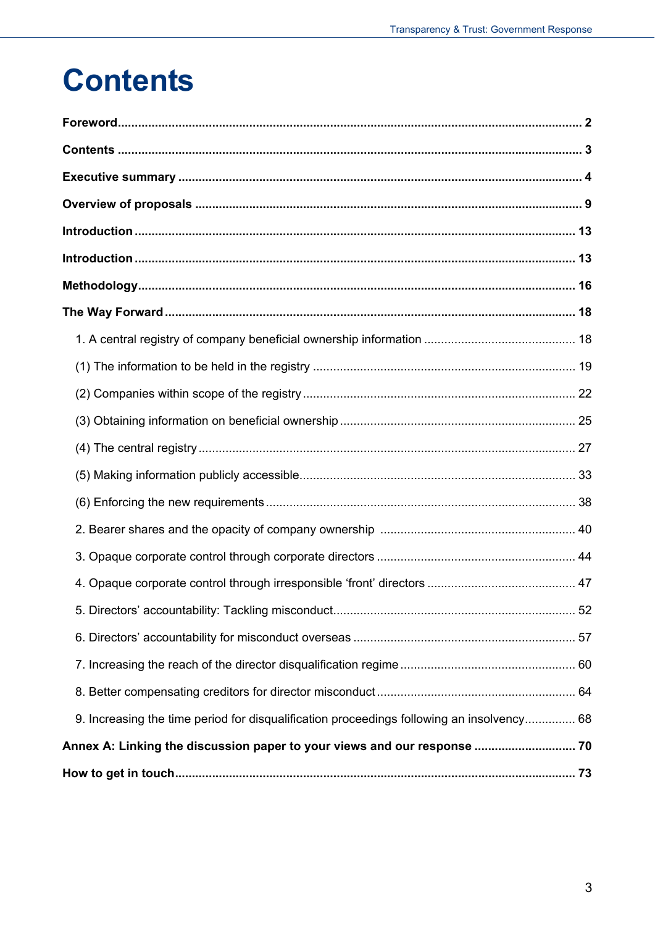## <span id="page-2-0"></span>**Contents**

|                                                                                           | 52 |
|-------------------------------------------------------------------------------------------|----|
|                                                                                           |    |
|                                                                                           |    |
|                                                                                           |    |
| 9. Increasing the time period for disqualification proceedings following an insolvency 68 |    |
| Annex A: Linking the discussion paper to your views and our response  70                  |    |
|                                                                                           |    |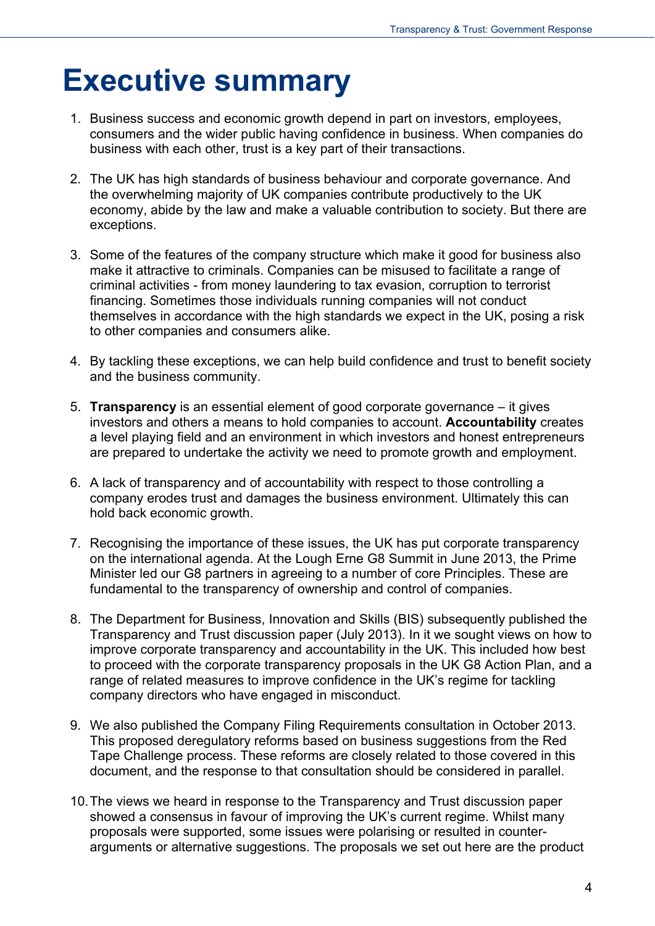## <span id="page-3-0"></span>**Executive summary**

- 1. Business success and economic growth depend in part on investors, employees, consumers and the wider public having confidence in business. When companies do business with each other, trust is a key part of their transactions.
- 2. The UK has high standards of business behaviour and corporate governance. And the overwhelming majority of UK companies contribute productively to the UK economy, abide by the law and make a valuable contribution to society. But there are exceptions.
- 3. Some of the features of the company structure which make it good for business also make it attractive to criminals. Companies can be misused to facilitate a range of criminal activities - from money laundering to tax evasion, corruption to terrorist financing. Sometimes those individuals running companies will not conduct themselves in accordance with the high standards we expect in the UK, posing a risk to other companies and consumers alike.
- 4. By tackling these exceptions, we can help build confidence and trust to benefit society and the business community.
- 5. **Transparency** is an essential element of good corporate governance it gives investors and others a means to hold companies to account. **Accountability** creates a level playing field and an environment in which investors and honest entrepreneurs are prepared to undertake the activity we need to promote growth and employment.
- 6. A lack of transparency and of accountability with respect to those controlling a company erodes trust and damages the business environment. Ultimately this can hold back economic growth.
- 7. Recognising the importance of these issues, the UK has put corporate transparency on the international agenda. At the Lough Erne G8 Summit in June 2013, the Prime Minister led our G8 partners in agreeing to a number of core Principles. These are fundamental to the transparency of ownership and control of companies.
- 8. The Department for Business, Innovation and Skills (BIS) subsequently published the Transparency and Trust discussion paper (July 2013). In it we sought views on how to improve corporate transparency and accountability in the UK. This included how best to proceed with the corporate transparency proposals in the UK G8 Action Plan, and a range of related measures to improve confidence in the UK's regime for tackling company directors who have engaged in misconduct.
- 9. We also published the Company Filing Requirements consultation in October 2013. This proposed deregulatory reforms based on business suggestions from the Red Tape Challenge process. These reforms are closely related to those covered in this document, and the response to that consultation should be considered in parallel.
- 10. The views we heard in response to the Transparency and Trust discussion paper showed a consensus in favour of improving the UK's current regime. Whilst many proposals were supported, some issues were polarising or resulted in counterarguments or alternative suggestions. The proposals we set out here are the product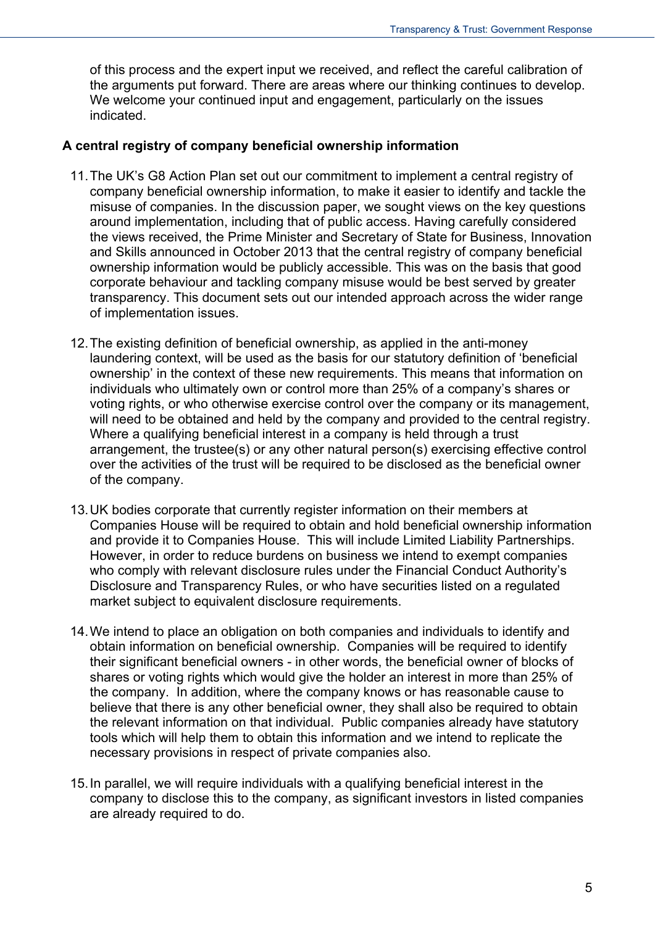of this process and the expert input we received, and reflect the careful calibration of the arguments put forward. There are areas where our thinking continues to develop. We welcome your continued input and engagement, particularly on the issues indicated.

#### **A central registry of company beneficial ownership information**

- 11. The UK's G8 Action Plan set out our commitment to implement a central registry of company beneficial ownership information, to make it easier to identify and tackle the misuse of companies. In the discussion paper, we sought views on the key questions around implementation, including that of public access. Having carefully considered the views received, the Prime Minister and Secretary of State for Business, Innovation and Skills announced in October 2013 that the central registry of company beneficial ownership information would be publicly accessible. This was on the basis that good corporate behaviour and tackling company misuse would be best served by greater transparency. This document sets out our intended approach across the wider range of implementation issues.
- 12. The existing definition of beneficial ownership, as applied in the anti-money laundering context, will be used as the basis for our statutory definition of 'beneficial ownership' in the context of these new requirements. This means that information on individuals who ultimately own or control more than 25% of a company's shares or voting rights, or who otherwise exercise control over the company or its management, will need to be obtained and held by the company and provided to the central registry. Where a qualifying beneficial interest in a company is held through a trust arrangement, the trustee(s) or any other natural person(s) exercising effective control over the activities of the trust will be required to be disclosed as the beneficial owner of the company.
- 13. UK bodies corporate that currently register information on their members at Companies House will be required to obtain and hold beneficial ownership information and provide it to Companies House. This will include Limited Liability Partnerships. However, in order to reduce burdens on business we intend to exempt companies who comply with relevant disclosure rules under the Financial Conduct Authority's Disclosure and Transparency Rules, or who have securities listed on a regulated market subject to equivalent disclosure requirements.
- 14. We intend to place an obligation on both companies and individuals to identify and obtain information on beneficial ownership. Companies will be required to identify their significant beneficial owners - in other words, the beneficial owner of blocks of shares or voting rights which would give the holder an interest in more than 25% of the company. In addition, where the company knows or has reasonable cause to believe that there is any other beneficial owner, they shall also be required to obtain the relevant information on that individual. Public companies already have statutory tools which will help them to obtain this information and we intend to replicate the necessary provisions in respect of private companies also.
- 15. In parallel, we will require individuals with a qualifying beneficial interest in the company to disclose this to the company, as significant investors in listed companies are already required to do.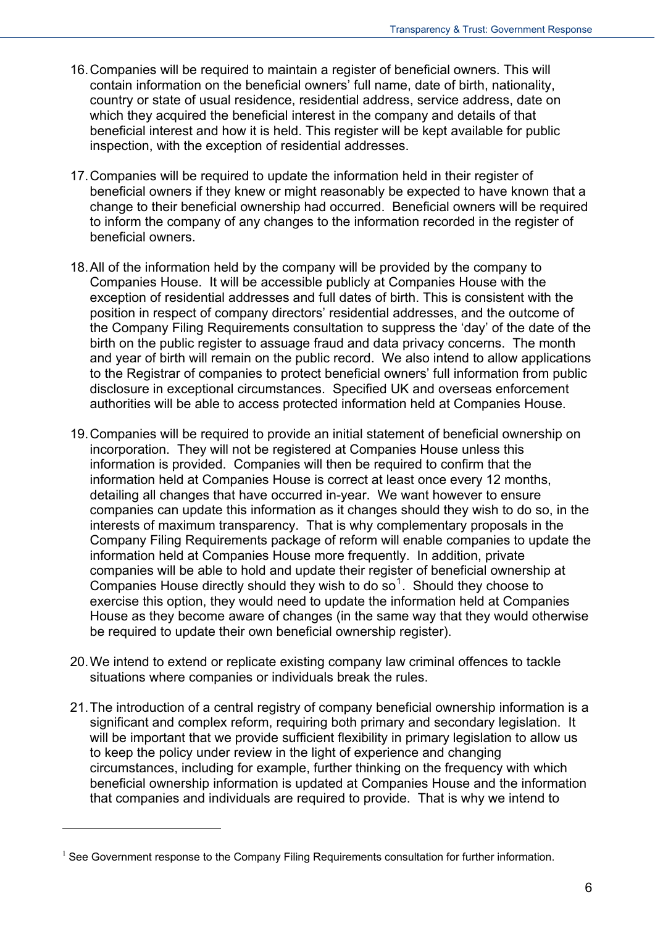- 16. Companies will be required to maintain a register of beneficial owners. This will contain information on the beneficial owners' full name, date of birth, nationality, country or state of usual residence, residential address, service address, date on which they acquired the beneficial interest in the company and details of that beneficial interest and how it is held. This register will be kept available for public inspection, with the exception of residential addresses.
- 17. Companies will be required to update the information held in their register of beneficial owners if they knew or might reasonably be expected to have known that a change to their beneficial ownership had occurred. Beneficial owners will be required to inform the company of any changes to the information recorded in the register of beneficial owners.
- 18. All of the information held by the company will be provided by the company to Companies House. It will be accessible publicly at Companies House with the exception of residential addresses and full dates of birth. This is consistent with the position in respect of company directors' residential addresses, and the outcome of the Company Filing Requirements consultation to suppress the 'day' of the date of the birth on the public register to assuage fraud and data privacy concerns. The month and year of birth will remain on the public record. We also intend to allow applications to the Registrar of companies to protect beneficial owners' full information from public disclosure in exceptional circumstances. Specified UK and overseas enforcement authorities will be able to access protected information held at Companies House.
- 19. Companies will be required to provide an initial statement of beneficial ownership on incorporation. They will not be registered at Companies House unless this information is provided. Companies will then be required to confirm that the information held at Companies House is correct at least once every 12 months, detailing all changes that have occurred in-year. We want however to ensure companies can update this information as it changes should they wish to do so, in the interests of maximum transparency. That is why complementary proposals in the Company Filing Requirements package of reform will enable companies to update the information held at Companies House more frequently. In addition, private companies will be able to hold and update their register of beneficial ownership at Companies House directly should they wish to do  $so<sup>1</sup>$  $so<sup>1</sup>$  $so<sup>1</sup>$ . Should they choose to exercise this option, they would need to update the information held at Companies House as they become aware of changes (in the same way that they would otherwise be required to update their own beneficial ownership register).
- 20. We intend to extend or replicate existing company law criminal offences to tackle situations where companies or individuals break the rules.
- 21. The introduction of a central registry of company beneficial ownership information is a significant and complex reform, requiring both primary and secondary legislation. It will be important that we provide sufficient flexibility in primary legislation to allow us to keep the policy under review in the light of experience and changing circumstances, including for example, further thinking on the frequency with which beneficial ownership information is updated at Companies House and the information that companies and individuals are required to provide. That is why we intend to

<span id="page-5-0"></span><sup>&</sup>lt;sup>1</sup> See Government response to the Company Filing Requirements consultation for further information.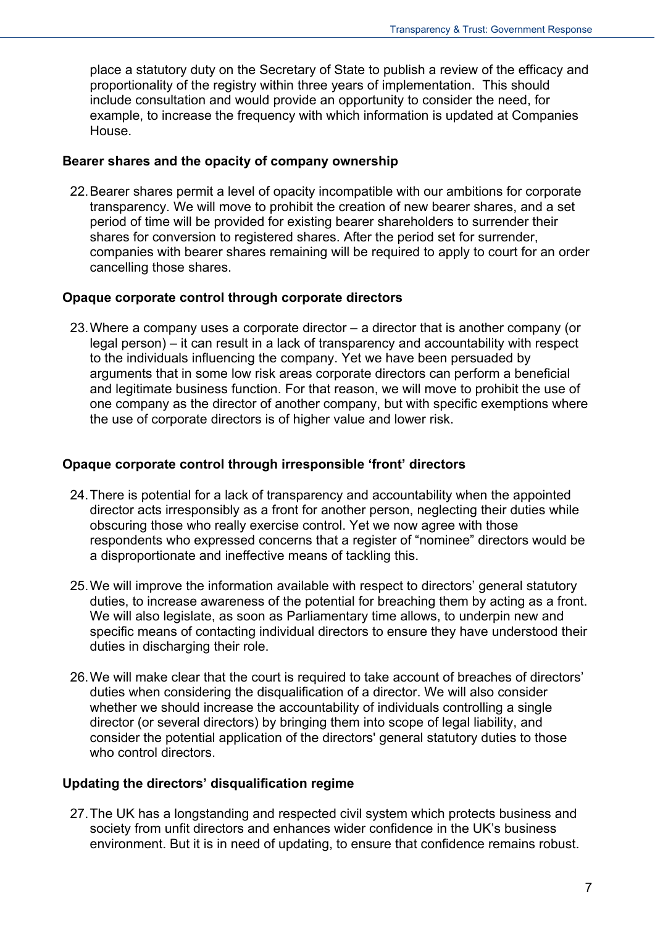place a statutory duty on the Secretary of State to publish a review of the efficacy and proportionality of the registry within three years of implementation. This should include consultation and would provide an opportunity to consider the need, for example, to increase the frequency with which information is updated at Companies House.

#### **Bearer shares and the opacity of company ownership**

22. Bearer shares permit a level of opacity incompatible with our ambitions for corporate transparency. We will move to prohibit the creation of new bearer shares, and a set period of time will be provided for existing bearer shareholders to surrender their shares for conversion to registered shares. After the period set for surrender, companies with bearer shares remaining will be required to apply to court for an order cancelling those shares.

#### **Opaque corporate control through corporate directors**

23. Where a company uses a corporate director – a director that is another company (or legal person) – it can result in a lack of transparency and accountability with respect to the individuals influencing the company. Yet we have been persuaded by arguments that in some low risk areas corporate directors can perform a beneficial and legitimate business function. For that reason, we will move to prohibit the use of one company as the director of another company, but with specific exemptions where the use of corporate directors is of higher value and lower risk.

#### **Opaque corporate control through irresponsible 'front' directors**

- 24. There is potential for a lack of transparency and accountability when the appointed director acts irresponsibly as a front for another person, neglecting their duties while obscuring those who really exercise control. Yet we now agree with those respondents who expressed concerns that a register of "nominee" directors would be a disproportionate and ineffective means of tackling this.
- 25. We will improve the information available with respect to directors' general statutory duties, to increase awareness of the potential for breaching them by acting as a front. We will also legislate, as soon as Parliamentary time allows, to underpin new and specific means of contacting individual directors to ensure they have understood their duties in discharging their role.
- 26. We will make clear that the court is required to take account of breaches of directors' duties when considering the disqualification of a director. We will also consider whether we should increase the accountability of individuals controlling a single director (or several directors) by bringing them into scope of legal liability, and consider the potential application of the directors' general statutory duties to those who control directors.

#### **Updating the directors' disqualification regime**

27. The UK has a longstanding and respected civil system which protects business and society from unfit directors and enhances wider confidence in the UK's business environment. But it is in need of updating, to ensure that confidence remains robust.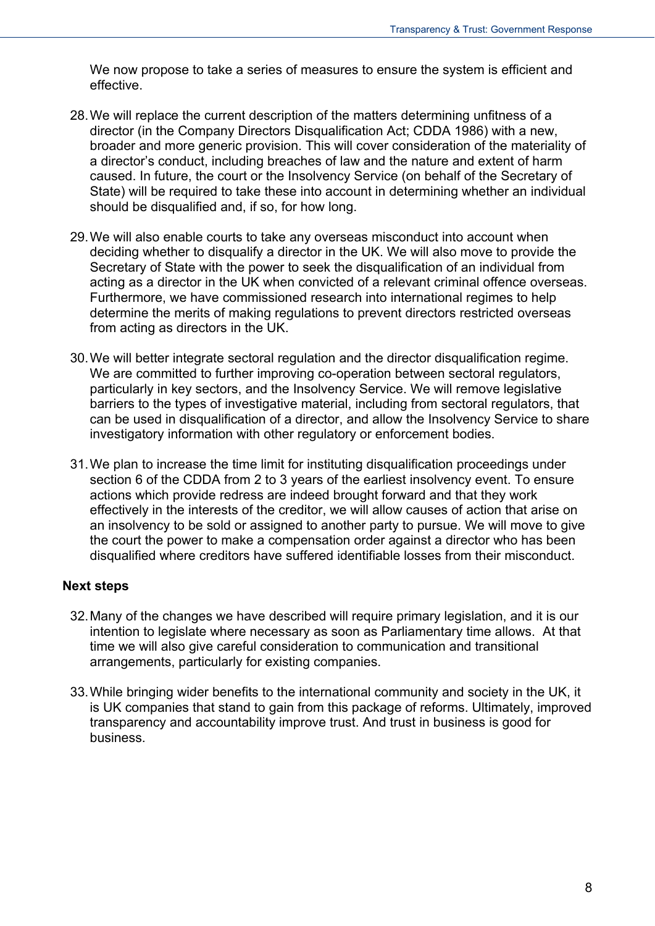We now propose to take a series of measures to ensure the system is efficient and effective.

- 28. We will replace the current description of the matters determining unfitness of a director (in the Company Directors Disqualification Act; CDDA 1986) with a new, broader and more generic provision. This will cover consideration of the materiality of a director's conduct, including breaches of law and the nature and extent of harm caused. In future, the court or the Insolvency Service (on behalf of the Secretary of State) will be required to take these into account in determining whether an individual should be disqualified and, if so, for how long.
- 29. We will also enable courts to take any overseas misconduct into account when deciding whether to disqualify a director in the UK. We will also move to provide the Secretary of State with the power to seek the disqualification of an individual from acting as a director in the UK when convicted of a relevant criminal offence overseas. Furthermore, we have commissioned research into international regimes to help determine the merits of making regulations to prevent directors restricted overseas from acting as directors in the UK.
- 30. We will better integrate sectoral regulation and the director disqualification regime. We are committed to further improving co-operation between sectoral regulators, particularly in key sectors, and the Insolvency Service. We will remove legislative barriers to the types of investigative material, including from sectoral regulators, that can be used in disqualification of a director, and allow the Insolvency Service to share investigatory information with other regulatory or enforcement bodies.
- 31. We plan to increase the time limit for instituting disqualification proceedings under section 6 of the CDDA from 2 to 3 years of the earliest insolvency event. To ensure actions which provide redress are indeed brought forward and that they work effectively in the interests of the creditor, we will allow causes of action that arise on an insolvency to be sold or assigned to another party to pursue. We will move to give the court the power to make a compensation order against a director who has been disqualified where creditors have suffered identifiable losses from their misconduct.

#### **Next steps**

- 32. Many of the changes we have described will require primary legislation, and it is our intention to legislate where necessary as soon as Parliamentary time allows. At that time we will also give careful consideration to communication and transitional arrangements, particularly for existing companies.
- 33. While bringing wider benefits to the international community and society in the UK, it is UK companies that stand to gain from this package of reforms. Ultimately, improved transparency and accountability improve trust. And trust in business is good for business.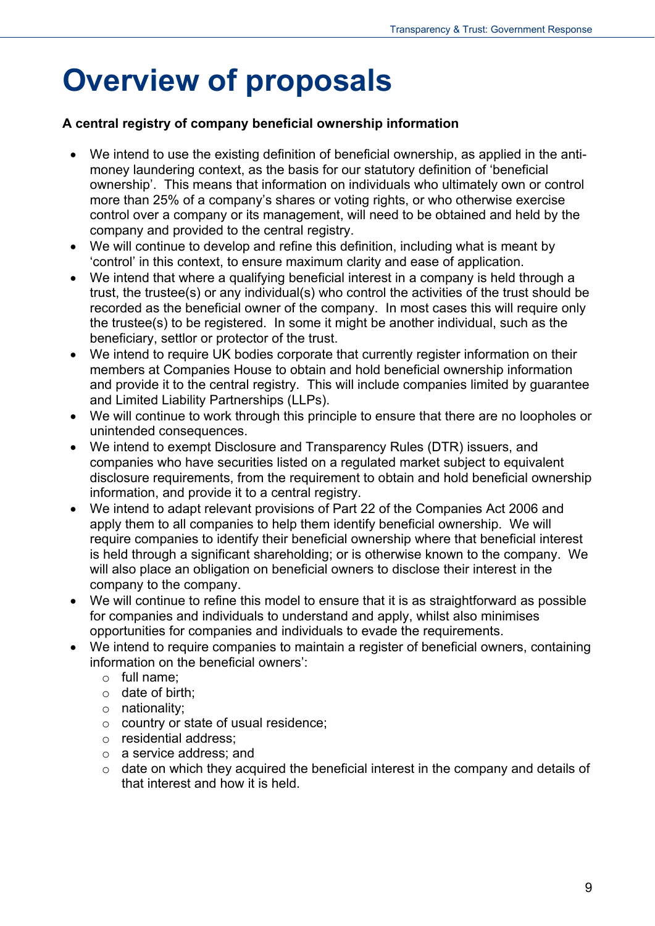## <span id="page-8-0"></span>**Overview of proposals**

#### **A central registry of company beneficial ownership information**

- We intend to use the existing definition of beneficial ownership, as applied in the antimoney laundering context, as the basis for our statutory definition of 'beneficial ownership'. This means that information on individuals who ultimately own or control more than 25% of a company's shares or voting rights, or who otherwise exercise control over a company or its management, will need to be obtained and held by the company and provided to the central registry.
- We will continue to develop and refine this definition, including what is meant by 'control' in this context, to ensure maximum clarity and ease of application.
- We intend that where a qualifying beneficial interest in a company is held through a trust, the trustee(s) or any individual(s) who control the activities of the trust should be recorded as the beneficial owner of the company. In most cases this will require only the trustee(s) to be registered. In some it might be another individual, such as the beneficiary, settlor or protector of the trust.
- We intend to require UK bodies corporate that currently register information on their members at Companies House to obtain and hold beneficial ownership information and provide it to the central registry. This will include companies limited by guarantee and Limited Liability Partnerships (LLPs).
- We will continue to work through this principle to ensure that there are no loopholes or unintended consequences.
- We intend to exempt Disclosure and Transparency Rules (DTR) issuers, and companies who have securities listed on a regulated market subject to equivalent disclosure requirements, from the requirement to obtain and hold beneficial ownership information, and provide it to a central registry.
- We intend to adapt relevant provisions of Part 22 of the Companies Act 2006 and apply them to all companies to help them identify beneficial ownership. We will require companies to identify their beneficial ownership where that beneficial interest is held through a significant shareholding; or is otherwise known to the company. We will also place an obligation on beneficial owners to disclose their interest in the company to the company.
- We will continue to refine this model to ensure that it is as straightforward as possible for companies and individuals to understand and apply, whilst also minimises opportunities for companies and individuals to evade the requirements.
- We intend to require companies to maintain a register of beneficial owners, containing information on the beneficial owners':
	- o full name;
	- $\circ$  date of birth:
	- o nationality;
	- o country or state of usual residence;
	- o residential address;
	- o a service address; and
	- $\circ$  date on which they acquired the beneficial interest in the company and details of that interest and how it is held.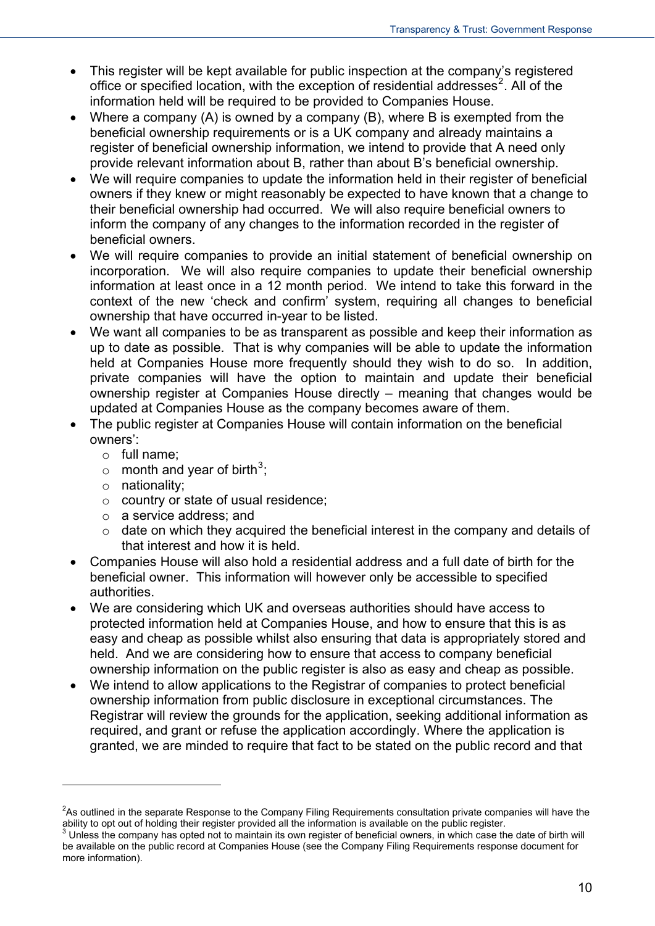- This register will be kept available for public inspection at the company's registered office or specified location, with the exception of residential addresses<sup>[2](#page-5-0)</sup>. All of the information held will be required to be provided to Companies House.
- Where a company (A) is owned by a company (B), where B is exempted from the beneficial ownership requirements or is a UK company and already maintains a register of beneficial ownership information, we intend to provide that A need only provide relevant information about B, rather than about B's beneficial ownership.
- We will require companies to update the information held in their register of beneficial owners if they knew or might reasonably be expected to have known that a change to their beneficial ownership had occurred. We will also require beneficial owners to inform the company of any changes to the information recorded in the register of beneficial owners.
- We will require companies to provide an initial statement of beneficial ownership on incorporation. We will also require companies to update their beneficial ownership information at least once in a 12 month period. We intend to take this forward in the context of the new 'check and confirm' system, requiring all changes to beneficial ownership that have occurred in-year to be listed.
- We want all companies to be as transparent as possible and keep their information as up to date as possible. That is why companies will be able to update the information held at Companies House more frequently should they wish to do so. In addition, private companies will have the option to maintain and update their beneficial ownership register at Companies House directly – meaning that changes would be updated at Companies House as the company becomes aware of them.
- The public register at Companies House will contain information on the beneficial owners':
	- o full name;
	- $\circ$  month and year of birth<sup>[3](#page-9-0)</sup>;
	- o nationality;

- o country or state of usual residence;
- o a service address; and
- $\circ$  date on which they acquired the beneficial interest in the company and details of that interest and how it is held.
- Companies House will also hold a residential address and a full date of birth for the beneficial owner. This information will however only be accessible to specified authorities.
- We are considering which UK and overseas authorities should have access to protected information held at Companies House, and how to ensure that this is as easy and cheap as possible whilst also ensuring that data is appropriately stored and held. And we are considering how to ensure that access to company beneficial ownership information on the public register is also as easy and cheap as possible.
- We intend to allow applications to the Registrar of companies to protect beneficial ownership information from public disclosure in exceptional circumstances. The Registrar will review the grounds for the application, seeking additional information as required, and grant or refuse the application accordingly. Where the application is granted, we are minded to require that fact to be stated on the public record and that

<span id="page-9-1"></span><sup>&</sup>lt;sup>2</sup>As outlined in the separate Response to the Company Filing Requirements consultation private companies will have the ability to opt out of holding their register provided all the information is available on the public register.

<span id="page-9-0"></span> $3$  Unless the company has opted not to maintain its own register of beneficial owners, in which case the date of birth will be available on the public record at Companies House (see the Company Filing Requirements response document for more information).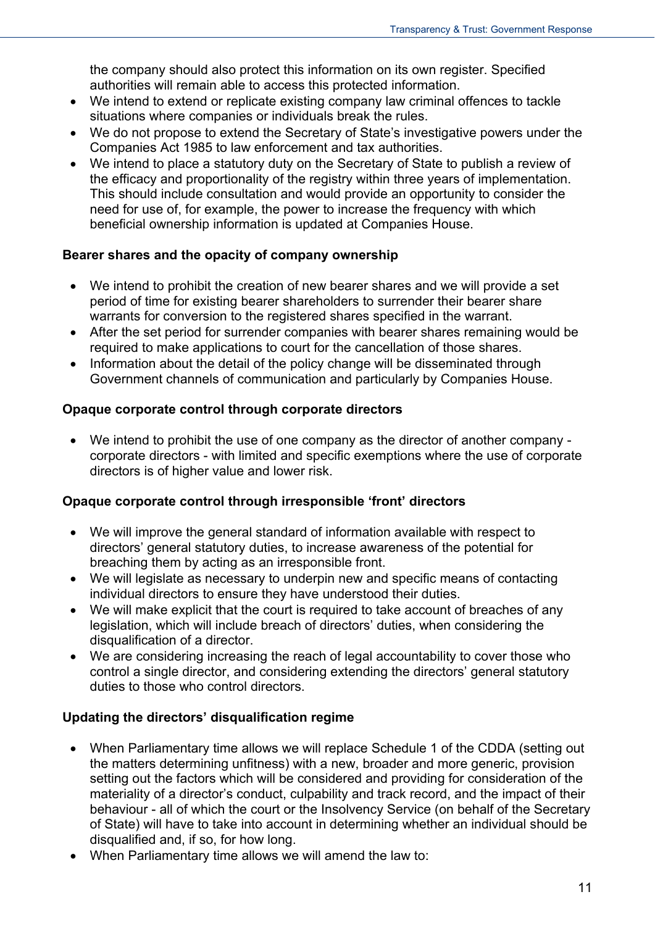the company should also protect this information on its own register. Specified authorities will remain able to access this protected information.

- We intend to extend or replicate existing company law criminal offences to tackle situations where companies or individuals break the rules.
- We do not propose to extend the Secretary of State's investigative powers under the Companies Act 1985 to law enforcement and tax authorities.
- We intend to place a statutory duty on the Secretary of State to publish a review of the efficacy and proportionality of the registry within three years of implementation. This should include consultation and would provide an opportunity to consider the need for use of, for example, the power to increase the frequency with which beneficial ownership information is updated at Companies House.

#### **Bearer shares and the opacity of company ownership**

- We intend to prohibit the creation of new bearer shares and we will provide a set period of time for existing bearer shareholders to surrender their bearer share warrants for conversion to the registered shares specified in the warrant.
- After the set period for surrender companies with bearer shares remaining would be required to make applications to court for the cancellation of those shares.
- Information about the detail of the policy change will be disseminated through Government channels of communication and particularly by Companies House.

#### **Opaque corporate control through corporate directors**

 We intend to prohibit the use of one company as the director of another company corporate directors - with limited and specific exemptions where the use of corporate directors is of higher value and lower risk.

#### **Opaque corporate control through irresponsible 'front' directors**

- We will improve the general standard of information available with respect to directors' general statutory duties, to increase awareness of the potential for breaching them by acting as an irresponsible front.
- We will legislate as necessary to underpin new and specific means of contacting individual directors to ensure they have understood their duties.
- We will make explicit that the court is required to take account of breaches of any legislation, which will include breach of directors' duties, when considering the disqualification of a director.
- We are considering increasing the reach of legal accountability to cover those who control a single director, and considering extending the directors' general statutory duties to those who control directors.

#### **Updating the directors' disqualification regime**

- When Parliamentary time allows we will replace Schedule 1 of the CDDA (setting out the matters determining unfitness) with a new, broader and more generic, provision setting out the factors which will be considered and providing for consideration of the materiality of a director's conduct, culpability and track record, and the impact of their behaviour - all of which the court or the Insolvency Service (on behalf of the Secretary of State) will have to take into account in determining whether an individual should be disqualified and, if so, for how long.
- When Parliamentary time allows we will amend the law to: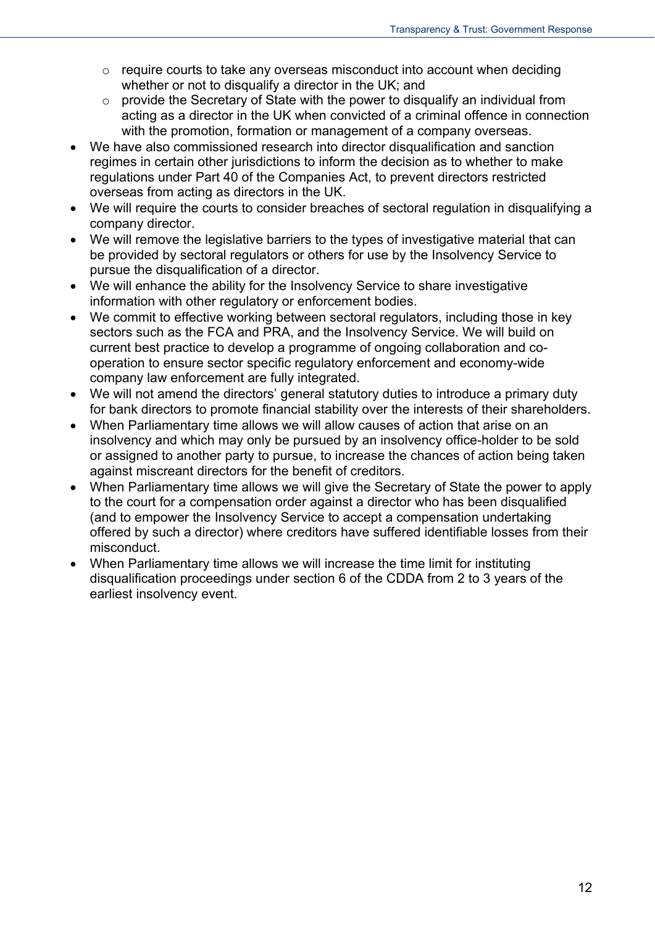- $\circ$  require courts to take any overseas misconduct into account when deciding whether or not to disqualify a director in the UK; and
- $\circ$  provide the Secretary of State with the power to disqualify an individual from acting as a director in the UK when convicted of a criminal offence in connection with the promotion, formation or management of a company overseas.
- We have also commissioned research into director disqualification and sanction regimes in certain other jurisdictions to inform the decision as to whether to make regulations under Part 40 of the Companies Act, to prevent directors restricted overseas from acting as directors in the UK.
- We will require the courts to consider breaches of sectoral regulation in disqualifying a company director.
- We will remove the legislative barriers to the types of investigative material that can be provided by sectoral regulators or others for use by the Insolvency Service to pursue the disqualification of a director.
- We will enhance the ability for the Insolvency Service to share investigative information with other regulatory or enforcement bodies.
- We commit to effective working between sectoral regulators, including those in key sectors such as the FCA and PRA, and the Insolvency Service. We will build on current best practice to develop a programme of ongoing collaboration and cooperation to ensure sector specific regulatory enforcement and economy-wide company law enforcement are fully integrated.
- We will not amend the directors' general statutory duties to introduce a primary duty for bank directors to promote financial stability over the interests of their shareholders.
- When Parliamentary time allows we will allow causes of action that arise on an insolvency and which may only be pursued by an insolvency office-holder to be sold or assigned to another party to pursue, to increase the chances of action being taken against miscreant directors for the benefit of creditors.
- When Parliamentary time allows we will give the Secretary of State the power to apply to the court for a compensation order against a director who has been disqualified (and to empower the Insolvency Service to accept a compensation undertaking offered by such a director) where creditors have suffered identifiable losses from their misconduct.
- When Parliamentary time allows we will increase the time limit for instituting disqualification proceedings under section 6 of the CDDA from 2 to 3 years of the earliest insolvency event.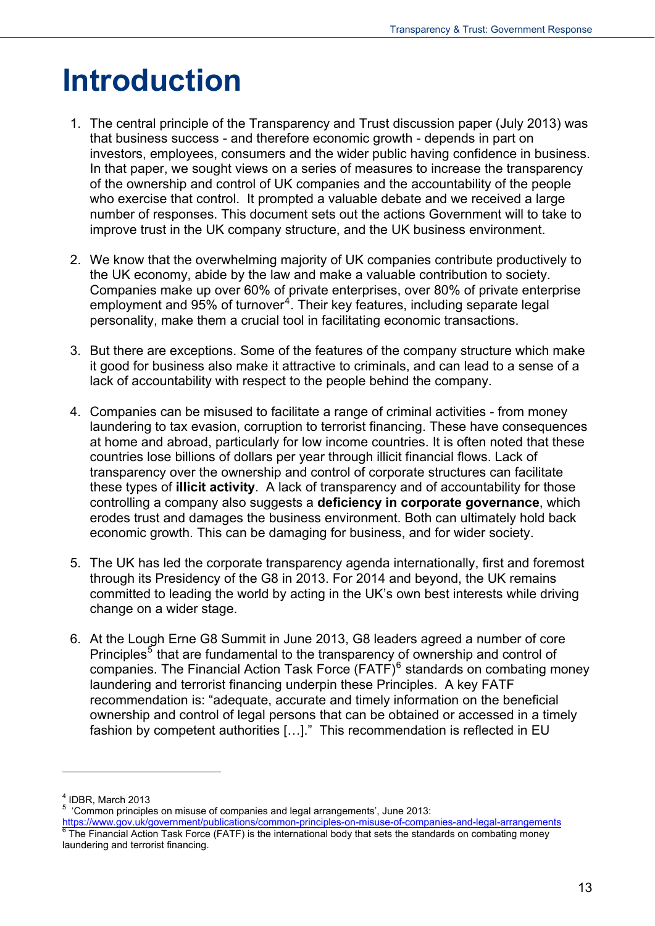## <span id="page-12-0"></span>**Introduction**

- 1. The central principle of the Transparency and Trust discussion paper (July 2013) was that business success - and therefore economic growth - depends in part on investors, employees, consumers and the wider public having confidence in business. In that paper, we sought views on a series of measures to increase the transparency of the ownership and control of UK companies and the accountability of the people who exercise that control. It prompted a valuable debate and we received a large number of responses. This document sets out the actions Government will to take to improve trust in the UK company structure, and the UK business environment.
- 2. We know that the overwhelming majority of UK companies contribute productively to the UK economy, abide by the law and make a valuable contribution to society. Companies make up over 60% of private enterprises, over 80% of private enterprise employment and 95% of turnover<sup>[4](#page-9-1)</sup>. Their key features, including separate legal personality, make them a crucial tool in facilitating economic transactions.
- 3. But there are exceptions. Some of the features of the company structure which make it good for business also make it attractive to criminals, and can lead to a sense of a lack of accountability with respect to the people behind the company.
- 4. Companies can be misused to facilitate a range of criminal activities from money laundering to tax evasion, corruption to terrorist financing. These have consequences at home and abroad, particularly for low income countries. It is often noted that these countries lose billions of dollars per year through illicit financial flows. Lack of transparency over the ownership and control of corporate structures can facilitate these types of **illicit activity**. A lack of transparency and of accountability for those controlling a company also suggests a **deficiency in corporate governance**, which erodes trust and damages the business environment. Both can ultimately hold back economic growth. This can be damaging for business, and for wider society.
- 5. The UK has led the corporate transparency agenda internationally, first and foremost through its Presidency of the G8 in 2013. For 2014 and beyond, the UK remains committed to leading the world by acting in the UK's own best interests while driving change on a wider stage.
- 6. At the Lough Erne G8 Summit in June 2013, G8 leaders agreed a number of core Principles<sup>[5](#page-12-1)</sup> that are fundamental to the transparency of ownership and control of companies. The Financial Action Task Force  $(FATF)^6$  $(FATF)^6$  standards on combating money laundering and terrorist financing underpin these Principles. A key FATF recommendation is: "adequate, accurate and timely information on the beneficial ownership and control of legal persons that can be obtained or accessed in a timely fashion by competent authorities […]." This recommendation is reflected in EU

 $^4$  IDBR, March 2013

 <sup>&#</sup>x27;Common principles on misuse of companies and legal arrangements', June 2013:

<span id="page-12-2"></span><span id="page-12-1"></span><https://www.gov.uk/government/publications/common-principles-on-misuse-of-companies-and-legal-arrangements> [6](https://www.gov.uk/government/publications/common-principles-on-misuse-of-companies-and-legal-arrangements) Theories The Financial Action Task Force (FATF) is the international body that sets the standards on combating money laundering and terrorist financing.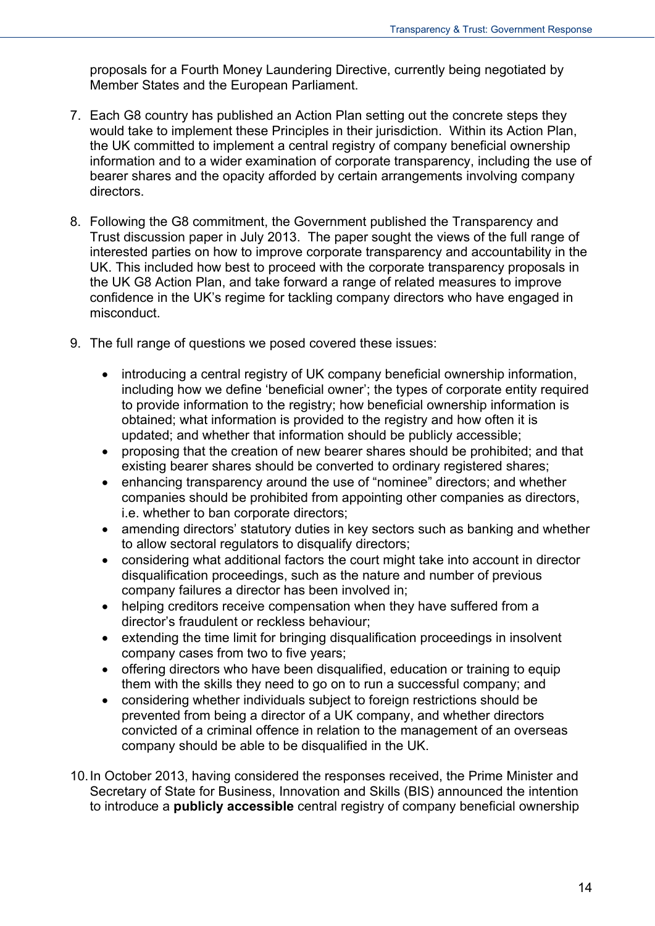proposals for a Fourth Money Laundering Directive, currently being negotiated by Member States and the European Parliament.

- 7. Each G8 country has published an Action Plan setting out the concrete steps they would take to implement these Principles in their jurisdiction. Within its Action Plan, the UK committed to implement a central registry of company beneficial ownership information and to a wider examination of corporate transparency, including the use of bearer shares and the opacity afforded by certain arrangements involving company directors.
- 8. Following the G8 commitment, the Government published the Transparency and Trust discussion paper in July 2013. The paper sought the views of the full range of interested parties on how to improve corporate transparency and accountability in the UK. This included how best to proceed with the corporate transparency proposals in the UK G8 Action Plan, and take forward a range of related measures to improve confidence in the UK's regime for tackling company directors who have engaged in misconduct.
- 9. The full range of questions we posed covered these issues:
	- introducing a central registry of UK company beneficial ownership information, including how we define 'beneficial owner'; the types of corporate entity required to provide information to the registry; how beneficial ownership information is obtained; what information is provided to the registry and how often it is updated; and whether that information should be publicly accessible;
	- proposing that the creation of new bearer shares should be prohibited; and that existing bearer shares should be converted to ordinary registered shares;
	- enhancing transparency around the use of "nominee" directors; and whether companies should be prohibited from appointing other companies as directors, i.e. whether to ban corporate directors;
	- amending directors' statutory duties in key sectors such as banking and whether to allow sectoral regulators to disqualify directors;
	- considering what additional factors the court might take into account in director disqualification proceedings, such as the nature and number of previous company failures a director has been involved in;
	- helping creditors receive compensation when they have suffered from a director's fraudulent or reckless behaviour;
	- extending the time limit for bringing disqualification proceedings in insolvent company cases from two to five years;
	- offering directors who have been disqualified, education or training to equip them with the skills they need to go on to run a successful company; and
	- considering whether individuals subject to foreign restrictions should be prevented from being a director of a UK company, and whether directors convicted of a criminal offence in relation to the management of an overseas company should be able to be disqualified in the UK.
- 10. In October 2013, having considered the responses received, the Prime Minister and Secretary of State for Business, Innovation and Skills (BIS) announced the intention to introduce a **publicly accessible** central registry of company beneficial ownership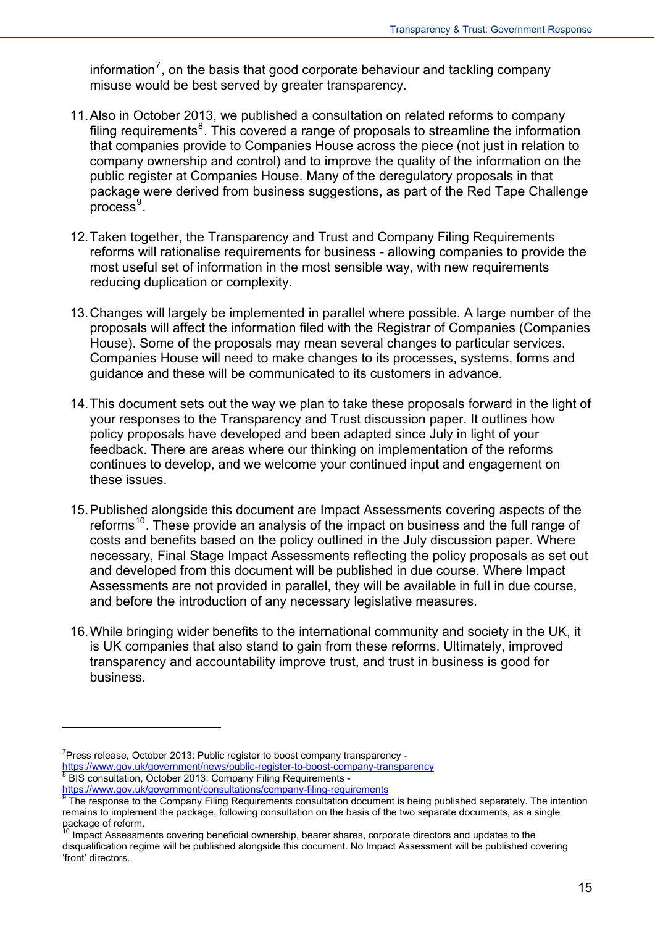information<sup>7</sup>, on the basis that good corporate behaviour and tackling company misuse would be best served by greater transparency.

- 11. Also in October 2013, we published a consultation on related reforms to company filing requirements $8$ . This covered a range of proposals to streamline the information that companies provide to Companies House across the piece (not just in relation to company ownership and control) and to improve the quality of the information on the public register at Companies House. Many of the deregulatory proposals in that package were derived from business suggestions, as part of the Red Tape Challenge  $p$ rocess<sup>[9](#page-14-1)</sup>.
- 12. Taken together, the Transparency and Trust and Company Filing Requirements reforms will rationalise requirements for business - allowing companies to provide the most useful set of information in the most sensible way, with new requirements reducing duplication or complexity.
- 13. Changes will largely be implemented in parallel where possible. A large number of the proposals will affect the information filed with the Registrar of Companies (Companies House). Some of the proposals may mean several changes to particular services. Companies House will need to make changes to its processes, systems, forms and guidance and these will be communicated to its customers in advance.
- 14. This document sets out the way we plan to take these proposals forward in the light of your responses to the Transparency and Trust discussion paper. It outlines how policy proposals have developed and been adapted since July in light of your feedback. There are areas where our thinking on implementation of the reforms continues to develop, and we welcome your continued input and engagement on these issues.
- 15. Published alongside this document are Impact Assessments covering aspects of the reforms<sup>[10](#page-14-2)</sup>. These provide an analysis of the impact on business and the full range of costs and benefits based on the policy outlined in the July discussion paper. Where necessary, Final Stage Impact Assessments reflecting the policy proposals as set out and developed from this document will be published in due course. Where Impact Assessments are not provided in parallel, they will be available in full in due course, and before the introduction of any necessary legislative measures.
- 16. While bringing wider benefits to the international community and society in the UK, it is UK companies that also stand to gain from these reforms. Ultimately, improved transparency and accountability improve trust, and trust in business is good for business.

**<sup>7</sup>** Press release, October 2013: Public register to boost company transparency -

[https://www.gov.uk/government/news/public-register-to-boost-company-transparency 8](https://www.gov.uk/government/news/public-register-to-boost-company-transparency)

BIS consultation, October 2013: Company Filing Requirements -

<span id="page-14-3"></span><span id="page-14-1"></span><span id="page-14-0"></span><sup>&</sup>lt;u><https://www.gov.uk/government/consultations/company-filing-requirements></u><br><sup>[9](https://www.gov.uk/government/consultations/company-filing-requirements)</sup> The response to the Company Filing Requirements consultation document is being published separately. The intention remains to implement the package, following consultation on the basis of the two separate documents, as a single package of reform.

<span id="page-14-2"></span>Impact Assessments covering beneficial ownership, bearer shares, corporate directors and updates to the disqualification regime will be published alongside this document. No Impact Assessment will be published covering 'front' directors.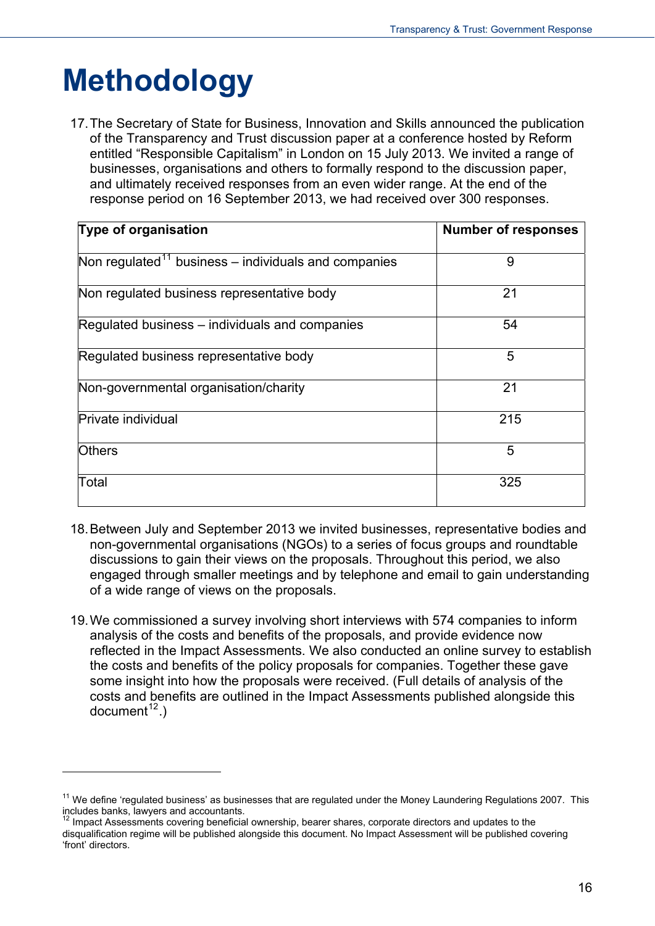## <span id="page-15-0"></span>**Methodology**

<span id="page-15-2"></span> $\overline{a}$ 

17. The Secretary of State for Business, Innovation and Skills announced the publication of the Transparency and Trust discussion paper at a conference hosted by Reform entitled "Responsible Capitalism" in London on 15 July 2013. We invited a range of businesses, organisations and others to formally respond to the discussion paper, and ultimately received responses from an even wider range. At the end of the response period on 16 September 2013, we had received over 300 responses.

| <b>Type of organisation</b>                             | <b>Number of responses</b> |
|---------------------------------------------------------|----------------------------|
| Non regulated $11$ business – individuals and companies | 9                          |
| Non regulated business representative body              | 21                         |
| Regulated business – individuals and companies          | 54                         |
| Regulated business representative body                  | 5                          |
| Non-governmental organisation/charity                   | 21                         |
| Private individual                                      | 215                        |
| <b>Others</b>                                           | 5                          |
| Total                                                   | 325                        |

- 18. Between July and September 2013 we invited businesses, representative bodies and non-governmental organisations (NGOs) to a series of focus groups and roundtable discussions to gain their views on the proposals. Throughout this period, we also engaged through smaller meetings and by telephone and email to gain understanding of a wide range of views on the proposals.
- 19. We commissioned a survey involving short interviews with 574 companies to inform analysis of the costs and benefits of the proposals, and provide evidence now reflected in the Impact Assessments. We also conducted an online survey to establish the costs and benefits of the policy proposals for companies. Together these gave some insight into how the proposals were received. (Full details of analysis of the costs and benefits are outlined in the Impact Assessments published alongside this  $document<sup>12</sup>$  $document<sup>12</sup>$  $document<sup>12</sup>$ .)

 $11$  We define 'regulated business' as businesses that are regulated under the Money Laundering Regulations 2007. This includes banks, lawyers and accountants.

<span id="page-15-1"></span><sup>&</sup>lt;sup>12</sup> Impact Assessments covering beneficial ownership, bearer shares, corporate directors and updates to the disqualification regime will be published alongside this document. No Impact Assessment will be published covering 'front' directors.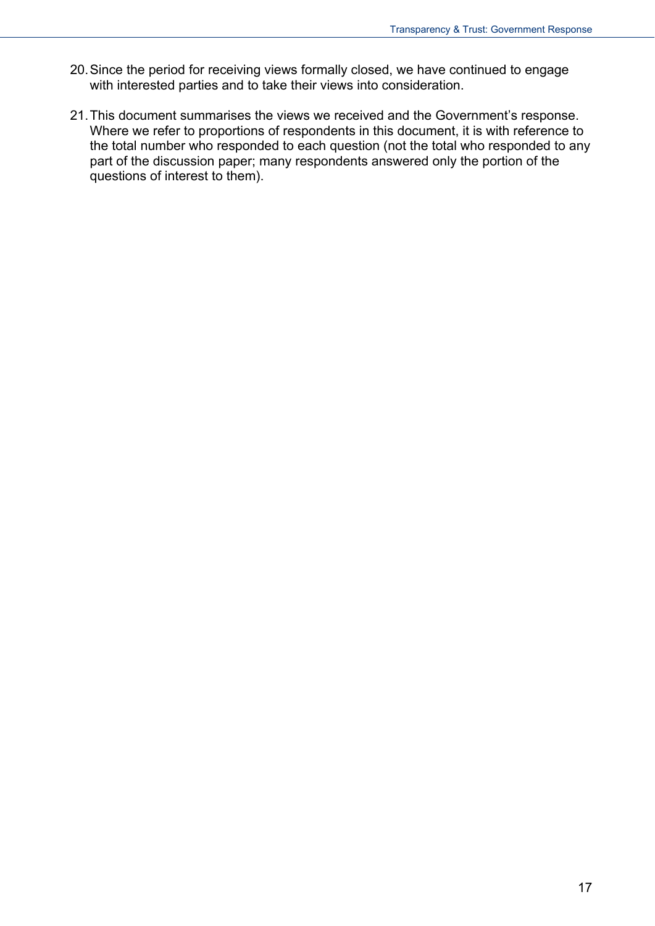- 20. Since the period for receiving views formally closed, we have continued to engage with interested parties and to take their views into consideration.
- 21. This document summarises the views we received and the Government's response. Where we refer to proportions of respondents in this document, it is with reference to the total number who responded to each question (not the total who responded to any part of the discussion paper; many respondents answered only the portion of the questions of interest to them).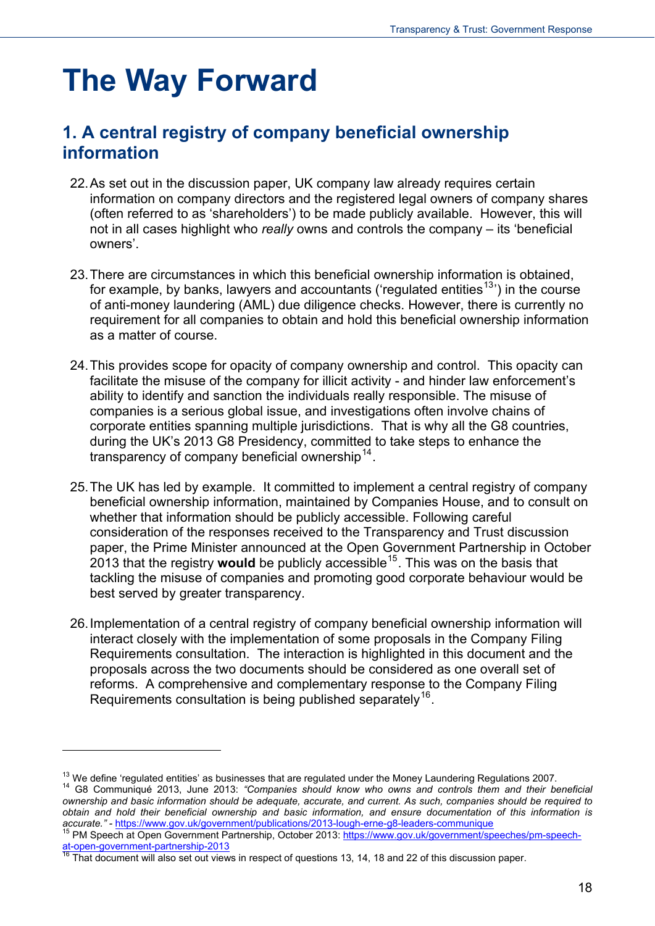## <span id="page-17-0"></span>**The Way Forward**

### <span id="page-17-1"></span>**1. A central registry of company beneficial ownership information**

- 22. As set out in the discussion paper, UK company law already requires certain information on company directors and the registered legal owners of company shares (often referred to as 'shareholders') to be made publicly available. However, this will not in all cases highlight who *really* owns and controls the company – its 'beneficial owners'.
- 23. There are circumstances in which this beneficial ownership information is obtained, for example, by banks, lawyers and accountants ('regulated entities<sup>[13](#page-15-2)</sup>') in the course of anti-money laundering (AML) due diligence checks. However, there is currently no requirement for all companies to obtain and hold this beneficial ownership information as a matter of course.
- 24. This provides scope for opacity of company ownership and control. This opacity can facilitate the misuse of the company for illicit activity - and hinder law enforcement's ability to identify and sanction the individuals really responsible. The misuse of companies is a serious global issue, and investigations often involve chains of corporate entities spanning multiple jurisdictions. That is why all the G8 countries, during the UK's 2013 G8 Presidency, committed to take steps to enhance the transparency of company beneficial ownership  $14$ .
- 25. The UK has led by example. It committed to implement a central registry of company beneficial ownership information, maintained by Companies House, and to consult on whether that information should be publicly accessible. Following careful consideration of the responses received to the Transparency and Trust discussion paper, the Prime Minister announced at the Open Government Partnership in October 2013 that the registry **would** be publicly accessible[15](#page-17-3). This was on the basis that tackling the misuse of companies and promoting good corporate behaviour would be best served by greater transparency.
- 26. Implementation of a central registry of company beneficial ownership information will interact closely with the implementation of some proposals in the Company Filing Requirements consultation. The interaction is highlighted in this document and the proposals across the two documents should be considered as one overall set of reforms. A comprehensive and complementary response to the Company Filing Requirements consultation is being published separately<sup>[16](#page-17-4)</sup>.

<span id="page-17-2"></span><sup>&</sup>lt;sup>13</sup> We define 'regulated entities' as businesses that are regulated under the Money Laundering Regulations 2007.<br><sup>14</sup> G8 Communiqué 2013, June 2013: *"Companies should know who owns and controls them and their beneficial ownership and basic information should be adequate, accurate, and current. As such, companies should be required to obtain and hold their beneficial ownership and basic information, and ensure documentation of this information is* 

<span id="page-17-3"></span>*accurate."-* <https://www.gov.uk/government/publications/2013-lough-erne-g8-leaders-communique><br><sup>15</sup> PM Speech at Open Government Partnership, October 2013: https://www.gov.uk/government/speeches/pm-speech-<br><sup>16</sup> That docum

<span id="page-17-4"></span>That document will also set out views in respect of questions 13, 14, 18 and 22 of this discussion paper.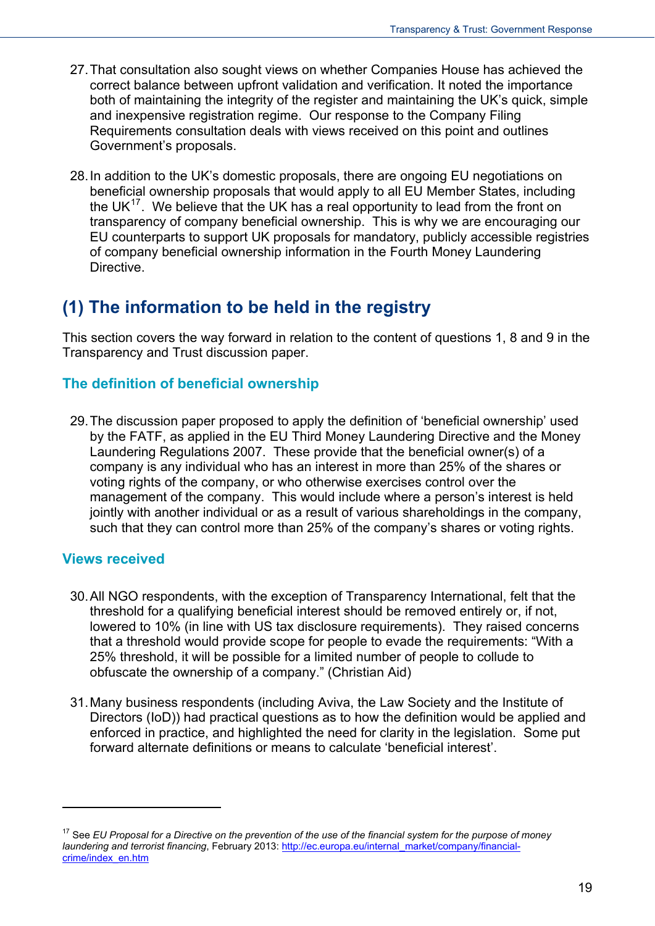- 27. That consultation also sought views on whether Companies House has achieved the correct balance between upfront validation and verification. It noted the importance both of maintaining the integrity of the register and maintaining the UK's quick, simple and inexpensive registration regime. Our response to the Company Filing Requirements consultation deals with views received on this point and outlines Government's proposals.
- 28. In addition to the UK's domestic proposals, there are ongoing EU negotiations on beneficial ownership proposals that would apply to all EU Member States, including the UK $^{17}$  $^{17}$  $^{17}$ . We believe that the UK has a real opportunity to lead from the front on transparency of company beneficial ownership. This is why we are encouraging our EU counterparts to support UK proposals for mandatory, publicly accessible registries of company beneficial ownership information in the Fourth Money Laundering Directive.

### <span id="page-18-0"></span>**(1) The information to be held in the registry**

This section covers the way forward in relation to the content of questions 1, 8 and 9 in the Transparency and Trust discussion paper.

#### **The definition of beneficial ownership**

29. The discussion paper proposed to apply the definition of 'beneficial ownership' used by the FATF, as applied in the EU Third Money Laundering Directive and the Money Laundering Regulations 2007. These provide that the beneficial owner(s) of a company is any individual who has an interest in more than 25% of the shares or voting rights of the company, or who otherwise exercises control over the management of the company. This would include where a person's interest is held jointly with another individual or as a result of various shareholdings in the company, such that they can control more than 25% of the company's shares or voting rights.

#### **Views received**

- 30. All NGO respondents, with the exception of Transparency International, felt that the threshold for a qualifying beneficial interest should be removed entirely or, if not, lowered to 10% (in line with US tax disclosure requirements). They raised concerns that a threshold would provide scope for people to evade the requirements: "With a 25% threshold, it will be possible for a limited number of people to collude to obfuscate the ownership of a company." (Christian Aid)
- 31. Many business respondents (including Aviva, the Law Society and the Institute of Directors (IoD)) had practical questions as to how the definition would be applied and enforced in practice, and highlighted the need for clarity in the legislation. Some put forward alternate definitions or means to calculate 'beneficial interest'.

<span id="page-18-1"></span><sup>&</sup>lt;sup>17</sup> See *EU Proposal for a Directive on the prevention of the use of the financial system for the purpose of money laundering and terrorist financing*, February 2013: [http://ec.europa.eu/internal\\_market/company/financial](http://ec.europa.eu/internal_market/company/financial-crime/index_en.htm)[crime/index\\_en.htm](http://ec.europa.eu/internal_market/company/financial-crime/index_en.htm)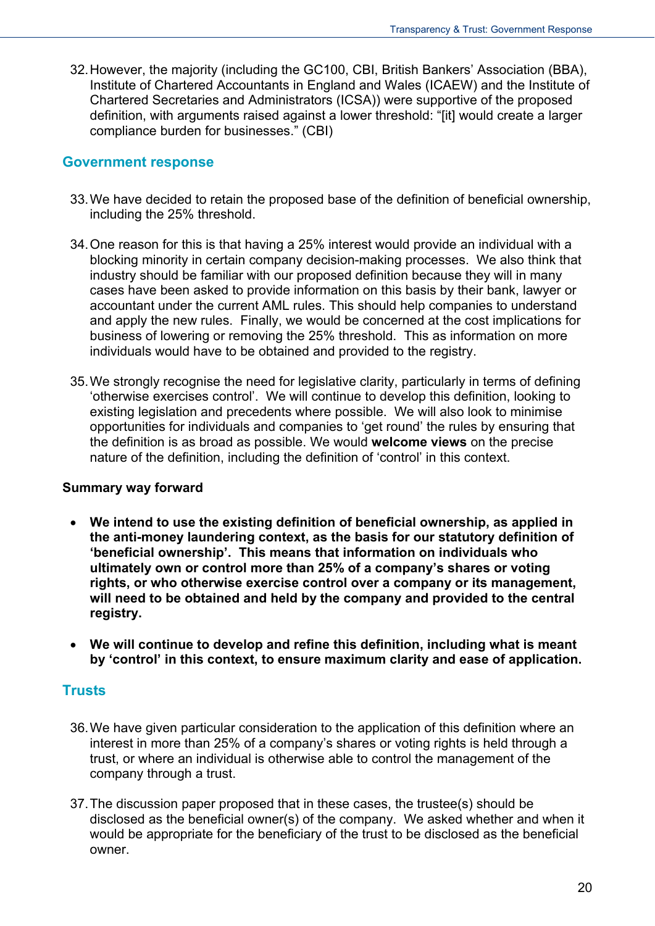32. However, the majority (including the GC100, CBI, British Bankers' Association (BBA), Institute of Chartered Accountants in England and Wales (ICAEW) and the Institute of Chartered Secretaries and Administrators (ICSA)) were supportive of the proposed definition, with arguments raised against a lower threshold: "[it] would create a larger compliance burden for businesses." (CBI)

#### **Government response**

- 33. We have decided to retain the proposed base of the definition of beneficial ownership, including the 25% threshold.
- 34. One reason for this is that having a 25% interest would provide an individual with a blocking minority in certain company decision-making processes. We also think that industry should be familiar with our proposed definition because they will in many cases have been asked to provide information on this basis by their bank, lawyer or accountant under the current AML rules. This should help companies to understand and apply the new rules. Finally, we would be concerned at the cost implications for business of lowering or removing the 25% threshold. This as information on more individuals would have to be obtained and provided to the registry.
- 35. We strongly recognise the need for legislative clarity, particularly in terms of defining 'otherwise exercises control'. We will continue to develop this definition, looking to existing legislation and precedents where possible. We will also look to minimise opportunities for individuals and companies to 'get round' the rules by ensuring that the definition is as broad as possible. We would **welcome views** on the precise nature of the definition, including the definition of 'control' in this context.

#### **Summary way forward**

- **We intend to use the existing definition of beneficial ownership, as applied in the anti-money laundering context, as the basis for our statutory definition of 'beneficial ownership'. This means that information on individuals who ultimately own or control more than 25% of a company's shares or voting rights, or who otherwise exercise control over a company or its management, will need to be obtained and held by the company and provided to the central registry.**
- **We will continue to develop and refine this definition, including what is meant by 'control' in this context, to ensure maximum clarity and ease of application.**

#### **Trusts**

- 36. We have given particular consideration to the application of this definition where an interest in more than 25% of a company's shares or voting rights is held through a trust, or where an individual is otherwise able to control the management of the company through a trust.
- 37. The discussion paper proposed that in these cases, the trustee(s) should be disclosed as the beneficial owner(s) of the company. We asked whether and when it would be appropriate for the beneficiary of the trust to be disclosed as the beneficial owner.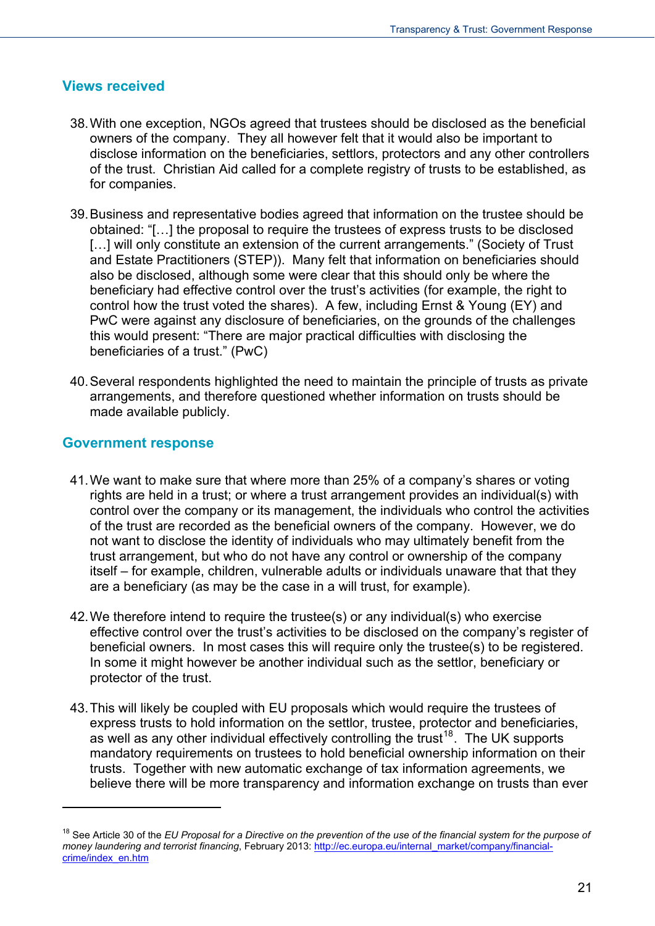#### **Views received**

- 38. With one exception, NGOs agreed that trustees should be disclosed as the beneficial owners of the company. They all however felt that it would also be important to disclose information on the beneficiaries, settlors, protectors and any other controllers of the trust. Christian Aid called for a complete registry of trusts to be established, as for companies.
- 39. Business and representative bodies agreed that information on the trustee should be obtained: "[…] the proposal to require the trustees of express trusts to be disclosed [...] will only constitute an extension of the current arrangements." (Society of Trust and Estate Practitioners (STEP)). Many felt that information on beneficiaries should also be disclosed, although some were clear that this should only be where the beneficiary had effective control over the trust's activities (for example, the right to control how the trust voted the shares). A few, including Ernst & Young (EY) and PwC were against any disclosure of beneficiaries, on the grounds of the challenges this would present: "There are major practical difficulties with disclosing the beneficiaries of a trust." (PwC)
- 40. Several respondents highlighted the need to maintain the principle of trusts as private arrangements, and therefore questioned whether information on trusts should be made available publicly.

#### **Government response**

- 41. We want to make sure that where more than 25% of a company's shares or voting rights are held in a trust; or where a trust arrangement provides an individual(s) with control over the company or its management, the individuals who control the activities of the trust are recorded as the beneficial owners of the company. However, we do not want to disclose the identity of individuals who may ultimately benefit from the trust arrangement, but who do not have any control or ownership of the company itself – for example, children, vulnerable adults or individuals unaware that that they are a beneficiary (as may be the case in a will trust, for example).
- 42. We therefore intend to require the trustee(s) or any individual(s) who exercise effective control over the trust's activities to be disclosed on the company's register of beneficial owners. In most cases this will require only the trustee(s) to be registered. In some it might however be another individual such as the settlor, beneficiary or protector of the trust.
- 43. This will likely be coupled with EU proposals which would require the trustees of express trusts to hold information on the settlor, trustee, protector and beneficiaries, as well as any other individual effectively controlling the trust<sup>[18](#page-18-1)</sup>. The UK supports mandatory requirements on trustees to hold beneficial ownership information on their trusts. Together with new automatic exchange of tax information agreements, we believe there will be more transparency and information exchange on trusts than ever

<span id="page-20-0"></span><sup>&</sup>lt;sup>18</sup> See Article 30 of the *EU Proposal for a Directive on the prevention of the use of the financial system for the purpose of money laundering and terrorist financing*, February 2013: [http://ec.europa.eu/internal\\_market/company/financial](http://ec.europa.eu/internal_market/company/financial-crime/index_en.htm)[crime/index\\_en.htm](http://ec.europa.eu/internal_market/company/financial-crime/index_en.htm)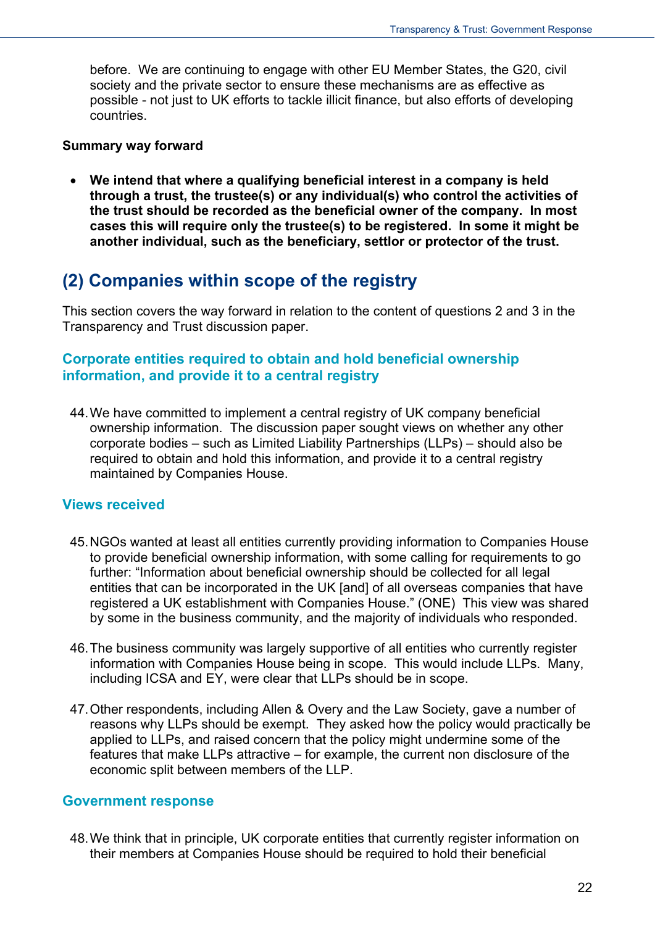before. We are continuing to engage with other EU Member States, the G20, civil society and the private sector to ensure these mechanisms are as effective as possible - not just to UK efforts to tackle illicit finance, but also efforts of developing countries.

#### **Summary way forward**

 **We intend that where a qualifying beneficial interest in a company is held through a trust, the trustee(s) or any individual(s) who control the activities of the trust should be recorded as the beneficial owner of the company. In most cases this will require only the trustee(s) to be registered. In some it might be another individual, such as the beneficiary, settlor or protector of the trust.** 

### <span id="page-21-0"></span>**(2) Companies within scope of the registry**

This section covers the way forward in relation to the content of questions 2 and 3 in the Transparency and Trust discussion paper.

#### **Corporate entities required to obtain and hold beneficial ownership information, and provide it to a central registry**

44. We have committed to implement a central registry of UK company beneficial ownership information. The discussion paper sought views on whether any other corporate bodies – such as Limited Liability Partnerships (LLPs) – should also be required to obtain and hold this information, and provide it to a central registry maintained by Companies House.

#### **Views received**

- 45. NGOs wanted at least all entities currently providing information to Companies House to provide beneficial ownership information, with some calling for requirements to go further: "Information about beneficial ownership should be collected for all legal entities that can be incorporated in the UK [and] of all overseas companies that have registered a UK establishment with Companies House." (ONE)This view was shared by some in the business community, and the majority of individuals who responded.
- 46. The business community was largely supportive of all entities who currently register information with Companies House being in scope. This would include LLPs. Many, including ICSA and EY, were clear that LLPs should be in scope.
- 47. Other respondents, including Allen & Overy and the Law Society, gave a number of reasons why LLPs should be exempt. They asked how the policy would practically be applied to LLPs, and raised concern that the policy might undermine some of the features that make LLPs attractive – for example, the current non disclosure of the economic split between members of the LLP.

#### **Government response**

48. We think that in principle, UK corporate entities that currently register information on their members at Companies House should be required to hold their beneficial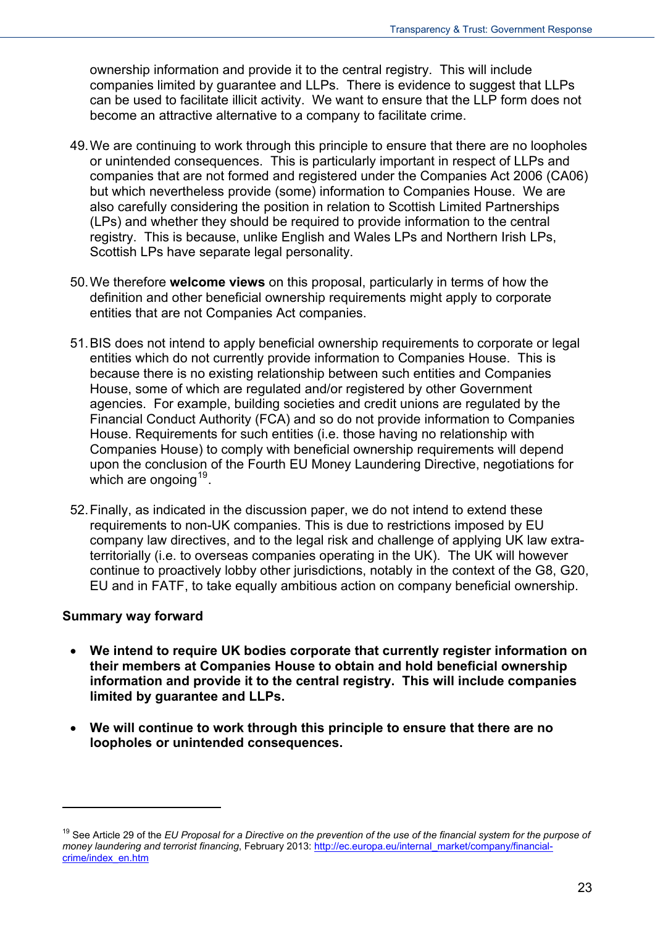ownership information and provide it to the central registry. This will include companies limited by guarantee and LLPs. There is evidence to suggest that LLPs can be used to facilitate illicit activity. We want to ensure that the LLP form does not become an attractive alternative to a company to facilitate crime.

- 49. We are continuing to work through this principle to ensure that there are no loopholes or unintended consequences. This is particularly important in respect of LLPs and companies that are not formed and registered under the Companies Act 2006 (CA06) but which nevertheless provide (some) information to Companies House. We are also carefully considering the position in relation to Scottish Limited Partnerships (LPs) and whether they should be required to provide information to the central registry. This is because, unlike English and Wales LPs and Northern Irish LPs, Scottish LPs have separate legal personality.
- 50. We therefore **welcome views** on this proposal, particularly in terms of how the definition and other beneficial ownership requirements might apply to corporate entities that are not Companies Act companies.
- 51. BIS does not intend to apply beneficial ownership requirements to corporate or legal entities which do not currently provide information to Companies House. This is because there is no existing relationship between such entities and Companies House, some of which are regulated and/or registered by other Government agencies. For example, building societies and credit unions are regulated by the Financial Conduct Authority (FCA) and so do not provide information to Companies House. Requirements for such entities (i.e. those having no relationship with Companies House) to comply with beneficial ownership requirements will depend upon the conclusion of the Fourth EU Money Laundering Directive, negotiations for which are ongoing  $19$ .
- 52. Finally, as indicated in the discussion paper, we do not intend to extend these requirements to non-UK companies. This is due to restrictions imposed by EU company law directives, and to the legal risk and challenge of applying UK law extraterritorially (i.e. to overseas companies operating in the UK). The UK will however continue to proactively lobby other jurisdictions, notably in the context of the G8, G20, EU and in FATF, to take equally ambitious action on company beneficial ownership.

#### **Summary way forward**

- **We intend to require UK bodies corporate that currently register information on their members at Companies House to obtain and hold beneficial ownership information and provide it to the central registry. This will include companies limited by guarantee and LLPs.**
- **We will continue to work through this principle to ensure that there are no loopholes or unintended consequences.**

<span id="page-22-0"></span><sup>&</sup>lt;sup>19</sup> See Article 29 of the *EU Proposal for a Directive on the prevention of the use of the financial system for the purpose of money laundering and terrorist financing*, February 2013: [http://ec.europa.eu/internal\\_market/company/financial](http://ec.europa.eu/internal_market/company/financial-crime/index_en.htm)[crime/index\\_en.htm](http://ec.europa.eu/internal_market/company/financial-crime/index_en.htm)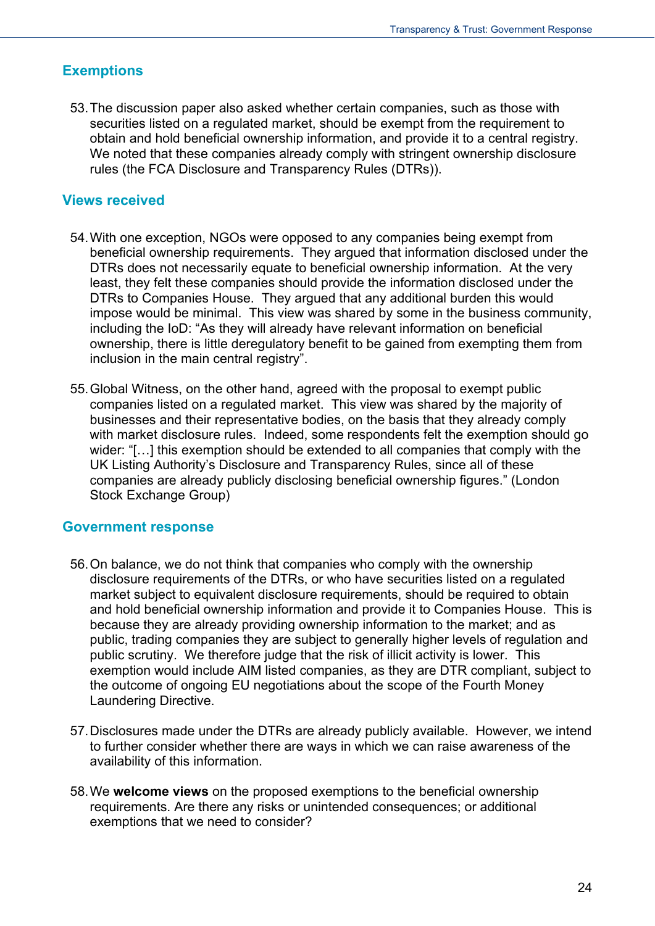#### **Exemptions**

53. The discussion paper also asked whether certain companies, such as those with securities listed on a regulated market, should be exempt from the requirement to obtain and hold beneficial ownership information, and provide it to a central registry. We noted that these companies already comply with stringent ownership disclosure rules (the FCA Disclosure and Transparency Rules (DTRs)).

#### **Views received**

- 54. With one exception, NGOs were opposed to any companies being exempt from beneficial ownership requirements. They argued that information disclosed under the DTRs does not necessarily equate to beneficial ownership information. At the very least, they felt these companies should provide the information disclosed under the DTRs to Companies House. They argued that any additional burden this would impose would be minimal. This view was shared by some in the business community, including the IoD: "As they will already have relevant information on beneficial ownership, there is little deregulatory benefit to be gained from exempting them from inclusion in the main central registry".
- 55. Global Witness, on the other hand, agreed with the proposal to exempt public companies listed on a regulated market. This view was shared by the majority of businesses and their representative bodies, on the basis that they already comply with market disclosure rules. Indeed, some respondents felt the exemption should go wider: "[…] this exemption should be extended to all companies that comply with the UK Listing Authority's Disclosure and Transparency Rules, since all of these companies are already publicly disclosing beneficial ownership figures." (London Stock Exchange Group)

#### **Government response**

- 56. On balance, we do not think that companies who comply with the ownership disclosure requirements of the DTRs, or who have securities listed on a regulated market subject to equivalent disclosure requirements, should be required to obtain and hold beneficial ownership information and provide it to Companies House. This is because they are already providing ownership information to the market; and as public, trading companies they are subject to generally higher levels of regulation and public scrutiny. We therefore judge that the risk of illicit activity is lower. This exemption would include AIM listed companies, as they are DTR compliant, subject to the outcome of ongoing EU negotiations about the scope of the Fourth Money Laundering Directive.
- 57. Disclosures made under the DTRs are already publicly available. However, we intend to further consider whether there are ways in which we can raise awareness of the availability of this information.
- 58. We **welcome views** on the proposed exemptions to the beneficial ownership requirements. Are there any risks or unintended consequences; or additional exemptions that we need to consider?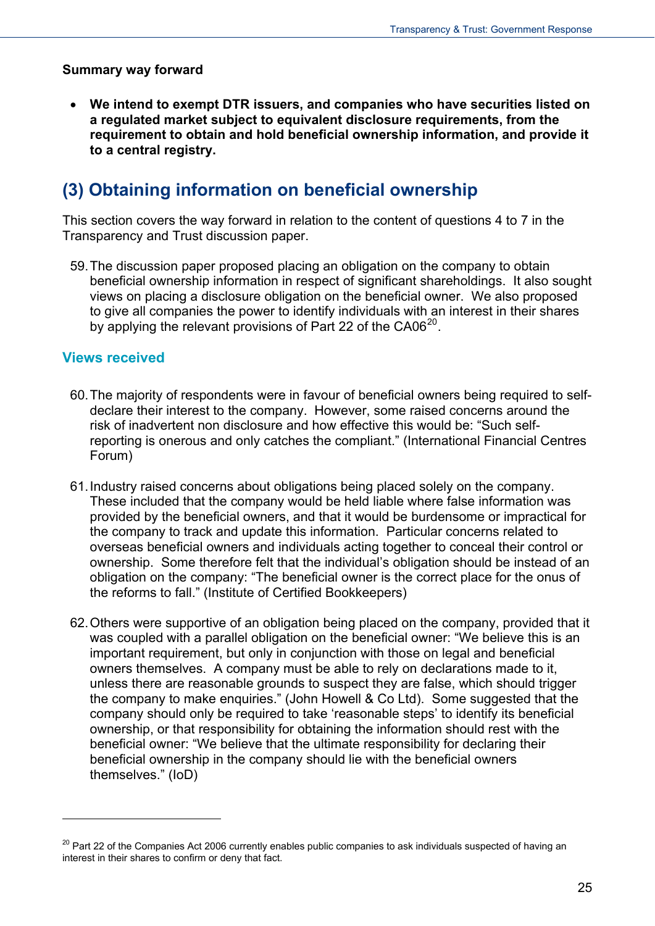#### **Summary way forward**

 **We intend to exempt DTR issuers, and companies who have securities listed on a regulated market subject to equivalent disclosure requirements, from the requirement to obtain and hold beneficial ownership information, and provide it to a central registry.** 

### <span id="page-24-0"></span>**(3) Obtaining information on beneficial ownership**

This section covers the way forward in relation to the content of questions 4 to 7 in the Transparency and Trust discussion paper.

59. The discussion paper proposed placing an obligation on the company to obtain beneficial ownership information in respect of significant shareholdings. It also sought views on placing a disclosure obligation on the beneficial owner. We also proposed to give all companies the power to identify individuals with an interest in their shares by applying the relevant provisions of Part 22 of the  $CA06^{20}$  $CA06^{20}$  $CA06^{20}$ .

#### **Views received**

- 60. The majority of respondents were in favour of beneficial owners being required to selfdeclare their interest to the company. However, some raised concerns around the risk of inadvertent non disclosure and how effective this would be: "Such selfreporting is onerous and only catches the compliant." (International Financial Centres Forum)
- 61. Industry raised concerns about obligations being placed solely on the company. These included that the company would be held liable where false information was provided by the beneficial owners, and that it would be burdensome or impractical for the company to track and update this information. Particular concerns related to overseas beneficial owners and individuals acting together to conceal their control or ownership. Some therefore felt that the individual's obligation should be instead of an obligation on the company: "The beneficial owner is the correct place for the onus of the reforms to fall." (Institute of Certified Bookkeepers)
- 62. Others were supportive of an obligation being placed on the company, provided that it was coupled with a parallel obligation on the beneficial owner: "We believe this is an important requirement, but only in conjunction with those on legal and beneficial owners themselves. A company must be able to rely on declarations made to it, unless there are reasonable grounds to suspect they are false, which should trigger the company to make enquiries." (John Howell & Co Ltd). Some suggested that the company should only be required to take 'reasonable steps' to identify its beneficial ownership, or that responsibility for obtaining the information should rest with the beneficial owner: "We believe that the ultimate responsibility for declaring their beneficial ownership in the company should lie with the beneficial owners themselves." (IoD)

<span id="page-24-1"></span><sup>&</sup>lt;sup>20</sup> Part 22 of the Companies Act 2006 currently enables public companies to ask individuals suspected of having an interest in their shares to confirm or deny that fact.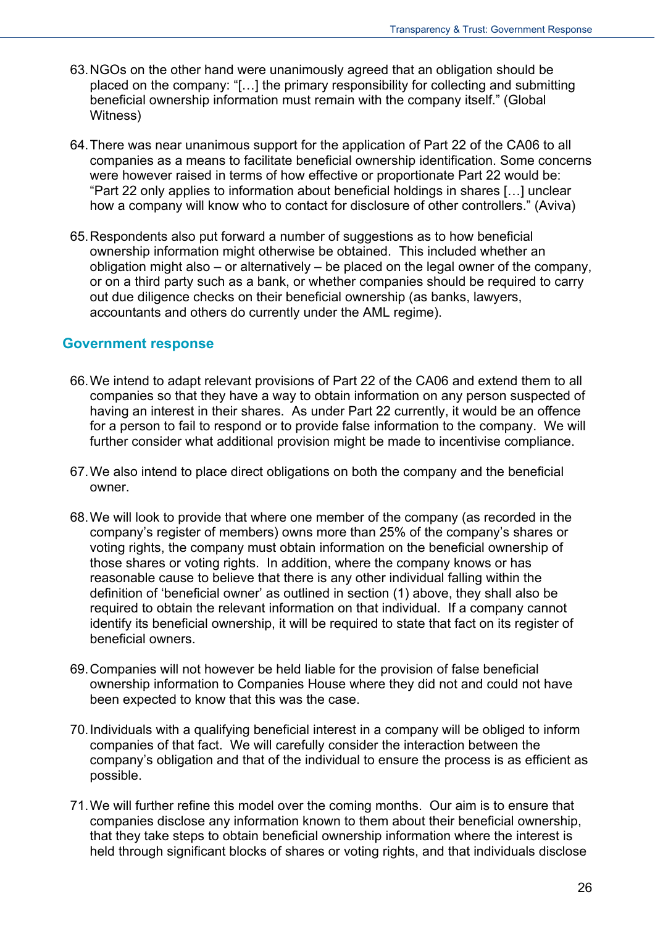- 63. NGOs on the other hand were unanimously agreed that an obligation should be placed on the company: "[…] the primary responsibility for collecting and submitting beneficial ownership information must remain with the company itself." (Global Witness)
- 64. There was near unanimous support for the application of Part 22 of the CA06 to all companies as a means to facilitate beneficial ownership identification. Some concerns were however raised in terms of how effective or proportionate Part 22 would be: "Part 22 only applies to information about beneficial holdings in shares […] unclear how a company will know who to contact for disclosure of other controllers." (Aviva)
- 65. Respondents also put forward a number of suggestions as to how beneficial ownership information might otherwise be obtained. This included whether an obligation might also – or alternatively – be placed on the legal owner of the company, or on a third party such as a bank, or whether companies should be required to carry out due diligence checks on their beneficial ownership (as banks, lawyers, accountants and others do currently under the AML regime).

#### **Government response**

- 66. We intend to adapt relevant provisions of Part 22 of the CA06 and extend them to all companies so that they have a way to obtain information on any person suspected of having an interest in their shares. As under Part 22 currently, it would be an offence for a person to fail to respond or to provide false information to the company. We will further consider what additional provision might be made to incentivise compliance.
- 67. We also intend to place direct obligations on both the company and the beneficial owner.
- 68. We will look to provide that where one member of the company (as recorded in the company's register of members) owns more than 25% of the company's shares or voting rights, the company must obtain information on the beneficial ownership of those shares or voting rights. In addition, where the company knows or has reasonable cause to believe that there is any other individual falling within the definition of 'beneficial owner' as outlined in section (1) above, they shall also be required to obtain the relevant information on that individual. If a company cannot identify its beneficial ownership, it will be required to state that fact on its register of beneficial owners.
- 69. Companies will not however be held liable for the provision of false beneficial ownership information to Companies House where they did not and could not have been expected to know that this was the case.
- 70. Individuals with a qualifying beneficial interest in a company will be obliged to inform companies of that fact. We will carefully consider the interaction between the company's obligation and that of the individual to ensure the process is as efficient as possible.
- 71. We will further refine this model over the coming months. Our aim is to ensure that companies disclose any information known to them about their beneficial ownership, that they take steps to obtain beneficial ownership information where the interest is held through significant blocks of shares or voting rights, and that individuals disclose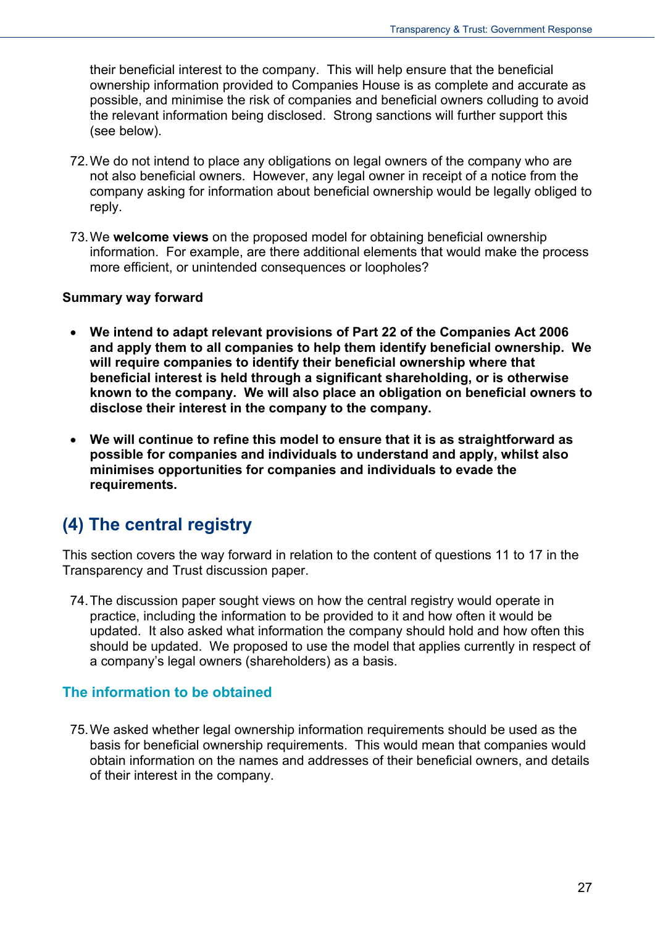their beneficial interest to the company. This will help ensure that the beneficial ownership information provided to Companies House is as complete and accurate as possible, and minimise the risk of companies and beneficial owners colluding to avoid the relevant information being disclosed. Strong sanctions will further support this (see below).

- 72. We do not intend to place any obligations on legal owners of the company who are not also beneficial owners. However, any legal owner in receipt of a notice from the company asking for information about beneficial ownership would be legally obliged to reply.
- 73. We **welcome views** on the proposed model for obtaining beneficial ownership information. For example, are there additional elements that would make the process more efficient, or unintended consequences or loopholes?

#### **Summary way forward**

- **We intend to adapt relevant provisions of Part 22 of the Companies Act 2006 and apply them to all companies to help them identify beneficial ownership. We will require companies to identify their beneficial ownership where that beneficial interest is held through a significant shareholding, or is otherwise known to the company. We will also place an obligation on beneficial owners to disclose their interest in the company to the company.**
- **We will continue to refine this model to ensure that it is as straightforward as possible for companies and individuals to understand and apply, whilst also minimises opportunities for companies and individuals to evade the requirements.**

### <span id="page-26-0"></span>**(4) The central registry**

This section covers the way forward in relation to the content of questions 11 to 17 in the Transparency and Trust discussion paper.

74. The discussion paper sought views on how the central registry would operate in practice, including the information to be provided to it and how often it would be updated. It also asked what information the company should hold and how often this should be updated. We proposed to use the model that applies currently in respect of a company's legal owners (shareholders) as a basis.

#### **The information to be obtained**

75. We asked whether legal ownership information requirements should be used as the basis for beneficial ownership requirements. This would mean that companies would obtain information on the names and addresses of their beneficial owners, and details of their interest in the company.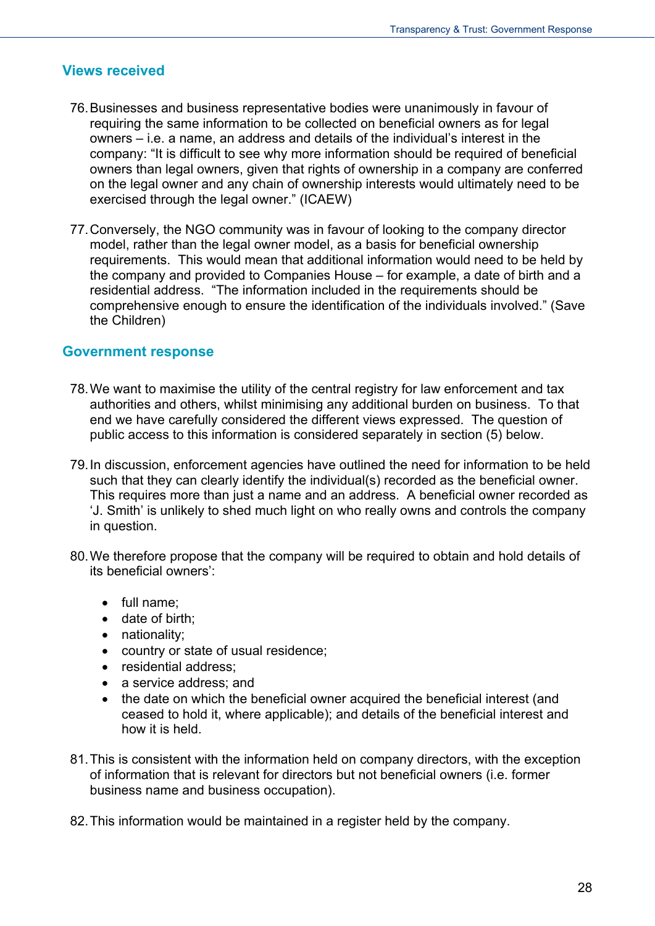#### **Views received**

- 76. Businesses and business representative bodies were unanimously in favour of requiring the same information to be collected on beneficial owners as for legal owners – i.e. a name, an address and details of the individual's interest in the company: "It is difficult to see why more information should be required of beneficial owners than legal owners, given that rights of ownership in a company are conferred on the legal owner and any chain of ownership interests would ultimately need to be exercised through the legal owner." (ICAEW)
- 77. Conversely, the NGO community was in favour of looking to the company director model, rather than the legal owner model, as a basis for beneficial ownership requirements. This would mean that additional information would need to be held by the company and provided to Companies House – for example, a date of birth and a residential address. "The information included in the requirements should be comprehensive enough to ensure the identification of the individuals involved." (Save the Children)

#### **Government response**

- 78. We want to maximise the utility of the central registry for law enforcement and tax authorities and others, whilst minimising any additional burden on business. To that end we have carefully considered the different views expressed. The question of public access to this information is considered separately in section (5) below.
- 79. In discussion, enforcement agencies have outlined the need for information to be held such that they can clearly identify the individual(s) recorded as the beneficial owner. This requires more than just a name and an address. A beneficial owner recorded as 'J. Smith' is unlikely to shed much light on who really owns and controls the company in question.
- 80. We therefore propose that the company will be required to obtain and hold details of its beneficial owners':
	- full name;
	- date of birth;
	- nationality;
	- country or state of usual residence;
	- residential address;
	- a service address; and
	- the date on which the beneficial owner acquired the beneficial interest (and ceased to hold it, where applicable); and details of the beneficial interest and how it is held.
- 81. This is consistent with the information held on company directors, with the exception of information that is relevant for directors but not beneficial owners (i.e. former business name and business occupation).
- 82. This information would be maintained in a register held by the company.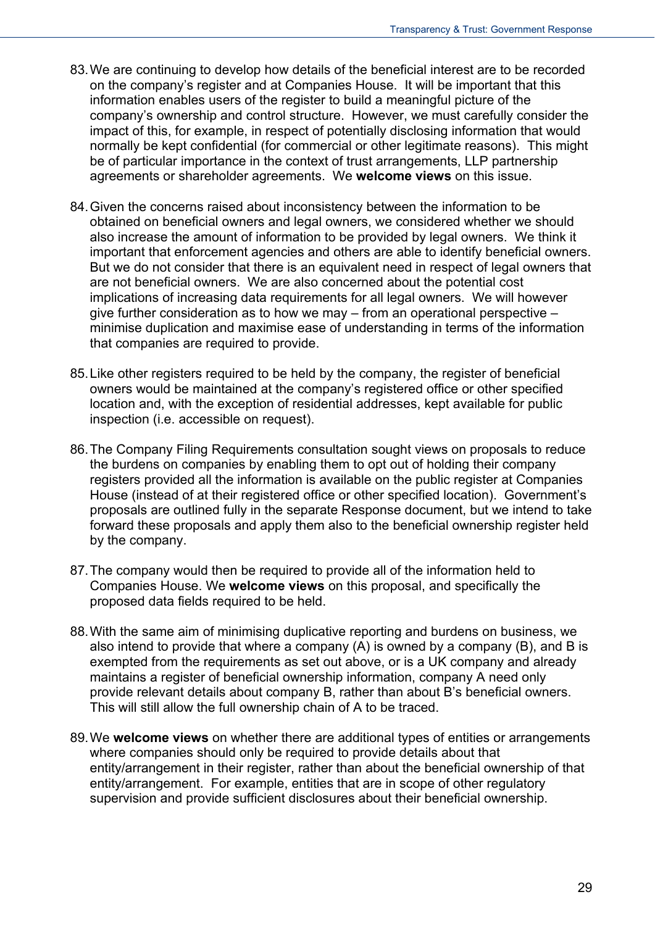- 83. We are continuing to develop how details of the beneficial interest are to be recorded on the company's register and at Companies House. It will be important that this information enables users of the register to build a meaningful picture of the company's ownership and control structure. However, we must carefully consider the impact of this, for example, in respect of potentially disclosing information that would normally be kept confidential (for commercial or other legitimate reasons). This might be of particular importance in the context of trust arrangements, LLP partnership agreements or shareholder agreements. We **welcome views** on this issue.
- 84. Given the concerns raised about inconsistency between the information to be obtained on beneficial owners and legal owners, we considered whether we should also increase the amount of information to be provided by legal owners. We think it important that enforcement agencies and others are able to identify beneficial owners. But we do not consider that there is an equivalent need in respect of legal owners that are not beneficial owners. We are also concerned about the potential cost implications of increasing data requirements for all legal owners. We will however give further consideration as to how we may – from an operational perspective – minimise duplication and maximise ease of understanding in terms of the information that companies are required to provide.
- 85. Like other registers required to be held by the company, the register of beneficial owners would be maintained at the company's registered office or other specified location and, with the exception of residential addresses, kept available for public inspection (i.e. accessible on request).
- 86. The Company Filing Requirements consultation sought views on proposals to reduce the burdens on companies by enabling them to opt out of holding their company registers provided all the information is available on the public register at Companies House (instead of at their registered office or other specified location). Government's proposals are outlined fully in the separate Response document, but we intend to take forward these proposals and apply them also to the beneficial ownership register held by the company.
- 87. The company would then be required to provide all of the information held to Companies House. We **welcome views** on this proposal, and specifically the proposed data fields required to be held.
- 88. With the same aim of minimising duplicative reporting and burdens on business, we also intend to provide that where a company (A) is owned by a company (B), and B is exempted from the requirements as set out above, or is a UK company and already maintains a register of beneficial ownership information, company A need only provide relevant details about company B, rather than about B's beneficial owners. This will still allow the full ownership chain of A to be traced.
- 89. We **welcome views** on whether there are additional types of entities or arrangements where companies should only be required to provide details about that entity/arrangement in their register, rather than about the beneficial ownership of that entity/arrangement. For example, entities that are in scope of other regulatory supervision and provide sufficient disclosures about their beneficial ownership.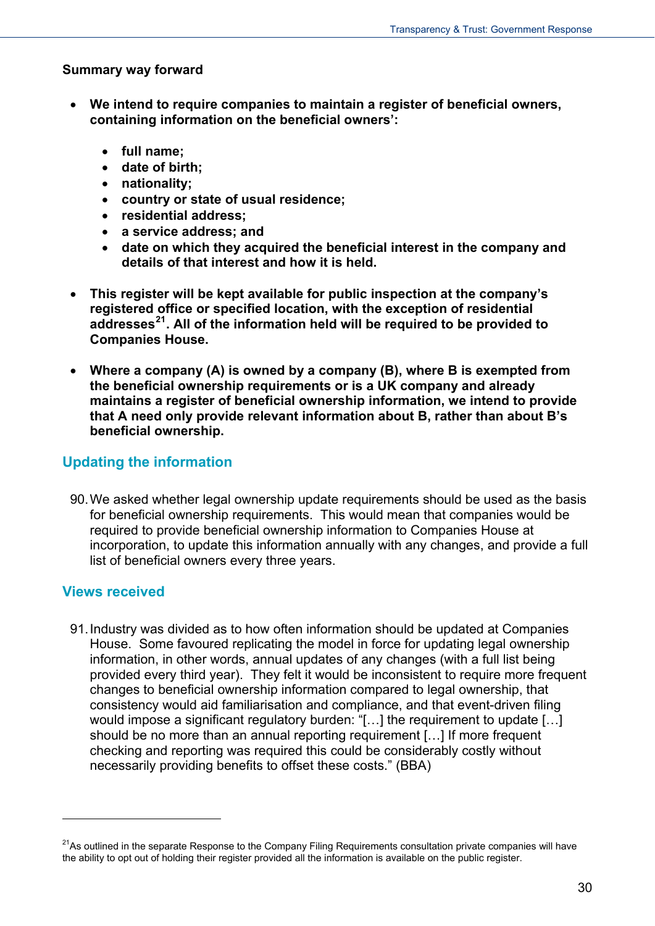#### **Summary way forward**

- **We intend to require companies to maintain a register of beneficial owners, containing information on the beneficial owners':**
	- **full name;**
	- **date of birth;**
	- **nationality;**
	- **country or state of usual residence;**
	- **residential address;**
	- **a service address; and**
	- **date on which they acquired the beneficial interest in the company and details of that interest and how it is held.**
- **This register will be kept available for public inspection at the company's registered office or specified location, with the exception of residential addresses[21](#page-24-1). All of the information held will be required to be provided to Companies House.**
- **Where a company (A) is owned by a company (B), where B is exempted from the beneficial ownership requirements or is a UK company and already maintains a register of beneficial ownership information, we intend to provide that A need only provide relevant information about B, rather than about B's beneficial ownership.**

#### **Updating the information**

90. We asked whether legal ownership update requirements should be used as the basis for beneficial ownership requirements. This would mean that companies would be required to provide beneficial ownership information to Companies House at incorporation, to update this information annually with any changes, and provide a full list of beneficial owners every three years.

#### **Views received**

 $\overline{a}$ 

91. Industry was divided as to how often information should be updated at Companies House. Some favoured replicating the model in force for updating legal ownership information, in other words, annual updates of any changes (with a full list being provided every third year). They felt it would be inconsistent to require more frequent changes to beneficial ownership information compared to legal ownership, that consistency would aid familiarisation and compliance, and that event-driven filing would impose a significant regulatory burden: "[…] the requirement to update […] should be no more than an annual reporting requirement […] If more frequent checking and reporting was required this could be considerably costly without necessarily providing benefits to offset these costs." (BBA)

<span id="page-29-0"></span> $21$ As outlined in the separate Response to the Company Filing Requirements consultation private companies will have the ability to opt out of holding their register provided all the information is available on the public register.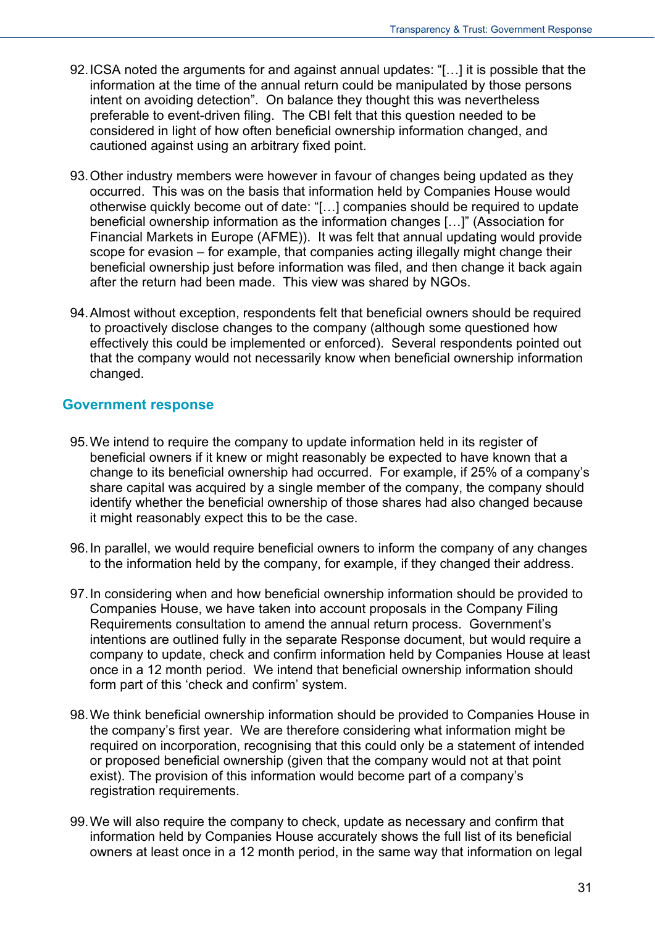- 92. ICSA noted the arguments for and against annual updates: "[…] it is possible that the information at the time of the annual return could be manipulated by those persons intent on avoiding detection". On balance they thought this was nevertheless preferable to event-driven filing. The CBI felt that this question needed to be considered in light of how often beneficial ownership information changed, and cautioned against using an arbitrary fixed point.
- 93. Other industry members were however in favour of changes being updated as they occurred. This was on the basis that information held by Companies House would otherwise quickly become out of date: "[…] companies should be required to update beneficial ownership information as the information changes […]" (Association for Financial Markets in Europe (AFME)). It was felt that annual updating would provide scope for evasion – for example, that companies acting illegally might change their beneficial ownership just before information was filed, and then change it back again after the return had been made. This view was shared by NGOs.
- 94. Almost without exception, respondents felt that beneficial owners should be required to proactively disclose changes to the company (although some questioned how effectively this could be implemented or enforced). Several respondents pointed out that the company would not necessarily know when beneficial ownership information changed.

#### **Government response**

- 95. We intend to require the company to update information held in its register of beneficial owners if it knew or might reasonably be expected to have known that a change to its beneficial ownership had occurred. For example, if 25% of a company's share capital was acquired by a single member of the company, the company should identify whether the beneficial ownership of those shares had also changed because it might reasonably expect this to be the case.
- 96. In parallel, we would require beneficial owners to inform the company of any changes to the information held by the company, for example, if they changed their address.
- 97. In considering when and how beneficial ownership information should be provided to Companies House, we have taken into account proposals in the Company Filing Requirements consultation to amend the annual return process. Government's intentions are outlined fully in the separate Response document, but would require a company to update, check and confirm information held by Companies House at least once in a 12 month period. We intend that beneficial ownership information should form part of this 'check and confirm' system.
- 98. We think beneficial ownership information should be provided to Companies House in the company's first year. We are therefore considering what information might be required on incorporation, recognising that this could only be a statement of intended or proposed beneficial ownership (given that the company would not at that point exist). The provision of this information would become part of a company's registration requirements.
- 99. We will also require the company to check, update as necessary and confirm that information held by Companies House accurately shows the full list of its beneficial owners at least once in a 12 month period, in the same way that information on legal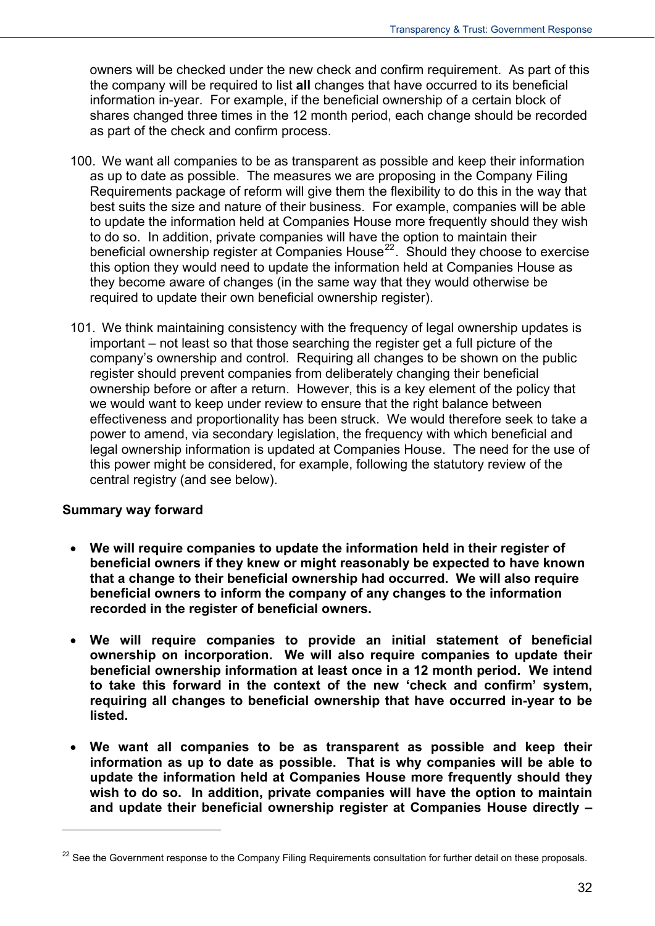owners will be checked under the new check and confirm requirement. As part of this the company will be required to list **all** changes that have occurred to its beneficial information in-year. For example, if the beneficial ownership of a certain block of shares changed three times in the 12 month period, each change should be recorded as part of the check and confirm process.

- 100. We want all companies to be as transparent as possible and keep their information as up to date as possible. The measures we are proposing in the Company Filing Requirements package of reform will give them the flexibility to do this in the way that best suits the size and nature of their business. For example, companies will be able to update the information held at Companies House more frequently should they wish to do so. In addition, private companies will have the option to maintain their beneficial ownership register at Companies House<sup>[22](#page-29-0)</sup>. Should they choose to exercise this option they would need to update the information held at Companies House as they become aware of changes (in the same way that they would otherwise be required to update their own beneficial ownership register).
- 101. We think maintaining consistency with the frequency of legal ownership updates is important – not least so that those searching the register get a full picture of the company's ownership and control. Requiring all changes to be shown on the public register should prevent companies from deliberately changing their beneficial ownership before or after a return. However, this is a key element of the policy that we would want to keep under review to ensure that the right balance between effectiveness and proportionality has been struck. We would therefore seek to take a power to amend, via secondary legislation, the frequency with which beneficial and legal ownership information is updated at Companies House. The need for the use of this power might be considered, for example, following the statutory review of the central registry (and see below).

#### **Summary way forward**

- **We will require companies to update the information held in their register of beneficial owners if they knew or might reasonably be expected to have known that a change to their beneficial ownership had occurred. We will also require beneficial owners to inform the company of any changes to the information recorded in the register of beneficial owners.**
- **We will require companies to provide an initial statement of beneficial ownership on incorporation. We will also require companies to update their beneficial ownership information at least once in a 12 month period. We intend to take this forward in the context of the new 'check and confirm' system, requiring all changes to beneficial ownership that have occurred in-year to be listed.**
- **We want all companies to be as transparent as possible and keep their information as up to date as possible. That is why companies will be able to update the information held at Companies House more frequently should they wish to do so. In addition, private companies will have the option to maintain and update their beneficial ownership register at Companies House directly –**

<span id="page-31-0"></span><sup>&</sup>lt;sup>22</sup> See the Government response to the Company Filing Requirements consultation for further detail on these proposals.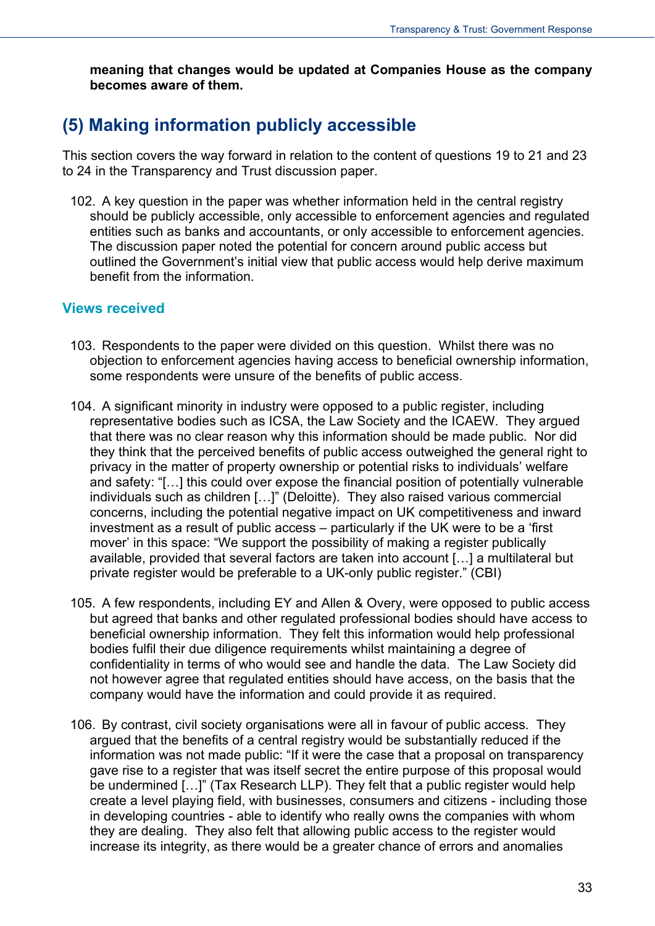**meaning that changes would be updated at Companies House as the company becomes aware of them.** 

### <span id="page-32-0"></span>**(5) Making information publicly accessible**

This section covers the way forward in relation to the content of questions 19 to 21 and 23 to 24 in the Transparency and Trust discussion paper.

102. A key question in the paper was whether information held in the central registry should be publicly accessible, only accessible to enforcement agencies and regulated entities such as banks and accountants, or only accessible to enforcement agencies. The discussion paper noted the potential for concern around public access but outlined the Government's initial view that public access would help derive maximum benefit from the information.

#### **Views received**

- 103. Respondents to the paper were divided on this question. Whilst there was no objection to enforcement agencies having access to beneficial ownership information, some respondents were unsure of the benefits of public access.
- 104. A significant minority in industry were opposed to a public register, including representative bodies such as ICSA, the Law Society and the ICAEW. They argued that there was no clear reason why this information should be made public. Nor did they think that the perceived benefits of public access outweighed the general right to privacy in the matter of property ownership or potential risks to individuals' welfare and safety: "[…] this could over expose the financial position of potentially vulnerable individuals such as children […]" (Deloitte). They also raised various commercial concerns, including the potential negative impact on UK competitiveness and inward investment as a result of public access – particularly if the UK were to be a 'first mover' in this space: "We support the possibility of making a register publically available, provided that several factors are taken into account […] a multilateral but private register would be preferable to a UK-only public register." (CBI)
- 105. A few respondents, including EY and Allen & Overy, were opposed to public access but agreed that banks and other regulated professional bodies should have access to beneficial ownership information. They felt this information would help professional bodies fulfil their due diligence requirements whilst maintaining a degree of confidentiality in terms of who would see and handle the data. The Law Society did not however agree that regulated entities should have access, on the basis that the company would have the information and could provide it as required.
- 106. By contrast, civil society organisations were all in favour of public access. They argued that the benefits of a central registry would be substantially reduced if the information was not made public: "If it were the case that a proposal on transparency gave rise to a register that was itself secret the entire purpose of this proposal would be undermined […]" (Tax Research LLP). They felt that a public register would help create a level playing field, with businesses, consumers and citizens - including those in developing countries - able to identify who really owns the companies with whom they are dealing. They also felt that allowing public access to the register would increase its integrity, as there would be a greater chance of errors and anomalies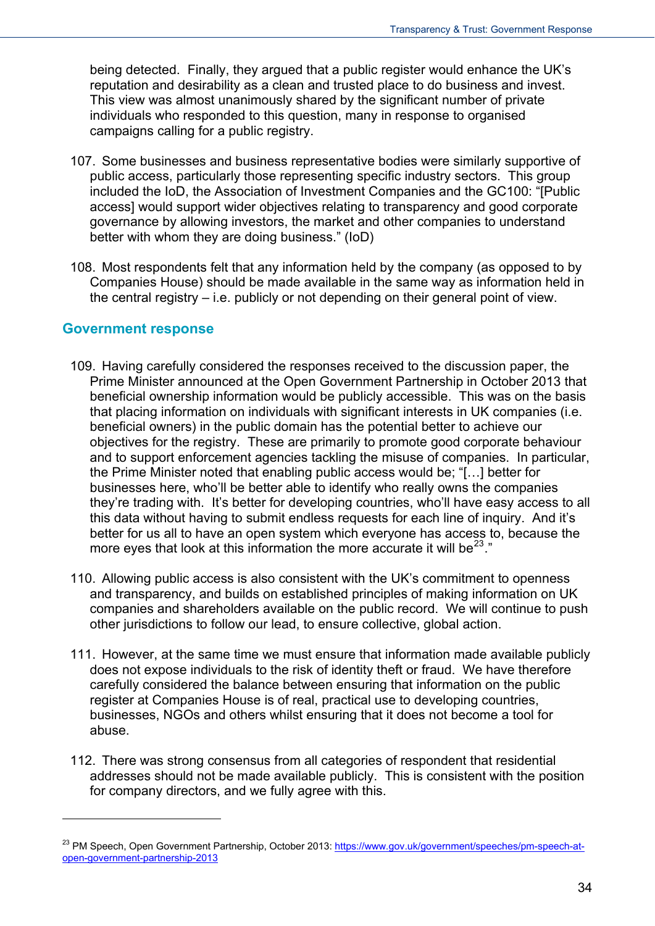being detected. Finally, they argued that a public register would enhance the UK's reputation and desirability as a clean and trusted place to do business and invest. This view was almost unanimously shared by the significant number of private individuals who responded to this question, many in response to organised campaigns calling for a public registry.

- 107. Some businesses and business representative bodies were similarly supportive of public access, particularly those representing specific industry sectors. This group included the IoD, the Association of Investment Companies and the GC100: "[Public access] would support wider objectives relating to transparency and good corporate governance by allowing investors, the market and other companies to understand better with whom they are doing business." (IoD)
- 108. Most respondents felt that any information held by the company (as opposed to by Companies House) should be made available in the same way as information held in the central registry – i.e. publicly or not depending on their general point of view.

#### **Government response**

- 109. Having carefully considered the responses received to the discussion paper, the Prime Minister announced at the Open Government Partnership in October 2013 that beneficial ownership information would be publicly accessible. This was on the basis that placing information on individuals with significant interests in UK companies (i.e. beneficial owners) in the public domain has the potential better to achieve our objectives for the registry. These are primarily to promote good corporate behaviour and to support enforcement agencies tackling the misuse of companies. In particular, the Prime Minister noted that enabling public access would be; "[…] better for businesses here, who'll be better able to identify who really owns the companies they're trading with. It's better for developing countries, who'll have easy access to all this data without having to submit endless requests for each line of inquiry. And it's better for us all to have an open system which everyone has access to, because the more eves that look at this information the more accurate it will be<sup>[23](#page-31-0)</sup>."
- 110. Allowing public access is also consistent with the UK's commitment to openness and transparency, and builds on established principles of making information on UK companies and shareholders available on the public record. We will continue to push other jurisdictions to follow our lead, to ensure collective, global action.
- 111. However, at the same time we must ensure that information made available publicly does not expose individuals to the risk of identity theft or fraud. We have therefore carefully considered the balance between ensuring that information on the public register at Companies House is of real, practical use to developing countries, businesses, NGOs and others whilst ensuring that it does not become a tool for abuse.
- 112. There was strong consensus from all categories of respondent that residential addresses should not be made available publicly. This is consistent with the position for company directors, and we fully agree with this.

<span id="page-33-0"></span><sup>&</sup>lt;sup>23</sup> PM Speech, Open Government Partnership, October 2013: [https://www.gov.uk/government/speeches/pm-speech-at](https://www.gov.uk/government/speeches/pm-speech-at-open-government-partnership-2013)[open-government-partnership-2013](https://www.gov.uk/government/speeches/pm-speech-at-open-government-partnership-2013)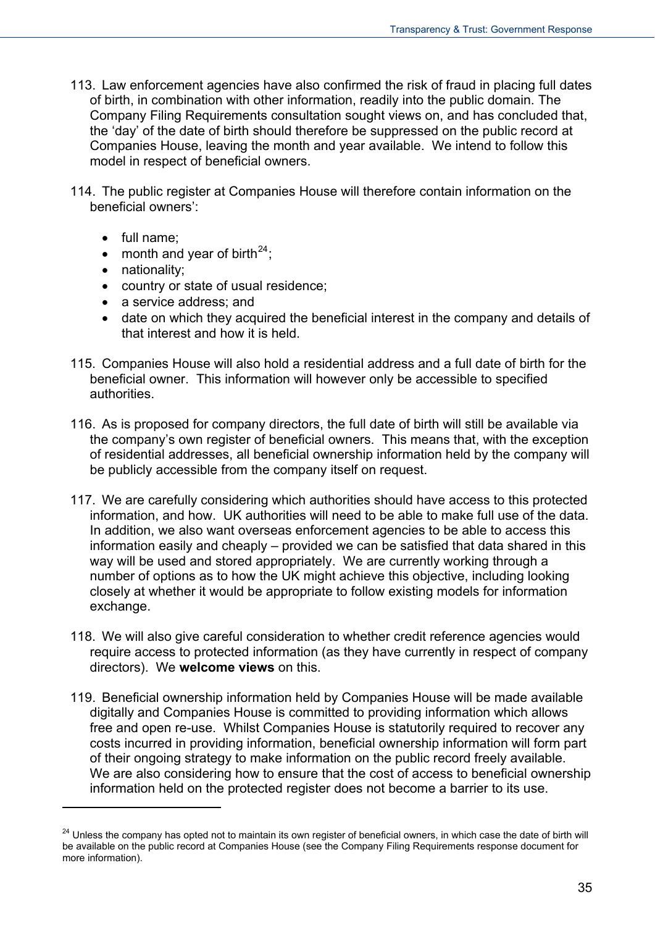- 113. Law enforcement agencies have also confirmed the risk of fraud in placing full dates of birth, in combination with other information, readily into the public domain. The Company Filing Requirements consultation sought views on, and has concluded that, the 'day' of the date of birth should therefore be suppressed on the public record at Companies House, leaving the month and year available. We intend to follow this model in respect of beneficial owners.
- 114. The public register at Companies House will therefore contain information on the beneficial owners':
	- full name;
	- month and year of birth<sup>[24](#page-33-0)</sup>;
	- nationality;

- country or state of usual residence;
- a service address; and
- date on which they acquired the beneficial interest in the company and details of that interest and how it is held.
- 115. Companies House will also hold a residential address and a full date of birth for the beneficial owner. This information will however only be accessible to specified authorities.
- 116. As is proposed for company directors, the full date of birth will still be available via the company's own register of beneficial owners. This means that, with the exception of residential addresses, all beneficial ownership information held by the company will be publicly accessible from the company itself on request.
- 117. We are carefully considering which authorities should have access to this protected information, and how. UK authorities will need to be able to make full use of the data. In addition, we also want overseas enforcement agencies to be able to access this information easily and cheaply – provided we can be satisfied that data shared in this way will be used and stored appropriately. We are currently working through a number of options as to how the UK might achieve this objective, including looking closely at whether it would be appropriate to follow existing models for information exchange.
- 118. We will also give careful consideration to whether credit reference agencies would require access to protected information (as they have currently in respect of company directors). We **welcome views** on this.
- 119. Beneficial ownership information held by Companies House will be made available digitally and Companies House is committed to providing information which allows free and open re-use. Whilst Companies House is statutorily required to recover any costs incurred in providing information, beneficial ownership information will form part of their ongoing strategy to make information on the public record freely available. We are also considering how to ensure that the cost of access to beneficial ownership information held on the protected register does not become a barrier to its use.

<span id="page-34-0"></span><sup>&</sup>lt;sup>24</sup> Unless the company has opted not to maintain its own register of beneficial owners, in which case the date of birth will be available on the public record at Companies House (see the Company Filing Requirements response document for more information).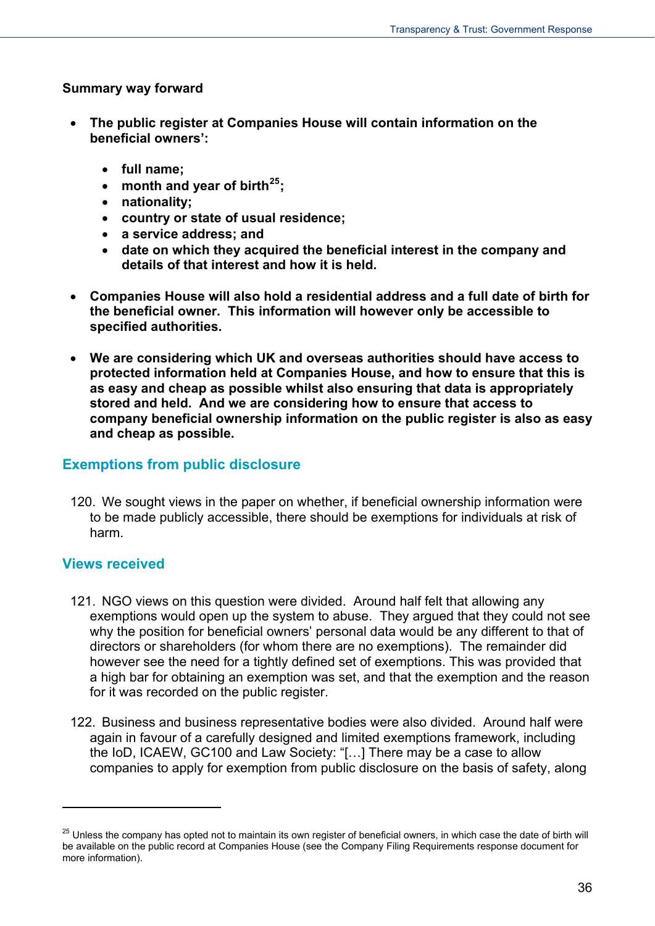#### **Summary way forward**

- **The public register at Companies House will contain information on the beneficial owners':** 
	- **full name;**
	- **month and year of birth[25](#page-34-0);**
	- **nationality;**
	- **country or state of usual residence;**
	- **a service address; and**
	- **date on which they acquired the beneficial interest in the company and details of that interest and how it is held.**
- **Companies House will also hold a residential address and a full date of birth for the beneficial owner. This information will however only be accessible to specified authorities.**
- **We are considering which UK and overseas authorities should have access to protected information held at Companies House, and how to ensure that this is as easy and cheap as possible whilst also ensuring that data is appropriately stored and held. And we are considering how to ensure that access to company beneficial ownership information on the public register is also as easy and cheap as possible.**

#### **Exemptions from public disclosure**

120. We sought views in the paper on whether, if beneficial ownership information were to be made publicly accessible, there should be exemptions for individuals at risk of harm.

#### **Views received**

- 121. NGO views on this question were divided. Around half felt that allowing any exemptions would open up the system to abuse. They argued that they could not see why the position for beneficial owners' personal data would be any different to that of directors or shareholders (for whom there are no exemptions). The remainder did however see the need for a tightly defined set of exemptions. This was provided that a high bar for obtaining an exemption was set, and that the exemption and the reason for it was recorded on the public register.
- 122. Business and business representative bodies were also divided. Around half were again in favour of a carefully designed and limited exemptions framework, including the IoD, ICAEW, GC100 and Law Society: "[…] There may be a case to allow companies to apply for exemption from public disclosure on the basis of safety, along

<sup>&</sup>lt;sup>25</sup> Unless the company has opted not to maintain its own register of beneficial owners, in which case the date of birth will be available on the public record at Companies House (see the Company Filing Requirements response document for more information).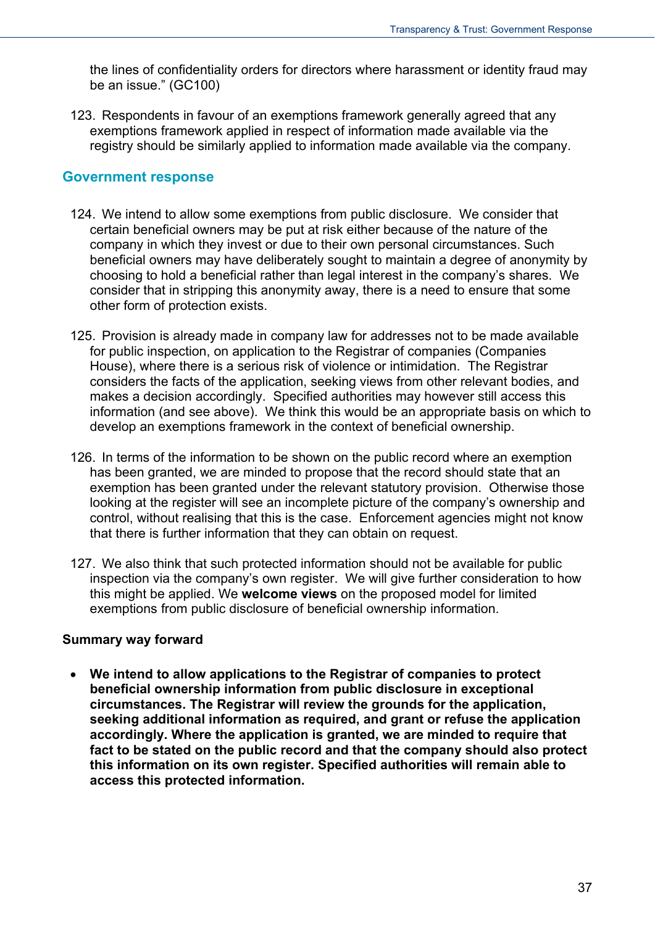the lines of confidentiality orders for directors where harassment or identity fraud may be an issue." (GC100)

123. Respondents in favour of an exemptions framework generally agreed that any exemptions framework applied in respect of information made available via the registry should be similarly applied to information made available via the company.

#### **Government response**

- 124. We intend to allow some exemptions from public disclosure. We consider that certain beneficial owners may be put at risk either because of the nature of the company in which they invest or due to their own personal circumstances. Such beneficial owners may have deliberately sought to maintain a degree of anonymity by choosing to hold a beneficial rather than legal interest in the company's shares. We consider that in stripping this anonymity away, there is a need to ensure that some other form of protection exists.
- 125. Provision is already made in company law for addresses not to be made available for public inspection, on application to the Registrar of companies (Companies House), where there is a serious risk of violence or intimidation. The Registrar considers the facts of the application, seeking views from other relevant bodies, and makes a decision accordingly. Specified authorities may however still access this information (and see above). We think this would be an appropriate basis on which to develop an exemptions framework in the context of beneficial ownership.
- 126. In terms of the information to be shown on the public record where an exemption has been granted, we are minded to propose that the record should state that an exemption has been granted under the relevant statutory provision. Otherwise those looking at the register will see an incomplete picture of the company's ownership and control, without realising that this is the case. Enforcement agencies might not know that there is further information that they can obtain on request.
- 127. We also think that such protected information should not be available for public inspection via the company's own register. We will give further consideration to how this might be applied. We **welcome views** on the proposed model for limited exemptions from public disclosure of beneficial ownership information.

#### **Summary way forward**

 **We intend to allow applications to the Registrar of companies to protect beneficial ownership information from public disclosure in exceptional circumstances. The Registrar will review the grounds for the application, seeking additional information as required, and grant or refuse the application accordingly. Where the application is granted, we are minded to require that fact to be stated on the public record and that the company should also protect this information on its own register. Specified authorities will remain able to access this protected information.**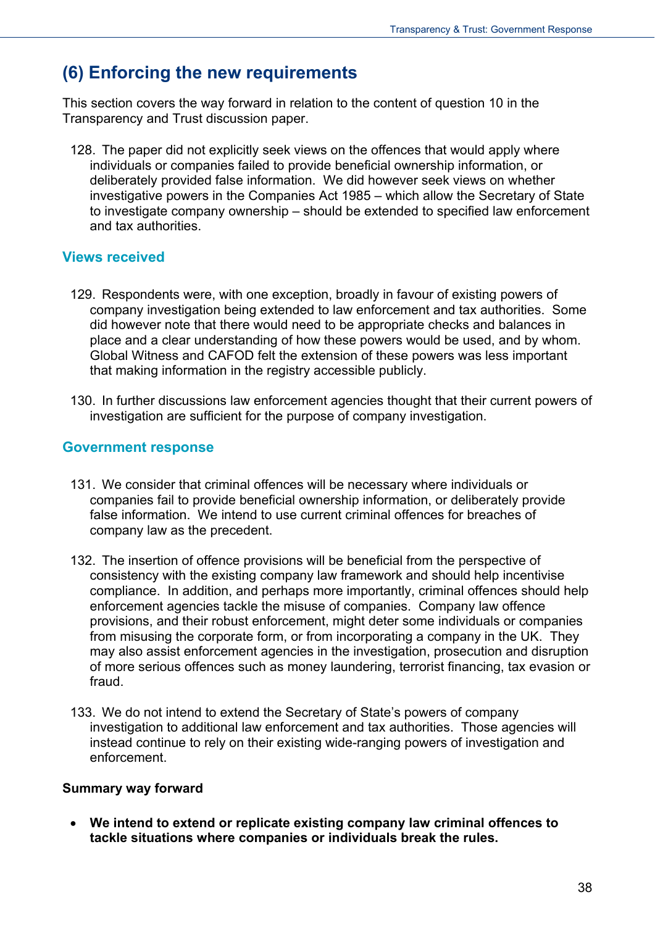## **(6) Enforcing the new requirements**

This section covers the way forward in relation to the content of question 10 in the Transparency and Trust discussion paper.

128. The paper did not explicitly seek views on the offences that would apply where individuals or companies failed to provide beneficial ownership information, or deliberately provided false information. We did however seek views on whether investigative powers in the Companies Act 1985 – which allow the Secretary of State to investigate company ownership – should be extended to specified law enforcement and tax authorities.

#### **Views received**

- 129. Respondents were, with one exception, broadly in favour of existing powers of company investigation being extended to law enforcement and tax authorities. Some did however note that there would need to be appropriate checks and balances in place and a clear understanding of how these powers would be used, and by whom. Global Witness and CAFOD felt the extension of these powers was less important that making information in the registry accessible publicly.
- 130. In further discussions law enforcement agencies thought that their current powers of investigation are sufficient for the purpose of company investigation.

#### **Government response**

- 131. We consider that criminal offences will be necessary where individuals or companies fail to provide beneficial ownership information, or deliberately provide false information. We intend to use current criminal offences for breaches of company law as the precedent.
- 132. The insertion of offence provisions will be beneficial from the perspective of consistency with the existing company law framework and should help incentivise compliance. In addition, and perhaps more importantly, criminal offences should help enforcement agencies tackle the misuse of companies. Company law offence provisions, and their robust enforcement, might deter some individuals or companies from misusing the corporate form, or from incorporating a company in the UK. They may also assist enforcement agencies in the investigation, prosecution and disruption of more serious offences such as money laundering, terrorist financing, tax evasion or fraud.
- 133. We do not intend to extend the Secretary of State's powers of company investigation to additional law enforcement and tax authorities. Those agencies will instead continue to rely on their existing wide-ranging powers of investigation and enforcement.

#### **Summary way forward**

 **We intend to extend or replicate existing company law criminal offences to tackle situations where companies or individuals break the rules.**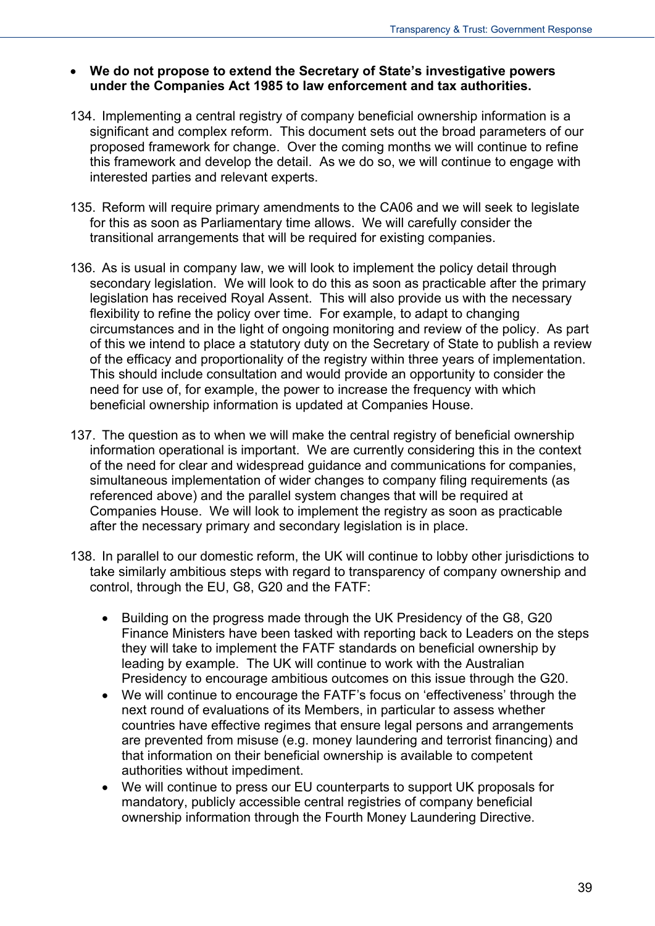#### **We do not propose to extend the Secretary of State's investigative powers under the Companies Act 1985 to law enforcement and tax authorities.**

- 134. Implementing a central registry of company beneficial ownership information is a significant and complex reform. This document sets out the broad parameters of our proposed framework for change. Over the coming months we will continue to refine this framework and develop the detail. As we do so, we will continue to engage with interested parties and relevant experts.
- 135. Reform will require primary amendments to the CA06 and we will seek to legislate for this as soon as Parliamentary time allows. We will carefully consider the transitional arrangements that will be required for existing companies.
- 136. As is usual in company law, we will look to implement the policy detail through secondary legislation. We will look to do this as soon as practicable after the primary legislation has received Royal Assent. This will also provide us with the necessary flexibility to refine the policy over time. For example, to adapt to changing circumstances and in the light of ongoing monitoring and review of the policy. As part of this we intend to place a statutory duty on the Secretary of State to publish a review of the efficacy and proportionality of the registry within three years of implementation. This should include consultation and would provide an opportunity to consider the need for use of, for example, the power to increase the frequency with which beneficial ownership information is updated at Companies House.
- 137. The question as to when we will make the central registry of beneficial ownership information operational is important. We are currently considering this in the context of the need for clear and widespread guidance and communications for companies, simultaneous implementation of wider changes to company filing requirements (as referenced above) and the parallel system changes that will be required at Companies House. We will look to implement the registry as soon as practicable after the necessary primary and secondary legislation is in place.
- 138. In parallel to our domestic reform, the UK will continue to lobby other jurisdictions to take similarly ambitious steps with regard to transparency of company ownership and control, through the EU, G8, G20 and the FATF:
	- Building on the progress made through the UK Presidency of the G8, G20 Finance Ministers have been tasked with reporting back to Leaders on the steps they will take to implement the FATF standards on beneficial ownership by leading by example. The UK will continue to work with the Australian Presidency to encourage ambitious outcomes on this issue through the G20.
	- We will continue to encourage the FATF's focus on 'effectiveness' through the next round of evaluations of its Members, in particular to assess whether countries have effective regimes that ensure legal persons and arrangements are prevented from misuse (e.g. money laundering and terrorist financing) and that information on their beneficial ownership is available to competent authorities without impediment.
	- We will continue to press our EU counterparts to support UK proposals for mandatory, publicly accessible central registries of company beneficial ownership information through the Fourth Money Laundering Directive.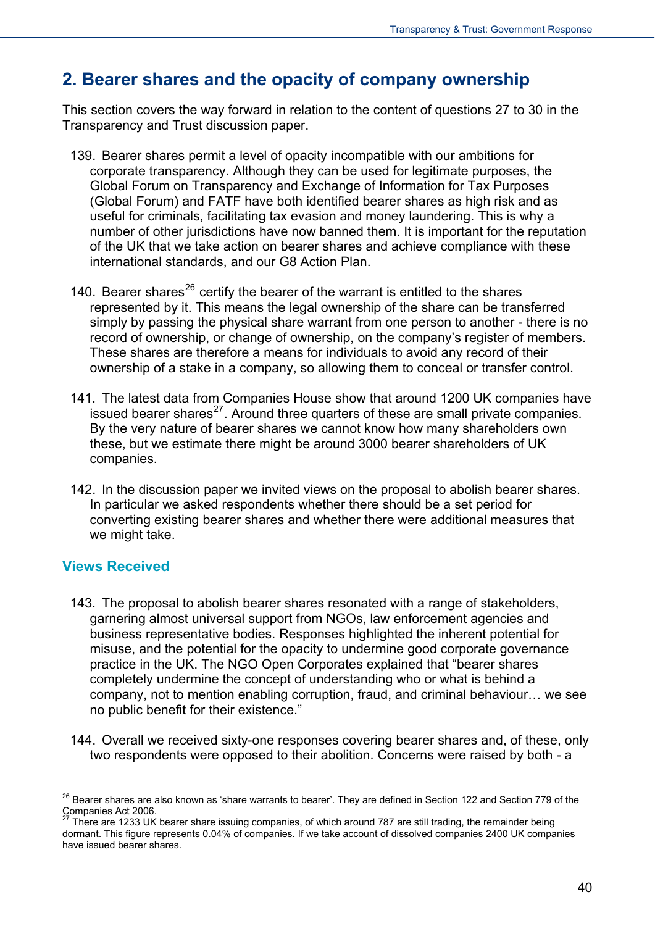## **2. Bearer shares and the opacity of company ownership**

This section covers the way forward in relation to the content of questions 27 to 30 in the Transparency and Trust discussion paper.

- 139. Bearer shares permit a level of opacity incompatible with our ambitions for corporate transparency. Although they can be used for legitimate purposes, the Global Forum on Transparency and Exchange of Information for Tax Purposes (Global Forum) and FATF have both identified bearer shares as high risk and as useful for criminals, facilitating tax evasion and money laundering. This is why a number of other jurisdictions have now banned them. It is important for the reputation of the UK that we take action on bearer shares and achieve compliance with these international standards, and our G8 Action Plan.
- 140. Bearer shares<sup>[26](#page-35-0)</sup> certify the bearer of the warrant is entitled to the shares represented by it. This means the legal ownership of the share can be transferred simply by passing the physical share warrant from one person to another - there is no record of ownership, or change of ownership, on the company's register of members. These shares are therefore a means for individuals to avoid any record of their ownership of a stake in a company, so allowing them to conceal or transfer control.
- 141. The latest data from Companies House show that around 1200 UK companies have issued bearer shares $^{27}$  $^{27}$  $^{27}$ . Around three quarters of these are small private companies. By the very nature of bearer shares we cannot know how many shareholders own these, but we estimate there might be around 3000 bearer shareholders of UK companies.
- 142. In the discussion paper we invited views on the proposal to abolish bearer shares. In particular we asked respondents whether there should be a set period for converting existing bearer shares and whether there were additional measures that we might take.

#### **Views Received**

- 143. The proposal to abolish bearer shares resonated with a range of stakeholders, garnering almost universal support from NGOs, law enforcement agencies and business representative bodies. Responses highlighted the inherent potential for misuse, and the potential for the opacity to undermine good corporate governance practice in the UK. The NGO Open Corporates explained that "bearer shares completely undermine the concept of understanding who or what is behind a company, not to mention enabling corruption, fraud, and criminal behaviour… we see no public benefit for their existence."
- 144. Overall we received sixty-one responses covering bearer shares and, of these, only two respondents were opposed to their abolition. Concerns were raised by both - a

<sup>&</sup>lt;sup>26</sup> Bearer shares are also known as 'share warrants to bearer'. They are defined in Section 122 and Section 779 of the Companies Act 2006.

<span id="page-39-1"></span><span id="page-39-0"></span>There are 1233 UK bearer share issuing companies, of which around 787 are still trading, the remainder being dormant. This figure represents 0.04% of companies. If we take account of dissolved companies 2400 UK companies have issued bearer shares.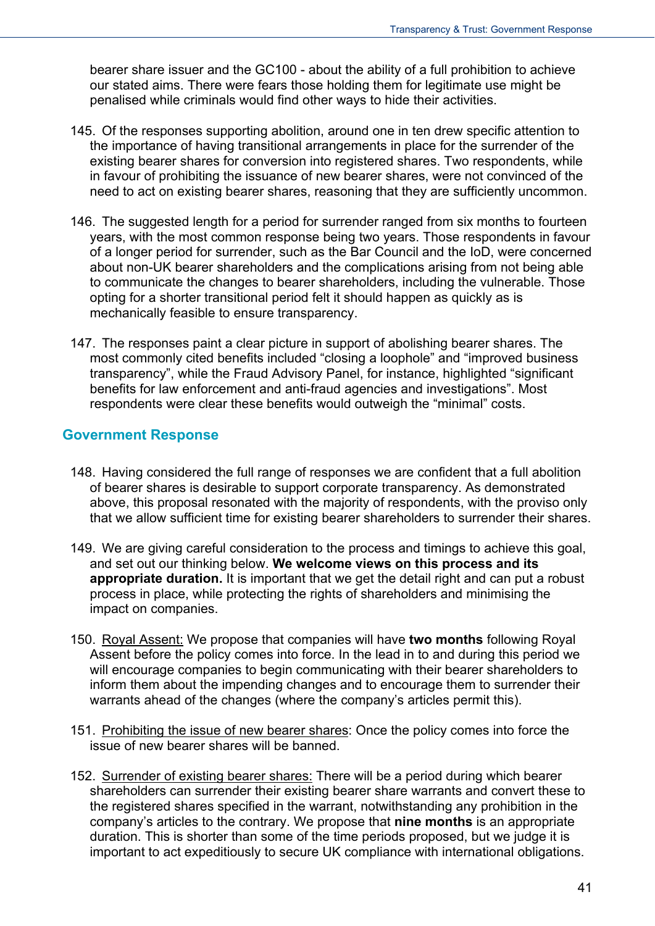bearer share issuer and the GC100 - about the ability of a full prohibition to achieve our stated aims. There were fears those holding them for legitimate use might be penalised while criminals would find other ways to hide their activities.

- 145. Of the responses supporting abolition, around one in ten drew specific attention to the importance of having transitional arrangements in place for the surrender of the existing bearer shares for conversion into registered shares. Two respondents, while in favour of prohibiting the issuance of new bearer shares, were not convinced of the need to act on existing bearer shares, reasoning that they are sufficiently uncommon.
- 146. The suggested length for a period for surrender ranged from six months to fourteen years, with the most common response being two years. Those respondents in favour of a longer period for surrender, such as the Bar Council and the IoD, were concerned about non-UK bearer shareholders and the complications arising from not being able to communicate the changes to bearer shareholders, including the vulnerable. Those opting for a shorter transitional period felt it should happen as quickly as is mechanically feasible to ensure transparency.
- 147. The responses paint a clear picture in support of abolishing bearer shares. The most commonly cited benefits included "closing a loophole" and "improved business transparency", while the Fraud Advisory Panel, for instance, highlighted "significant benefits for law enforcement and anti-fraud agencies and investigations". Most respondents were clear these benefits would outweigh the "minimal" costs.

#### **Government Response**

- 148. Having considered the full range of responses we are confident that a full abolition of bearer shares is desirable to support corporate transparency. As demonstrated above, this proposal resonated with the majority of respondents, with the proviso only that we allow sufficient time for existing bearer shareholders to surrender their shares.
- 149. We are giving careful consideration to the process and timings to achieve this goal, and set out our thinking below. **We welcome views on this process and its appropriate duration.** It is important that we get the detail right and can put a robust process in place, while protecting the rights of shareholders and minimising the impact on companies.
- 150. Royal Assent: We propose that companies will have **two months** following Royal Assent before the policy comes into force. In the lead in to and during this period we will encourage companies to begin communicating with their bearer shareholders to inform them about the impending changes and to encourage them to surrender their warrants ahead of the changes (where the company's articles permit this).
- 151. Prohibiting the issue of new bearer shares: Once the policy comes into force the issue of new bearer shares will be banned.
- 152. Surrender of existing bearer shares: There will be a period during which bearer shareholders can surrender their existing bearer share warrants and convert these to the registered shares specified in the warrant, notwithstanding any prohibition in the company's articles to the contrary. We propose that **nine months** is an appropriate duration. This is shorter than some of the time periods proposed, but we judge it is important to act expeditiously to secure UK compliance with international obligations.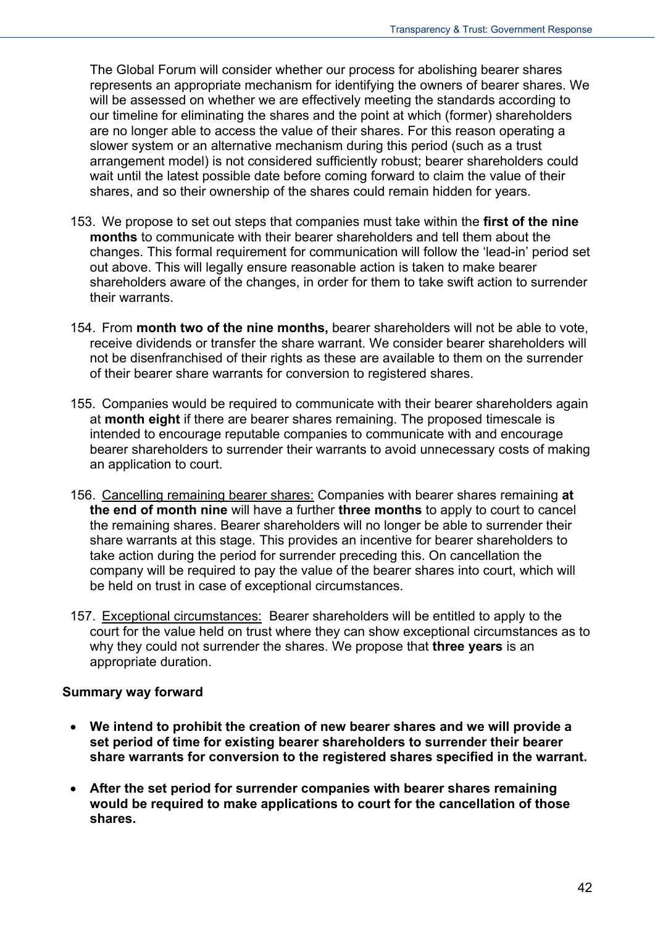The Global Forum will consider whether our process for abolishing bearer shares represents an appropriate mechanism for identifying the owners of bearer shares. We will be assessed on whether we are effectively meeting the standards according to our timeline for eliminating the shares and the point at which (former) shareholders are no longer able to access the value of their shares. For this reason operating a slower system or an alternative mechanism during this period (such as a trust arrangement model) is not considered sufficiently robust; bearer shareholders could wait until the latest possible date before coming forward to claim the value of their shares, and so their ownership of the shares could remain hidden for years.

- 153. We propose to set out steps that companies must take within the **first of the nine months** to communicate with their bearer shareholders and tell them about the changes. This formal requirement for communication will follow the 'lead-in' period set out above. This will legally ensure reasonable action is taken to make bearer shareholders aware of the changes, in order for them to take swift action to surrender their warrants.
- 154. From **month two of the nine months,** bearer shareholders will not be able to vote, receive dividends or transfer the share warrant. We consider bearer shareholders will not be disenfranchised of their rights as these are available to them on the surrender of their bearer share warrants for conversion to registered shares.
- 155. Companies would be required to communicate with their bearer shareholders again at **month eight** if there are bearer shares remaining. The proposed timescale is intended to encourage reputable companies to communicate with and encourage bearer shareholders to surrender their warrants to avoid unnecessary costs of making an application to court.
- 156. Cancelling remaining bearer shares: Companies with bearer shares remaining **at the end of month nine** will have a further **three months** to apply to court to cancel the remaining shares. Bearer shareholders will no longer be able to surrender their share warrants at this stage. This provides an incentive for bearer shareholders to take action during the period for surrender preceding this. On cancellation the company will be required to pay the value of the bearer shares into court, which will be held on trust in case of exceptional circumstances.
- 157. Exceptional circumstances: Bearer shareholders will be entitled to apply to the court for the value held on trust where they can show exceptional circumstances as to why they could not surrender the shares. We propose that **three years** is an appropriate duration.

#### **Summary way forward**

- **We intend to prohibit the creation of new bearer shares and we will provide a set period of time for existing bearer shareholders to surrender their bearer share warrants for conversion to the registered shares specified in the warrant.**
- **After the set period for surrender companies with bearer shares remaining would be required to make applications to court for the cancellation of those shares.**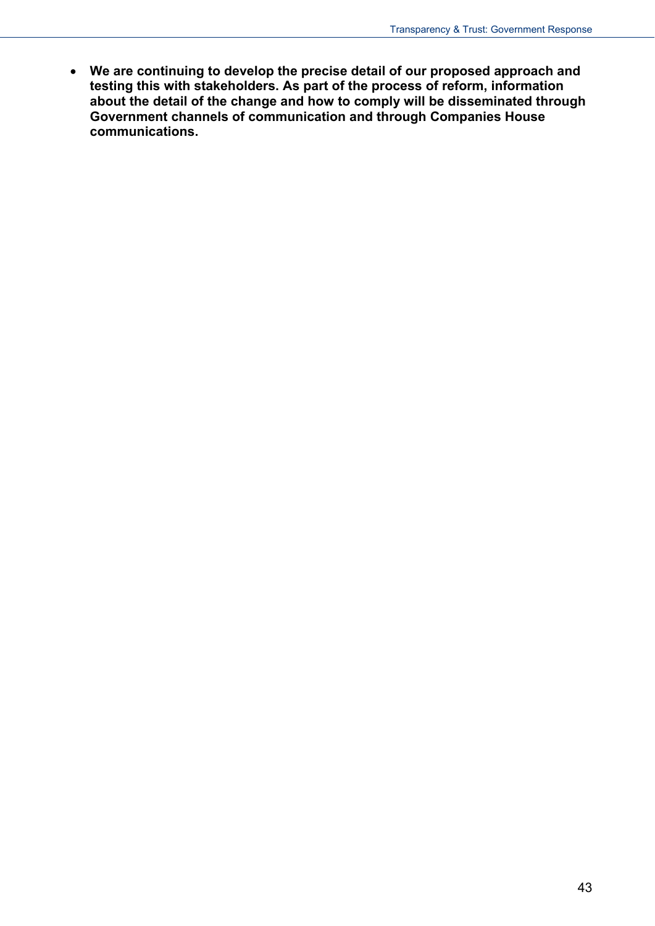**We are continuing to develop the precise detail of our proposed approach and testing this with stakeholders. As part of the process of reform, information about the detail of the change and how to comply will be disseminated through Government channels of communication and through Companies House communications.**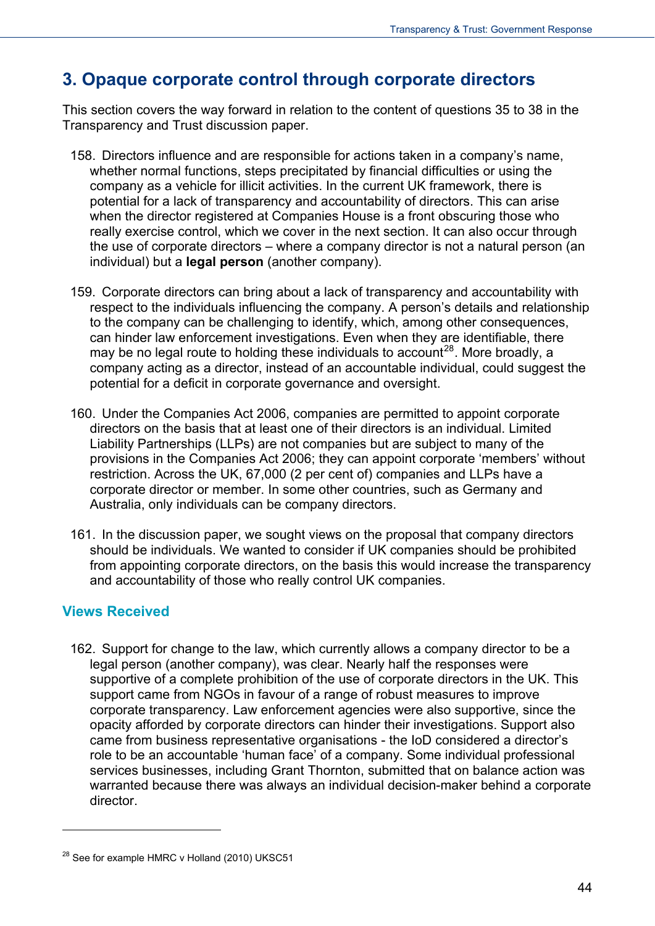# **3. Opaque corporate control through corporate directors**

This section covers the way forward in relation to the content of questions 35 to 38 in the Transparency and Trust discussion paper.

- 158. Directors influence and are responsible for actions taken in a company's name, whether normal functions, steps precipitated by financial difficulties or using the company as a vehicle for illicit activities. In the current UK framework, there is potential for a lack of transparency and accountability of directors. This can arise when the director registered at Companies House is a front obscuring those who really exercise control, which we cover in the next section. It can also occur through the use of corporate directors – where a company director is not a natural person (an individual) but a **legal person** (another company).
- 159. Corporate directors can bring about a lack of transparency and accountability with respect to the individuals influencing the company. A person's details and relationship to the company can be challenging to identify, which, among other consequences, can hinder law enforcement investigations. Even when they are identifiable, there may be no legal route to holding these individuals to account<sup>[28](#page-39-1)</sup>. More broadly, a company acting as a director, instead of an accountable individual, could suggest the potential for a deficit in corporate governance and oversight.
- 160. Under the Companies Act 2006, companies are permitted to appoint corporate directors on the basis that at least one of their directors is an individual. Limited Liability Partnerships (LLPs) are not companies but are subject to many of the provisions in the Companies Act 2006; they can appoint corporate 'members' without restriction. Across the UK, 67,000 (2 per cent of) companies and LLPs have a corporate director or member. In some other countries, such as Germany and Australia, only individuals can be company directors.
- 161. In the discussion paper, we sought views on the proposal that company directors should be individuals. We wanted to consider if UK companies should be prohibited from appointing corporate directors, on the basis this would increase the transparency and accountability of those who really control UK companies.

## **Views Received**

 $\overline{a}$ 

162. Support for change to the law, which currently allows a company director to be a legal person (another company), was clear. Nearly half the responses were supportive of a complete prohibition of the use of corporate directors in the UK. This support came from NGOs in favour of a range of robust measures to improve corporate transparency. Law enforcement agencies were also supportive, since the opacity afforded by corporate directors can hinder their investigations. Support also came from business representative organisations - the IoD considered a director's role to be an accountable 'human face' of a company. Some individual professional services businesses, including Grant Thornton, submitted that on balance action was warranted because there was always an individual decision-maker behind a corporate director.

<span id="page-43-0"></span><sup>&</sup>lt;sup>28</sup> See for example HMRC v Holland (2010) UKSC51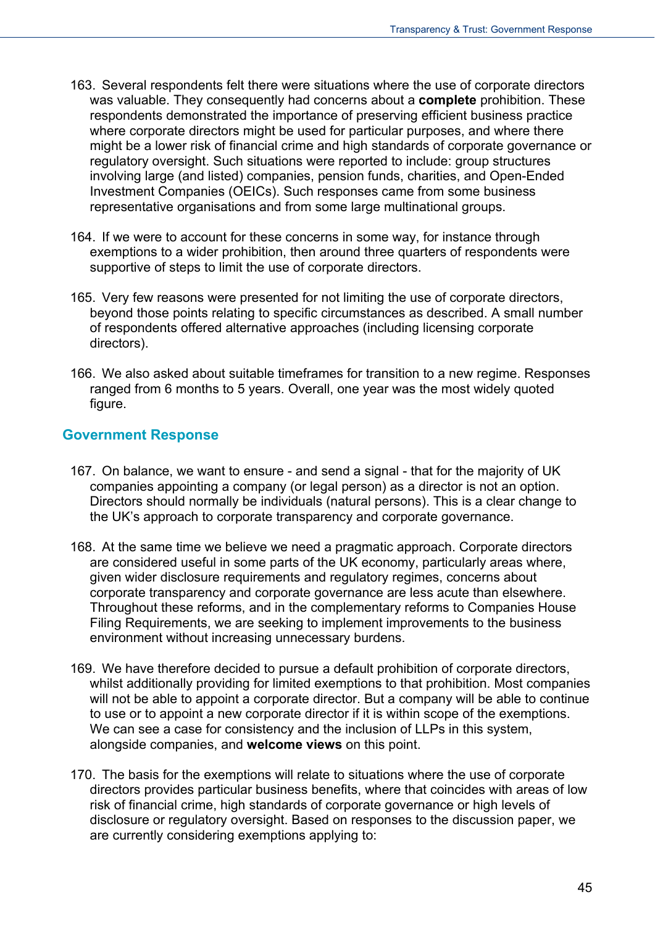- 163. Several respondents felt there were situations where the use of corporate directors was valuable. They consequently had concerns about a **complete** prohibition. These respondents demonstrated the importance of preserving efficient business practice where corporate directors might be used for particular purposes, and where there might be a lower risk of financial crime and high standards of corporate governance or regulatory oversight. Such situations were reported to include: group structures involving large (and listed) companies, pension funds, charities, and Open-Ended Investment Companies (OEICs). Such responses came from some business representative organisations and from some large multinational groups.
- 164. If we were to account for these concerns in some way, for instance through exemptions to a wider prohibition, then around three quarters of respondents were supportive of steps to limit the use of corporate directors.
- 165. Very few reasons were presented for not limiting the use of corporate directors, beyond those points relating to specific circumstances as described. A small number of respondents offered alternative approaches (including licensing corporate directors).
- 166. We also asked about suitable timeframes for transition to a new regime. Responses ranged from 6 months to 5 years. Overall, one year was the most widely quoted figure.

#### **Government Response**

- 167. On balance, we want to ensure and send a signal that for the majority of UK companies appointing a company (or legal person) as a director is not an option. Directors should normally be individuals (natural persons). This is a clear change to the UK's approach to corporate transparency and corporate governance.
- 168. At the same time we believe we need a pragmatic approach. Corporate directors are considered useful in some parts of the UK economy, particularly areas where, given wider disclosure requirements and regulatory regimes, concerns about corporate transparency and corporate governance are less acute than elsewhere. Throughout these reforms, and in the complementary reforms to Companies House Filing Requirements, we are seeking to implement improvements to the business environment without increasing unnecessary burdens.
- 169. We have therefore decided to pursue a default prohibition of corporate directors, whilst additionally providing for limited exemptions to that prohibition. Most companies will not be able to appoint a corporate director. But a company will be able to continue to use or to appoint a new corporate director if it is within scope of the exemptions. We can see a case for consistency and the inclusion of LLPs in this system, alongside companies, and **welcome views** on this point.
- 170. The basis for the exemptions will relate to situations where the use of corporate directors provides particular business benefits, where that coincides with areas of low risk of financial crime, high standards of corporate governance or high levels of disclosure or regulatory oversight. Based on responses to the discussion paper, we are currently considering exemptions applying to: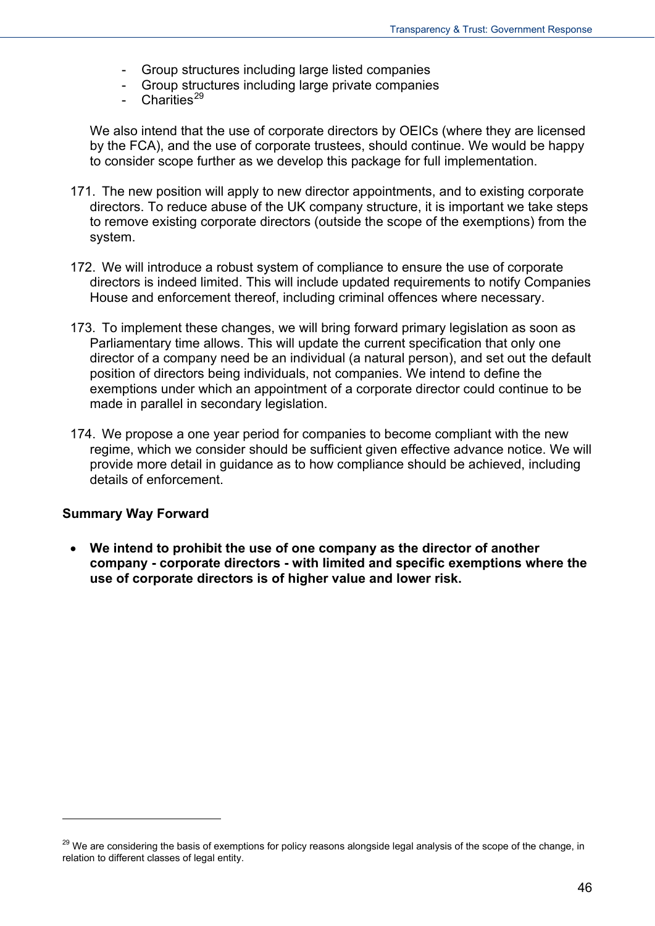- Group structures including large listed companies
- Group structures including large private companies
- Charities<sup>[29](#page-43-0)</sup>

We also intend that the use of corporate directors by OEICs (where they are licensed by the FCA), and the use of corporate trustees, should continue. We would be happy to consider scope further as we develop this package for full implementation.

- 171. The new position will apply to new director appointments, and to existing corporate directors. To reduce abuse of the UK company structure, it is important we take steps to remove existing corporate directors (outside the scope of the exemptions) from the system.
- 172. We will introduce a robust system of compliance to ensure the use of corporate directors is indeed limited. This will include updated requirements to notify Companies House and enforcement thereof, including criminal offences where necessary.
- 173. To implement these changes, we will bring forward primary legislation as soon as Parliamentary time allows. This will update the current specification that only one director of a company need be an individual (a natural person), and set out the default position of directors being individuals, not companies. We intend to define the exemptions under which an appointment of a corporate director could continue to be made in parallel in secondary legislation.
- 174. We propose a one year period for companies to become compliant with the new regime, which we consider should be sufficient given effective advance notice. We will provide more detail in guidance as to how compliance should be achieved, including details of enforcement.

#### **Summary Way Forward**

 $\overline{a}$ 

 **We intend to prohibit the use of one company as the director of another company - corporate directors - with limited and specific exemptions where the use of corporate directors is of higher value and lower risk.** 

<span id="page-45-0"></span><sup>&</sup>lt;sup>29</sup> We are considering the basis of exemptions for policy reasons alongside legal analysis of the scope of the change, in relation to different classes of legal entity.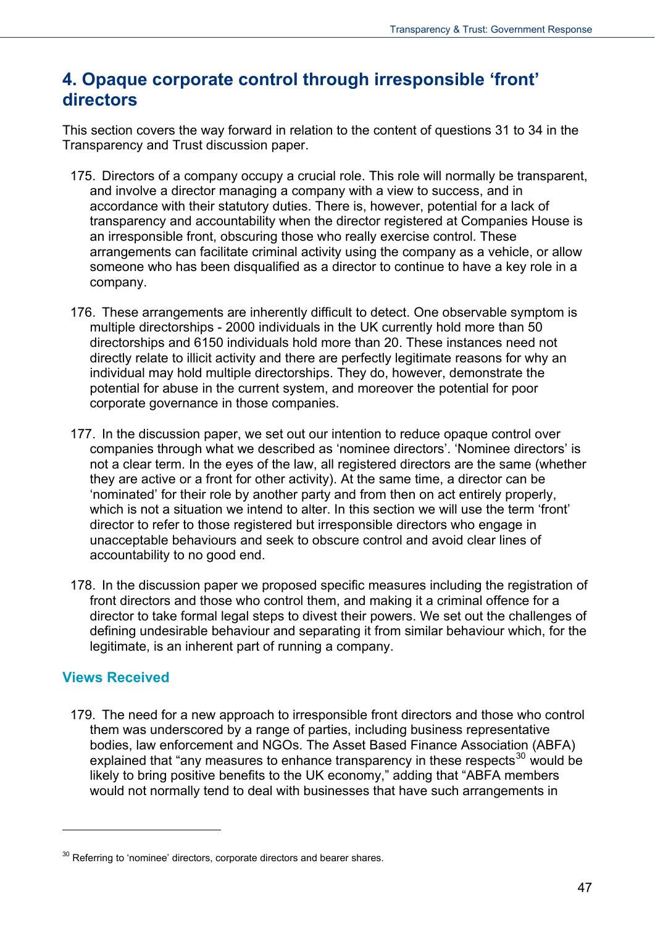## **4. Opaque corporate control through irresponsible 'front' directors**

This section covers the way forward in relation to the content of questions 31 to 34 in the Transparency and Trust discussion paper.

- 175. Directors of a company occupy a crucial role. This role will normally be transparent, and involve a director managing a company with a view to success, and in accordance with their statutory duties. There is, however, potential for a lack of transparency and accountability when the director registered at Companies House is an irresponsible front, obscuring those who really exercise control. These arrangements can facilitate criminal activity using the company as a vehicle, or allow someone who has been disqualified as a director to continue to have a key role in a company.
- 176. These arrangements are inherently difficult to detect. One observable symptom is multiple directorships - 2000 individuals in the UK currently hold more than 50 directorships and 6150 individuals hold more than 20. These instances need not directly relate to illicit activity and there are perfectly legitimate reasons for why an individual may hold multiple directorships. They do, however, demonstrate the potential for abuse in the current system, and moreover the potential for poor corporate governance in those companies.
- 177. In the discussion paper, we set out our intention to reduce opaque control over companies through what we described as 'nominee directors'. 'Nominee directors' is not a clear term. In the eyes of the law, all registered directors are the same (whether they are active or a front for other activity). At the same time, a director can be 'nominated' for their role by another party and from then on act entirely properly, which is not a situation we intend to alter. In this section we will use the term 'front' director to refer to those registered but irresponsible directors who engage in unacceptable behaviours and seek to obscure control and avoid clear lines of accountability to no good end.
- 178. In the discussion paper we proposed specific measures including the registration of front directors and those who control them, and making it a criminal offence for a director to take formal legal steps to divest their powers. We set out the challenges of defining undesirable behaviour and separating it from similar behaviour which, for the legitimate, is an inherent part of running a company.

#### **Views Received**

 $\overline{a}$ 

179. The need for a new approach to irresponsible front directors and those who control them was underscored by a range of parties, including business representative bodies, law enforcement and NGOs. The Asset Based Finance Association (ABFA) explained that "any measures to enhance transparency in these respects<sup>[30](#page-45-0)</sup> would be likely to bring positive benefits to the UK economy," adding that "ABFA members would not normally tend to deal with businesses that have such arrangements in

 $30$  Referring to 'nominee' directors, corporate directors and bearer shares.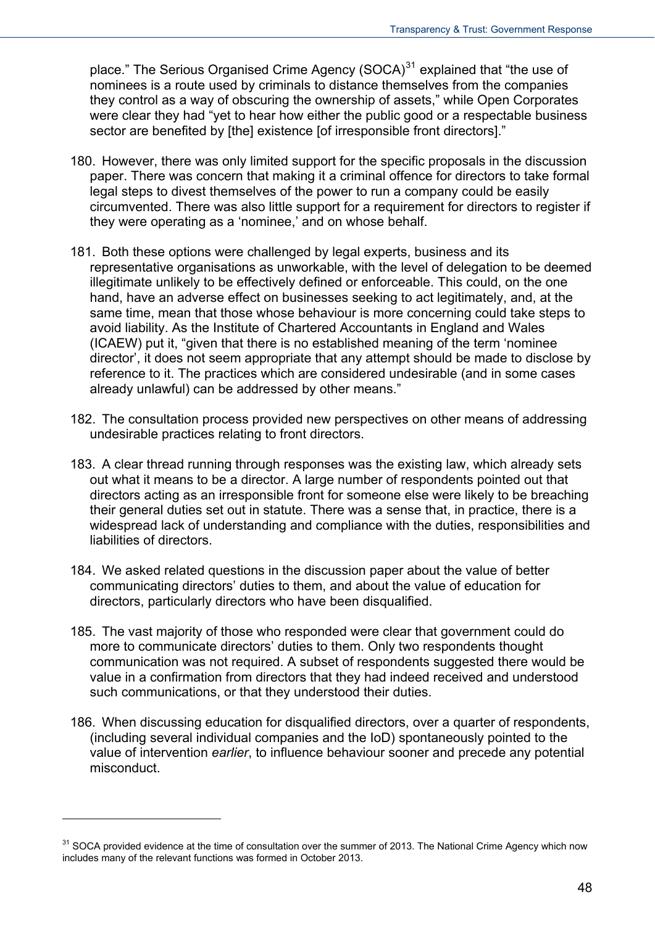place." The Serious Organised Crime Agency  $(SOCA)^{31}$  explained that "the use of nominees is a route used by criminals to distance themselves from the companies they control as a way of obscuring the ownership of assets," while Open Corporates were clear they had "yet to hear how either the public good or a respectable business sector are benefited by [the] existence [of irresponsible front directors]."

- 180. However, there was only limited support for the specific proposals in the discussion paper. There was concern that making it a criminal offence for directors to take formal legal steps to divest themselves of the power to run a company could be easily circumvented. There was also little support for a requirement for directors to register if they were operating as a 'nominee,' and on whose behalf.
- 181. Both these options were challenged by legal experts, business and its representative organisations as unworkable, with the level of delegation to be deemed illegitimate unlikely to be effectively defined or enforceable. This could, on the one hand, have an adverse effect on businesses seeking to act legitimately, and, at the same time, mean that those whose behaviour is more concerning could take steps to avoid liability. As the Institute of Chartered Accountants in England and Wales (ICAEW) put it, "given that there is no established meaning of the term 'nominee director', it does not seem appropriate that any attempt should be made to disclose by reference to it. The practices which are considered undesirable (and in some cases already unlawful) can be addressed by other means."
- 182. The consultation process provided new perspectives on other means of addressing undesirable practices relating to front directors.
- 183. A clear thread running through responses was the existing law, which already sets out what it means to be a director. A large number of respondents pointed out that directors acting as an irresponsible front for someone else were likely to be breaching their general duties set out in statute. There was a sense that, in practice, there is a widespread lack of understanding and compliance with the duties, responsibilities and liabilities of directors.
- 184. We asked related questions in the discussion paper about the value of better communicating directors' duties to them, and about the value of education for directors, particularly directors who have been disqualified.
- 185. The vast majority of those who responded were clear that government could do more to communicate directors' duties to them. Only two respondents thought communication was not required. A subset of respondents suggested there would be value in a confirmation from directors that they had indeed received and understood such communications, or that they understood their duties.
- 186. When discussing education for disqualified directors, over a quarter of respondents, (including several individual companies and the IoD) spontaneously pointed to the value of intervention *earlier*, to influence behaviour sooner and precede any potential misconduct.

<span id="page-47-0"></span> $31$  SOCA provided evidence at the time of consultation over the summer of 2013. The National Crime Agency which now includes many of the relevant functions was formed in October 2013.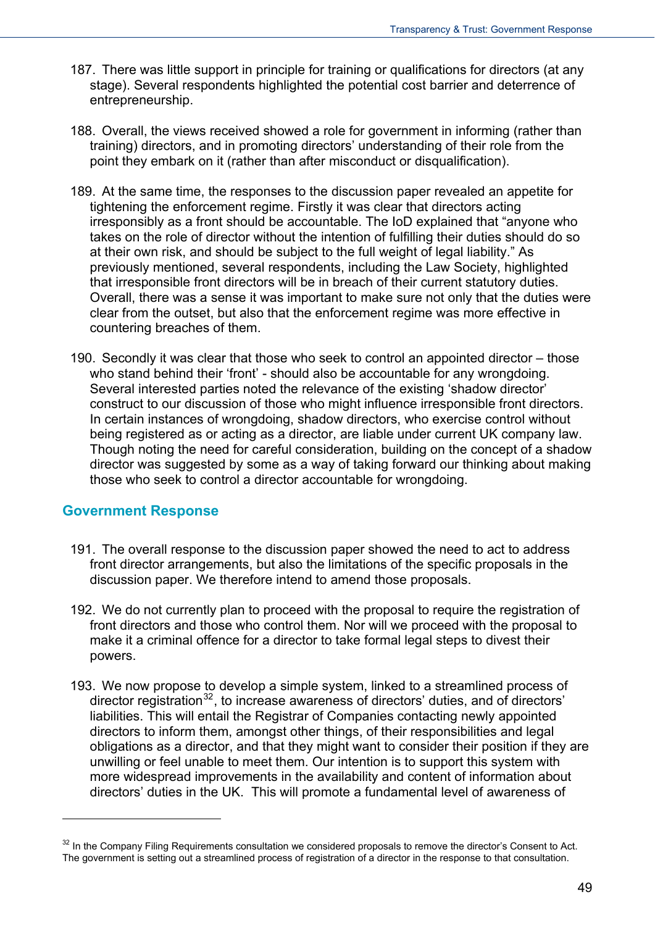- 187. There was little support in principle for training or qualifications for directors (at any stage). Several respondents highlighted the potential cost barrier and deterrence of entrepreneurship.
- 188. Overall, the views received showed a role for government in informing (rather than training) directors, and in promoting directors' understanding of their role from the point they embark on it (rather than after misconduct or disqualification).
- 189. At the same time, the responses to the discussion paper revealed an appetite for tightening the enforcement regime. Firstly it was clear that directors acting irresponsibly as a front should be accountable. The IoD explained that "anyone who takes on the role of director without the intention of fulfilling their duties should do so at their own risk, and should be subject to the full weight of legal liability." As previously mentioned, several respondents, including the Law Society, highlighted that irresponsible front directors will be in breach of their current statutory duties. Overall, there was a sense it was important to make sure not only that the duties were clear from the outset, but also that the enforcement regime was more effective in countering breaches of them.
- 190. Secondly it was clear that those who seek to control an appointed director those who stand behind their 'front' - should also be accountable for any wrongdoing. Several interested parties noted the relevance of the existing 'shadow director' construct to our discussion of those who might influence irresponsible front directors. In certain instances of wrongdoing, shadow directors, who exercise control without being registered as or acting as a director, are liable under current UK company law. Though noting the need for careful consideration, building on the concept of a shadow director was suggested by some as a way of taking forward our thinking about making those who seek to control a director accountable for wrongdoing.

#### **Government Response**

- 191. The overall response to the discussion paper showed the need to act to address front director arrangements, but also the limitations of the specific proposals in the discussion paper. We therefore intend to amend those proposals.
- 192. We do not currently plan to proceed with the proposal to require the registration of front directors and those who control them. Nor will we proceed with the proposal to make it a criminal offence for a director to take formal legal steps to divest their powers.
- 193. We now propose to develop a simple system, linked to a streamlined process of director registration<sup>[32](#page-47-0)</sup>, to increase awareness of directors' duties, and of directors' liabilities. This will entail the Registrar of Companies contacting newly appointed directors to inform them, amongst other things, of their responsibilities and legal obligations as a director, and that they might want to consider their position if they are unwilling or feel unable to meet them. Our intention is to support this system with more widespread improvements in the availability and content of information about directors' duties in the UK. This will promote a fundamental level of awareness of

<span id="page-48-0"></span><sup>&</sup>lt;sup>32</sup> In the Company Filing Requirements consultation we considered proposals to remove the director's Consent to Act. The government is setting out a streamlined process of registration of a director in the response to that consultation.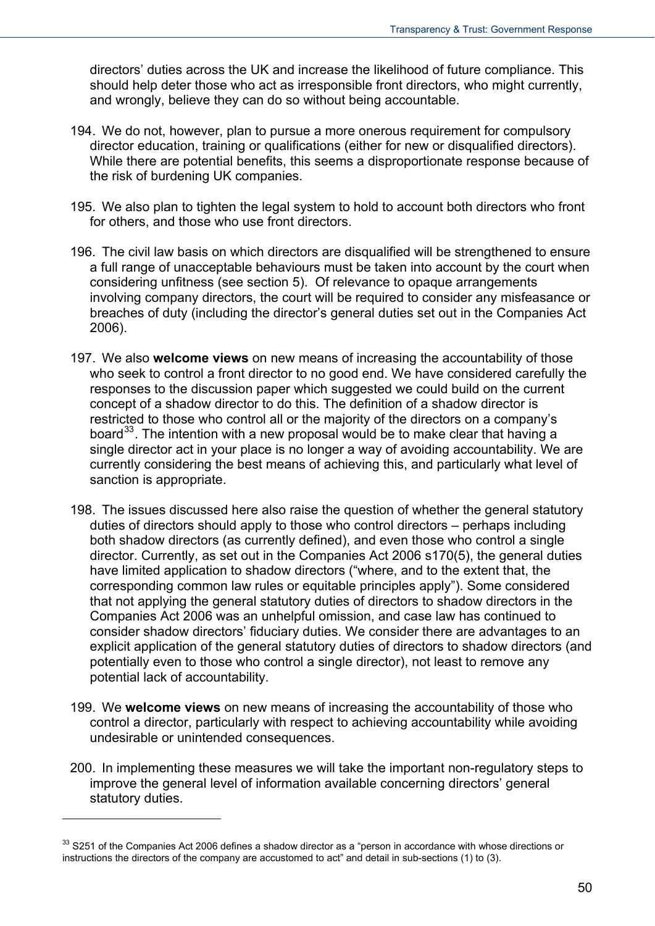directors' duties across the UK and increase the likelihood of future compliance. This should help deter those who act as irresponsible front directors, who might currently, and wrongly, believe they can do so without being accountable.

- 194. We do not, however, plan to pursue a more onerous requirement for compulsory director education, training or qualifications (either for new or disqualified directors). While there are potential benefits, this seems a disproportionate response because of the risk of burdening UK companies.
- 195. We also plan to tighten the legal system to hold to account both directors who front for others, and those who use front directors.
- 196. The civil law basis on which directors are disqualified will be strengthened to ensure a full range of unacceptable behaviours must be taken into account by the court when considering unfitness (see section 5). Of relevance to opaque arrangements involving company directors, the court will be required to consider any misfeasance or breaches of duty (including the director's general duties set out in the Companies Act 2006).
- 197. We also **welcome views** on new means of increasing the accountability of those who seek to control a front director to no good end. We have considered carefully the responses to the discussion paper which suggested we could build on the current concept of a shadow director to do this. The definition of a shadow director is restricted to those who control all or the majority of the directors on a company's board<sup>[33](#page-48-0)</sup>. The intention with a new proposal would be to make clear that having a single director act in your place is no longer a way of avoiding accountability. We are currently considering the best means of achieving this, and particularly what level of sanction is appropriate.
- 198. The issues discussed here also raise the question of whether the general statutory duties of directors should apply to those who control directors – perhaps including both shadow directors (as currently defined), and even those who control a single director. Currently, as set out in the Companies Act 2006 s170(5), the general duties have limited application to shadow directors ("where, and to the extent that, the corresponding common law rules or equitable principles apply"). Some considered that not applying the general statutory duties of directors to shadow directors in the Companies Act 2006 was an unhelpful omission, and case law has continued to consider shadow directors' fiduciary duties. We consider there are advantages to an explicit application of the general statutory duties of directors to shadow directors (and potentially even to those who control a single director), not least to remove any potential lack of accountability.
- 199. We **welcome views** on new means of increasing the accountability of those who control a director, particularly with respect to achieving accountability while avoiding undesirable or unintended consequences.
- 200. In implementing these measures we will take the important non-regulatory steps to improve the general level of information available concerning directors' general statutory duties.

<span id="page-49-0"></span><sup>&</sup>lt;sup>33</sup> S251 of the Companies Act 2006 defines a shadow director as a "person in accordance with whose directions or instructions the directors of the company are accustomed to act" and detail in sub-sections (1) to (3).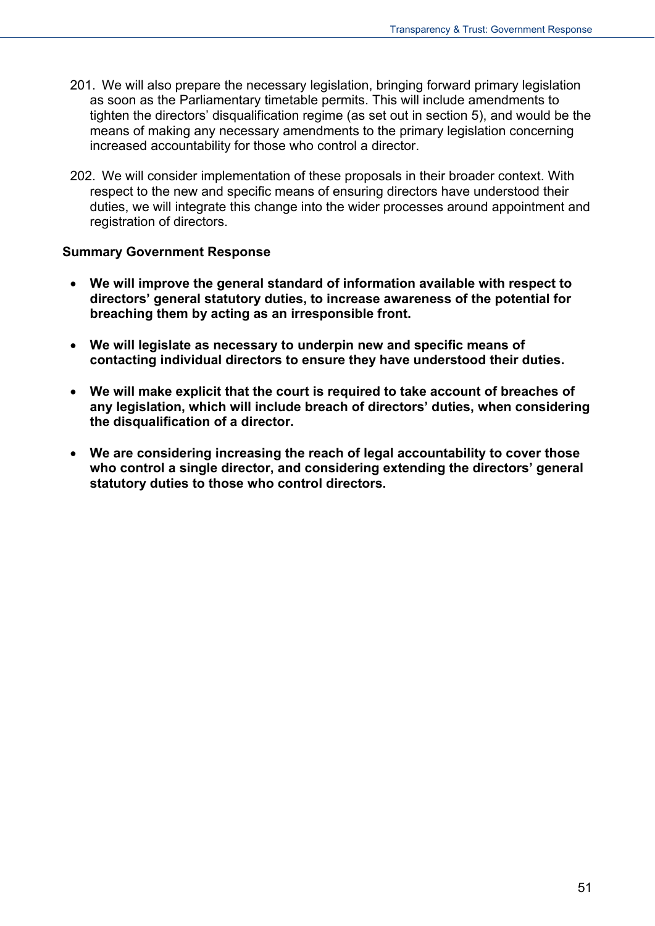- 201. We will also prepare the necessary legislation, bringing forward primary legislation as soon as the Parliamentary timetable permits. This will include amendments to tighten the directors' disqualification regime (as set out in section 5), and would be the means of making any necessary amendments to the primary legislation concerning increased accountability for those who control a director.
- 202. We will consider implementation of these proposals in their broader context. With respect to the new and specific means of ensuring directors have understood their duties, we will integrate this change into the wider processes around appointment and registration of directors.

#### **Summary Government Response**

- **We will improve the general standard of information available with respect to directors' general statutory duties, to increase awareness of the potential for breaching them by acting as an irresponsible front.**
- **We will legislate as necessary to underpin new and specific means of contacting individual directors to ensure they have understood their duties.**
- **We will make explicit that the court is required to take account of breaches of any legislation, which will include breach of directors' duties, when considering the disqualification of a director.**
- **We are considering increasing the reach of legal accountability to cover those who control a single director, and considering extending the directors' general statutory duties to those who control directors.**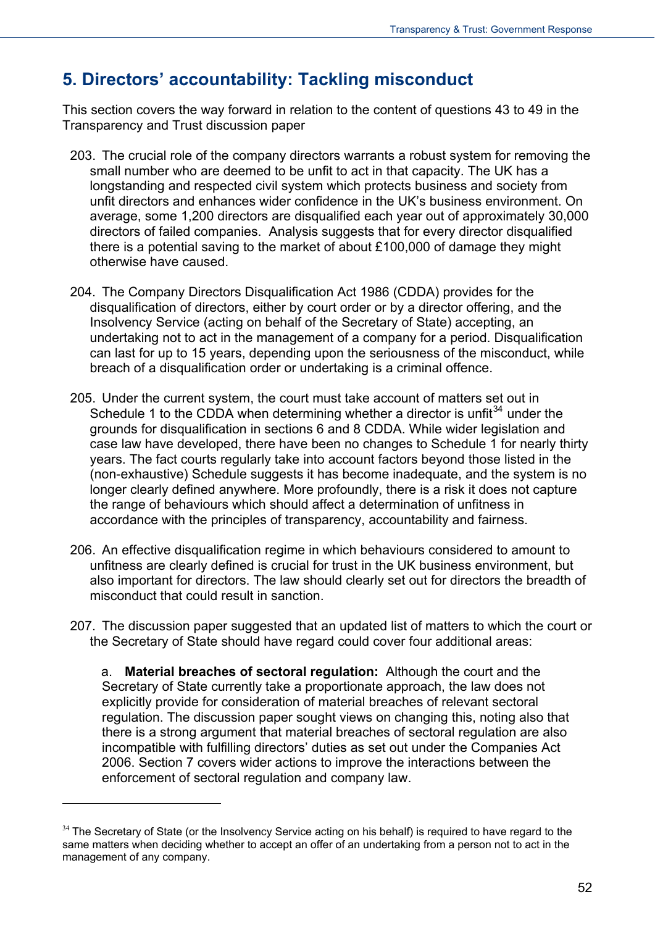# **5. Directors' accountability: Tackling misconduct**

This section covers the way forward in relation to the content of questions 43 to 49 in the Transparency and Trust discussion paper

- 203. The crucial role of the company directors warrants a robust system for removing the small number who are deemed to be unfit to act in that capacity. The UK has a longstanding and respected civil system which protects business and society from unfit directors and enhances wider confidence in the UK's business environment. On average, some 1,200 directors are disqualified each year out of approximately 30,000 directors of failed companies. Analysis suggests that for every director disqualified there is a potential saving to the market of about £100,000 of damage they might otherwise have caused.
- 204. The Company Directors Disqualification Act 1986 (CDDA) provides for the disqualification of directors, either by court order or by a director offering, and the Insolvency Service (acting on behalf of the Secretary of State) accepting, an undertaking not to act in the management of a company for a period. Disqualification can last for up to 15 years, depending upon the seriousness of the misconduct, while breach of a disqualification order or undertaking is a criminal offence.
- 205. Under the current system, the court must take account of matters set out in Schedule 1 to the CDDA when determining whether a director is unfit<sup>[34](#page-49-0)</sup> under the grounds for disqualification in sections 6 and 8 CDDA. While wider legislation and case law have developed, there have been no changes to Schedule 1 for nearly thirty years. The fact courts regularly take into account factors beyond those listed in the (non-exhaustive) Schedule suggests it has become inadequate, and the system is no longer clearly defined anywhere. More profoundly, there is a risk it does not capture the range of behaviours which should affect a determination of unfitness in accordance with the principles of transparency, accountability and fairness.
- 206. An effective disqualification regime in which behaviours considered to amount to unfitness are clearly defined is crucial for trust in the UK business environment, but also important for directors. The law should clearly set out for directors the breadth of misconduct that could result in sanction.
- 207. The discussion paper suggested that an updated list of matters to which the court or the Secretary of State should have regard could cover four additional areas:

a. **Material breaches of sectoral regulation:** Although the court and the Secretary of State currently take a proportionate approach, the law does not explicitly provide for consideration of material breaches of relevant sectoral regulation. The discussion paper sought views on changing this, noting also that there is a strong argument that material breaches of sectoral regulation are also incompatible with fulfilling directors' duties as set out under the Companies Act 2006. Section 7 covers wider actions to improve the interactions between the enforcement of sectoral regulation and company law.

<span id="page-51-0"></span><sup>&</sup>lt;sup>34</sup> The Secretary of State (or the Insolvency Service acting on his behalf) is required to have regard to the same matters when deciding whether to accept an offer of an undertaking from a person not to act in the management of any company.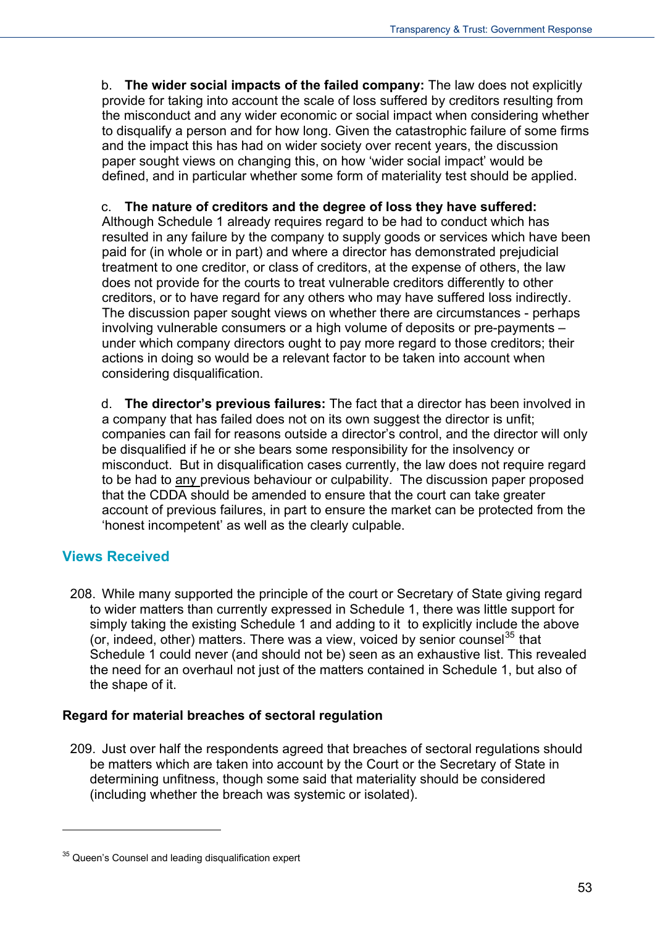b. **The wider social impacts of the failed company:** The law does not explicitly provide for taking into account the scale of loss suffered by creditors resulting from the misconduct and any wider economic or social impact when considering whether to disqualify a person and for how long. Given the catastrophic failure of some firms and the impact this has had on wider society over recent years, the discussion paper sought views on changing this, on how 'wider social impact' would be defined, and in particular whether some form of materiality test should be applied.

#### c. **The nature of creditors and the degree of loss they have suffered:**

Although Schedule 1 already requires regard to be had to conduct which has resulted in any failure by the company to supply goods or services which have been paid for (in whole or in part) and where a director has demonstrated prejudicial treatment to one creditor, or class of creditors, at the expense of others, the law does not provide for the courts to treat vulnerable creditors differently to other creditors, or to have regard for any others who may have suffered loss indirectly. The discussion paper sought views on whether there are circumstances - perhaps involving vulnerable consumers or a high volume of deposits or pre-payments – under which company directors ought to pay more regard to those creditors; their actions in doing so would be a relevant factor to be taken into account when considering disqualification.

d. **The director's previous failures:** The fact that a director has been involved in a company that has failed does not on its own suggest the director is unfit; companies can fail for reasons outside a director's control, and the director will only be disqualified if he or she bears some responsibility for the insolvency or misconduct. But in disqualification cases currently, the law does not require regard to be had to any previous behaviour or culpability. The discussion paper proposed that the CDDA should be amended to ensure that the court can take greater account of previous failures, in part to ensure the market can be protected from the 'honest incompetent' as well as the clearly culpable.

## **Views Received**

<span id="page-52-0"></span> $\overline{a}$ 

208. While many supported the principle of the court or Secretary of State giving regard to wider matters than currently expressed in Schedule 1, there was little support for simply taking the existing Schedule 1 and adding to it to explicitly include the above (or, indeed, other) matters. There was a view, voiced by senior counsel<sup>[35](#page-51-0)</sup> that Schedule 1 could never (and should not be) seen as an exhaustive list. This revealed the need for an overhaul not just of the matters contained in Schedule 1, but also of the shape of it.

#### **Regard for material breaches of sectoral regulation**

209. Just over half the respondents agreed that breaches of sectoral regulations should be matters which are taken into account by the Court or the Secretary of State in determining unfitness, though some said that materiality should be considered (including whether the breach was systemic or isolated).

<sup>&</sup>lt;sup>35</sup> Queen's Counsel and leading disqualification expert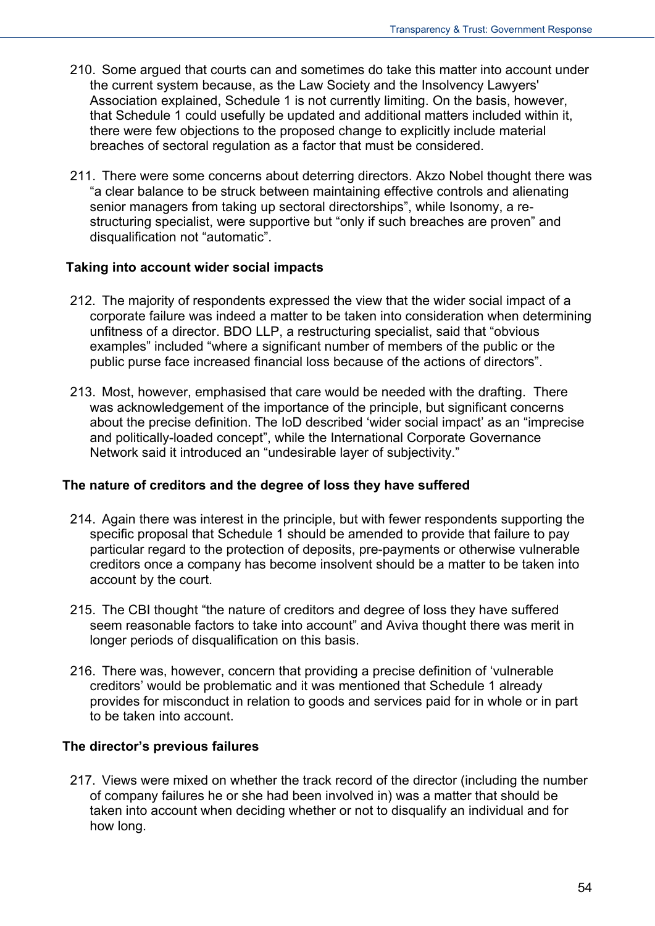- 210. Some argued that courts can and sometimes do take this matter into account under the current system because, as the Law Society and the Insolvency Lawyers' Association explained, Schedule 1 is not currently limiting. On the basis, however, that Schedule 1 could usefully be updated and additional matters included within it, there were few objections to the proposed change to explicitly include material breaches of sectoral regulation as a factor that must be considered.
- 211. There were some concerns about deterring directors. Akzo Nobel thought there was "a clear balance to be struck between maintaining effective controls and alienating senior managers from taking up sectoral directorships", while Isonomy, a restructuring specialist, were supportive but "only if such breaches are proven" and disqualification not "automatic".

#### **Taking into account wider social impacts**

- 212. The majority of respondents expressed the view that the wider social impact of a corporate failure was indeed a matter to be taken into consideration when determining unfitness of a director. BDO LLP, a restructuring specialist, said that "obvious examples" included "where a significant number of members of the public or the public purse face increased financial loss because of the actions of directors".
- 213. Most, however, emphasised that care would be needed with the drafting. There was acknowledgement of the importance of the principle, but significant concerns about the precise definition. The IoD described 'wider social impact' as an "imprecise and politically-loaded concept", while the International Corporate Governance Network said it introduced an "undesirable layer of subjectivity."

#### **The nature of creditors and the degree of loss they have suffered**

- 214. Again there was interest in the principle, but with fewer respondents supporting the specific proposal that Schedule 1 should be amended to provide that failure to pay particular regard to the protection of deposits, pre-payments or otherwise vulnerable creditors once a company has become insolvent should be a matter to be taken into account by the court.
- 215. The CBI thought "the nature of creditors and degree of loss they have suffered seem reasonable factors to take into account" and Aviva thought there was merit in longer periods of disqualification on this basis.
- 216. There was, however, concern that providing a precise definition of 'vulnerable creditors' would be problematic and it was mentioned that Schedule 1 already provides for misconduct in relation to goods and services paid for in whole or in part to be taken into account.

#### **The director's previous failures**

217. Views were mixed on whether the track record of the director (including the number of company failures he or she had been involved in) was a matter that should be taken into account when deciding whether or not to disqualify an individual and for how long.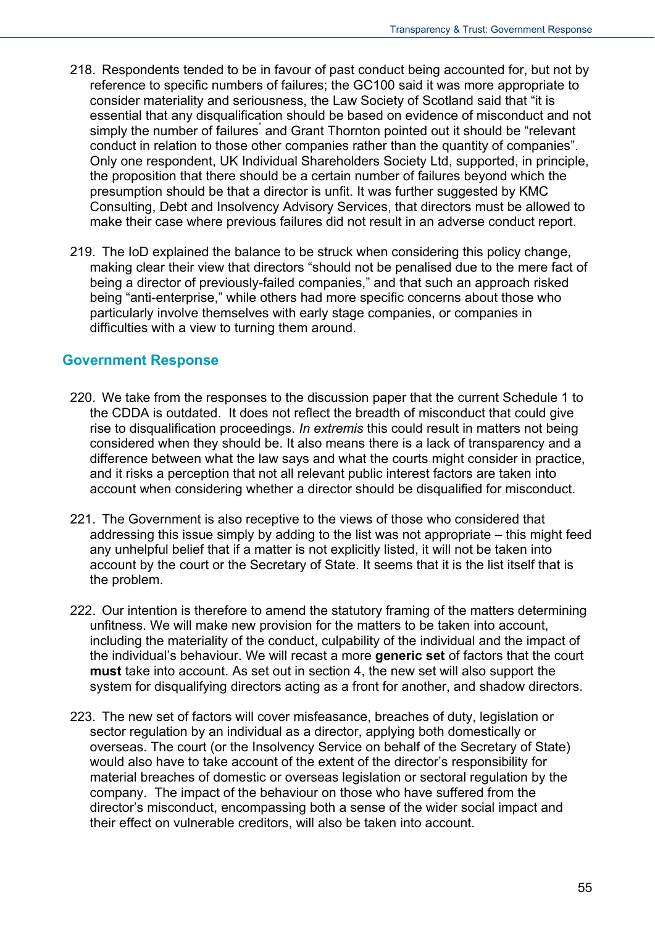- 218. Respondents tended to be in favour of past conduct being accounted for, but not by reference to specific numbers of failures; the GC100 said it was more appropriate to consider materiality and seriousness, the Law Society of Scotland said that "it is essential that any disqualification should be based on evidence of misconduct and not simply the number of failures<sup>"</sup> and Grant Thornton pointed out it should be "relevant conduct in relation to those other companies rather than the quantity of companies". Only one respondent, UK Individual Shareholders Society Ltd, supported, in principle, the proposition that there should be a certain number of failures beyond which the presumption should be that a director is unfit. It was further suggested by KMC Consulting, Debt and Insolvency Advisory Services, that directors must be allowed to make their case where previous failures did not result in an adverse conduct report.
- 219. The IoD explained the balance to be struck when considering this policy change, making clear their view that directors "should not be penalised due to the mere fact of being a director of previously-failed companies," and that such an approach risked being "anti-enterprise," while others had more specific concerns about those who particularly involve themselves with early stage companies, or companies in difficulties with a view to turning them around.

#### **Government Response**

- 220. We take from the responses to the discussion paper that the current Schedule 1 to the CDDA is outdated. It does not reflect the breadth of misconduct that could give rise to disqualification proceedings. *In extremis* this could result in matters not being considered when they should be. It also means there is a lack of transparency and a difference between what the law says and what the courts might consider in practice, and it risks a perception that not all relevant public interest factors are taken into account when considering whether a director should be disqualified for misconduct.
- 221. The Government is also receptive to the views of those who considered that addressing this issue simply by adding to the list was not appropriate – this might feed any unhelpful belief that if a matter is not explicitly listed, it will not be taken into account by the court or the Secretary of State. It seems that it is the list itself that is the problem.
- 222. Our intention is therefore to amend the statutory framing of the matters determining unfitness. We will make new provision for the matters to be taken into account, including the materiality of the conduct, culpability of the individual and the impact of the individual's behaviour. We will recast a more **generic set** of factors that the court **must** take into account. As set out in section 4, the new set will also support the system for disqualifying directors acting as a front for another, and shadow directors.
- 223. The new set of factors will cover misfeasance, breaches of duty, legislation or sector regulation by an individual as a director, applying both domestically or overseas. The court (or the Insolvency Service on behalf of the Secretary of State) would also have to take account of the extent of the director's responsibility for material breaches of domestic or overseas legislation or sectoral regulation by the company. The impact of the behaviour on those who have suffered from the director's misconduct, encompassing both a sense of the wider social impact and their effect on vulnerable creditors, will also be taken into account.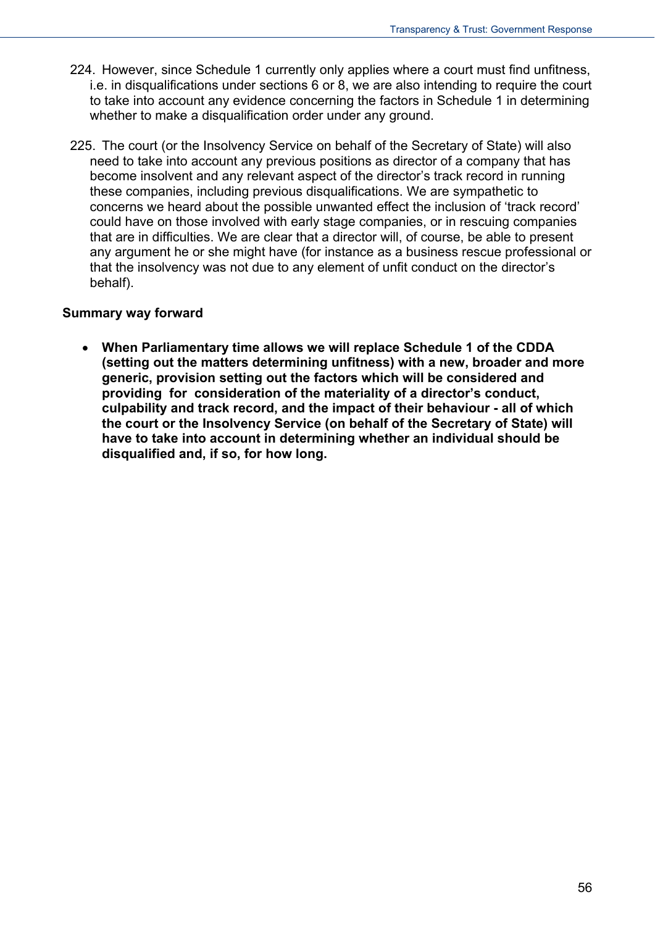- 224. However, since Schedule 1 currently only applies where a court must find unfitness, i.e. in disqualifications under sections 6 or 8, we are also intending to require the court to take into account any evidence concerning the factors in Schedule 1 in determining whether to make a disqualification order under any ground.
- 225. The court (or the Insolvency Service on behalf of the Secretary of State) will also need to take into account any previous positions as director of a company that has become insolvent and any relevant aspect of the director's track record in running these companies, including previous disqualifications. We are sympathetic to concerns we heard about the possible unwanted effect the inclusion of 'track record' could have on those involved with early stage companies, or in rescuing companies that are in difficulties. We are clear that a director will, of course, be able to present any argument he or she might have (for instance as a business rescue professional or that the insolvency was not due to any element of unfit conduct on the director's behalf).

#### **Summary way forward**

 **When Parliamentary time allows we will replace Schedule 1 of the CDDA (setting out the matters determining unfitness) with a new, broader and more generic, provision setting out the factors which will be considered and providing for consideration of the materiality of a director's conduct, culpability and track record, and the impact of their behaviour - all of which the court or the Insolvency Service (on behalf of the Secretary of State) will have to take into account in determining whether an individual should be disqualified and, if so, for how long.**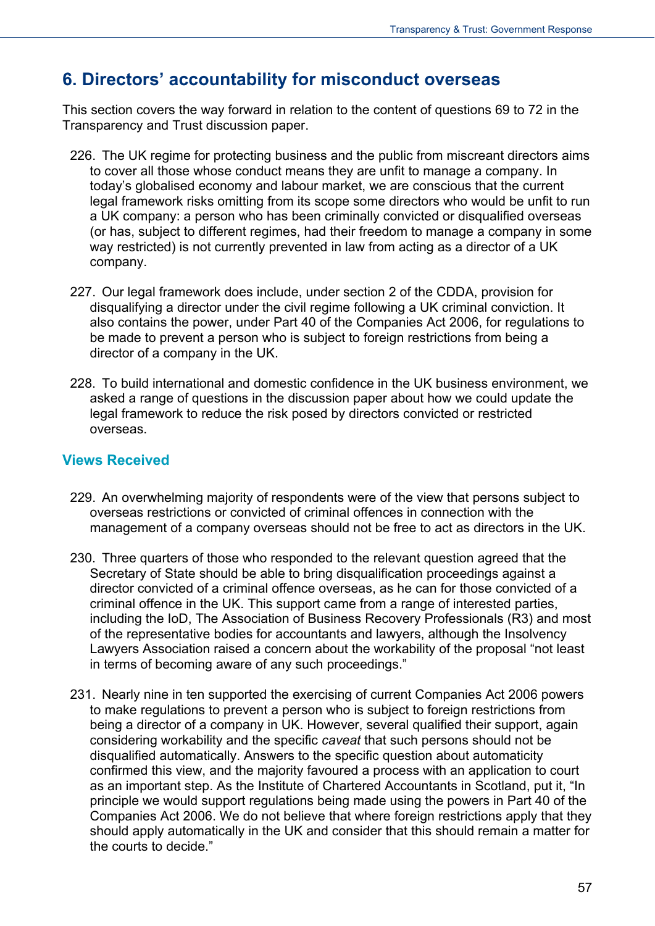## **6. Directors' accountability for misconduct overseas**

This section covers the way forward in relation to the content of questions 69 to 72 in the Transparency and Trust discussion paper.

- 226. The UK regime for protecting business and the public from miscreant directors aims to cover all those whose conduct means they are unfit to manage a company. In today's globalised economy and labour market, we are conscious that the current legal framework risks omitting from its scope some directors who would be unfit to run a UK company: a person who has been criminally convicted or disqualified overseas (or has, subject to different regimes, had their freedom to manage a company in some way restricted) is not currently prevented in law from acting as a director of a UK company.
- 227. Our legal framework does include, under section 2 of the CDDA, provision for disqualifying a director under the civil regime following a UK criminal conviction. It also contains the power, under Part 40 of the Companies Act 2006, for regulations to be made to prevent a person who is subject to foreign restrictions from being a director of a company in the UK.
- 228. To build international and domestic confidence in the UK business environment, we asked a range of questions in the discussion paper about how we could update the legal framework to reduce the risk posed by directors convicted or restricted overseas.

#### **Views Received**

- 229. An overwhelming majority of respondents were of the view that persons subject to overseas restrictions or convicted of criminal offences in connection with the management of a company overseas should not be free to act as directors in the UK.
- 230. Three quarters of those who responded to the relevant question agreed that the Secretary of State should be able to bring disqualification proceedings against a director convicted of a criminal offence overseas, as he can for those convicted of a criminal offence in the UK. This support came from a range of interested parties, including the IoD, The Association of Business Recovery Professionals (R3) and most of the representative bodies for accountants and lawyers, although the Insolvency Lawyers Association raised a concern about the workability of the proposal "not least in terms of becoming aware of any such proceedings."
- 231. Nearly nine in ten supported the exercising of current Companies Act 2006 powers to make regulations to prevent a person who is subject to foreign restrictions from being a director of a company in UK. However, several qualified their support, again considering workability and the specific *caveat* that such persons should not be disqualified automatically. Answers to the specific question about automaticity confirmed this view, and the majority favoured a process with an application to court as an important step. As the Institute of Chartered Accountants in Scotland, put it, "In principle we would support regulations being made using the powers in Part 40 of the Companies Act 2006. We do not believe that where foreign restrictions apply that they should apply automatically in the UK and consider that this should remain a matter for the courts to decide."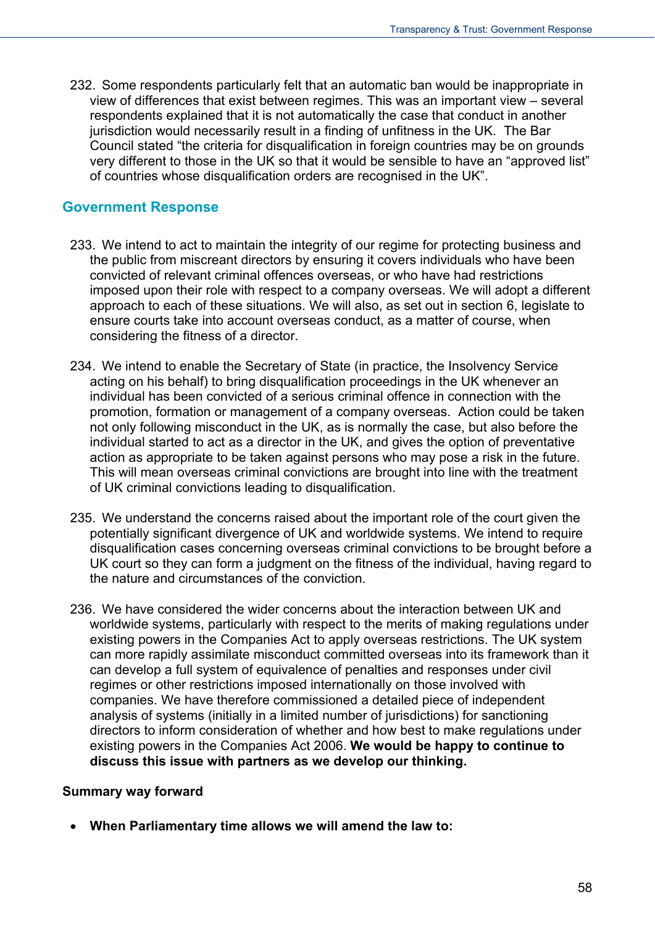232. Some respondents particularly felt that an automatic ban would be inappropriate in view of differences that exist between regimes. This was an important view – several respondents explained that it is not automatically the case that conduct in another jurisdiction would necessarily result in a finding of unfitness in the UK. The Bar Council stated "the criteria for disqualification in foreign countries may be on grounds very different to those in the UK so that it would be sensible to have an "approved list" of countries whose disqualification orders are recognised in the UK".

### **Government Response**

- 233. We intend to act to maintain the integrity of our regime for protecting business and the public from miscreant directors by ensuring it covers individuals who have been convicted of relevant criminal offences overseas, or who have had restrictions imposed upon their role with respect to a company overseas. We will adopt a different approach to each of these situations. We will also, as set out in section 6, legislate to ensure courts take into account overseas conduct, as a matter of course, when considering the fitness of a director.
- 234. We intend to enable the Secretary of State (in practice, the Insolvency Service acting on his behalf) to bring disqualification proceedings in the UK whenever an individual has been convicted of a serious criminal offence in connection with the promotion, formation or management of a company overseas. Action could be taken not only following misconduct in the UK, as is normally the case, but also before the individual started to act as a director in the UK, and gives the option of preventative action as appropriate to be taken against persons who may pose a risk in the future. This will mean overseas criminal convictions are brought into line with the treatment of UK criminal convictions leading to disqualification.
- 235. We understand the concerns raised about the important role of the court given the potentially significant divergence of UK and worldwide systems. We intend to require disqualification cases concerning overseas criminal convictions to be brought before a UK court so they can form a judgment on the fitness of the individual, having regard to the nature and circumstances of the conviction.
- 236. We have considered the wider concerns about the interaction between UK and worldwide systems, particularly with respect to the merits of making regulations under existing powers in the Companies Act to apply overseas restrictions. The UK system can more rapidly assimilate misconduct committed overseas into its framework than it can develop a full system of equivalence of penalties and responses under civil regimes or other restrictions imposed internationally on those involved with companies. We have therefore commissioned a detailed piece of independent analysis of systems (initially in a limited number of jurisdictions) for sanctioning directors to inform consideration of whether and how best to make regulations under existing powers in the Companies Act 2006. **We would be happy to continue to discuss this issue with partners as we develop our thinking.**

#### **Summary way forward**

**When Parliamentary time allows we will amend the law to:**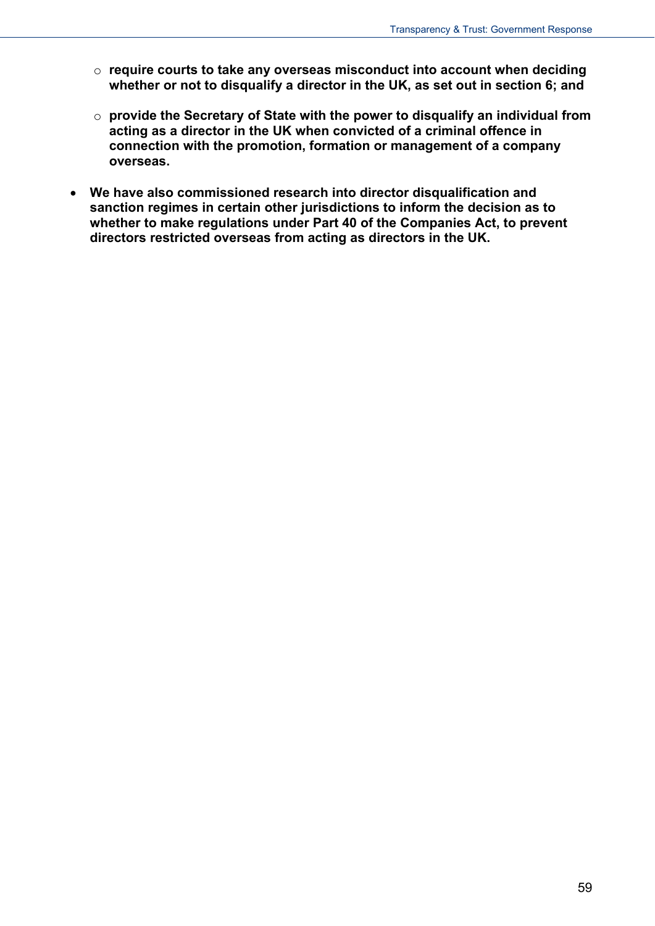- o **require courts to take any overseas misconduct into account when deciding whether or not to disqualify a director in the UK, as set out in section 6; and**
- o **provide the Secretary of State with the power to disqualify an individual from acting as a director in the UK when convicted of a criminal offence in connection with the promotion, formation or management of a company overseas.**
- **We have also commissioned research into director disqualification and sanction regimes in certain other jurisdictions to inform the decision as to whether to make regulations under Part 40 of the Companies Act, to prevent directors restricted overseas from acting as directors in the UK.**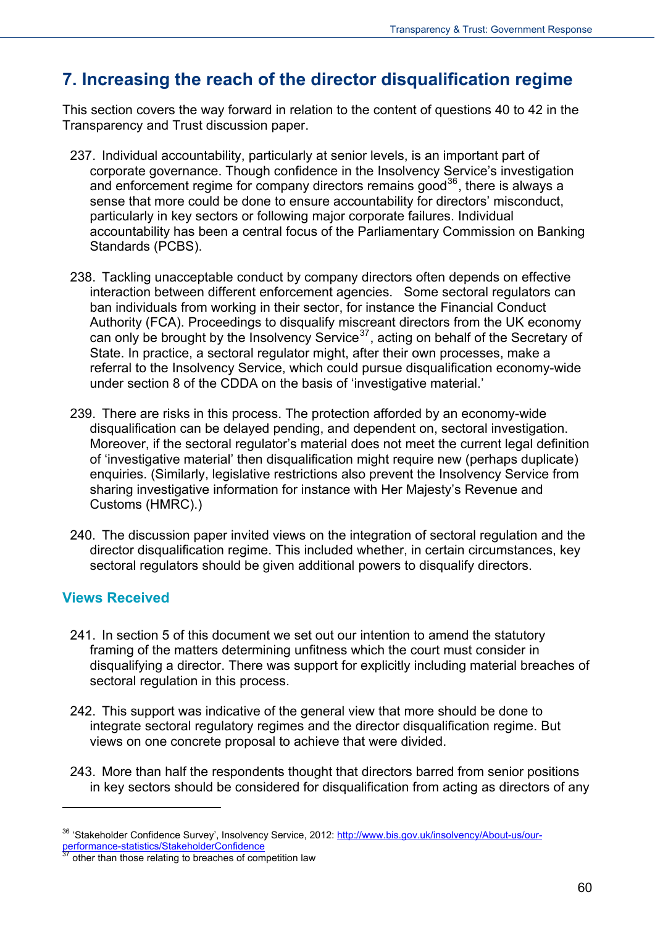# **7. Increasing the reach of the director disqualification regime**

This section covers the way forward in relation to the content of questions 40 to 42 in the Transparency and Trust discussion paper.

- 237. Individual accountability, particularly at senior levels, is an important part of corporate governance. Though confidence in the Insolvency Service's investigation and enforcement regime for company directors remains good<sup>[36](#page-52-0)</sup>, there is always a sense that more could be done to ensure accountability for directors' misconduct, particularly in key sectors or following major corporate failures. Individual accountability has been a central focus of the Parliamentary Commission on Banking Standards (PCBS).
- 238. Tackling unacceptable conduct by company directors often depends on effective interaction between different enforcement agencies. Some sectoral regulators can ban individuals from working in their sector, for instance the Financial Conduct Authority (FCA). Proceedings to disqualify miscreant directors from the UK economy can only be brought by the Insolvency Service<sup>[37](#page-59-0)</sup>, acting on behalf of the Secretary of State. In practice, a sectoral regulator might, after their own processes, make a referral to the Insolvency Service, which could pursue disqualification economy-wide under section 8 of the CDDA on the basis of 'investigative material.'
- 239. There are risks in this process. The protection afforded by an economy-wide disqualification can be delayed pending, and dependent on, sectoral investigation. Moreover, if the sectoral regulator's material does not meet the current legal definition of 'investigative material' then disqualification might require new (perhaps duplicate) enquiries. (Similarly, legislative restrictions also prevent the Insolvency Service from sharing investigative information for instance with Her Majesty's Revenue and Customs (HMRC).)
- 240. The discussion paper invited views on the integration of sectoral regulation and the director disqualification regime. This included whether, in certain circumstances, key sectoral regulators should be given additional powers to disqualify directors.

## **Views Received**

- 241. In section 5 of this document we set out our intention to amend the statutory framing of the matters determining unfitness which the court must consider in disqualifying a director. There was support for explicitly including material breaches of sectoral regulation in this process.
- 242. This support was indicative of the general view that more should be done to integrate sectoral regulatory regimes and the director disqualification regime. But views on one concrete proposal to achieve that were divided.
- 243. More than half the respondents thought that directors barred from senior positions in key sectors should be considered for disqualification from acting as directors of any

<span id="page-59-1"></span><sup>36 &#</sup>x27;Stakeholder Confidence Survey', Insolvency Service, 2012: [http://www.bis.gov.uk/insolvency/About-us/our](http://www.bis.gov.uk/insolvency/About-us/our-performance-statistics/StakeholderConfidence)performance-statistics/StakeholderConfidence<br>
<sup>37</sup> other than those relating to breaches of competition law

<span id="page-59-0"></span>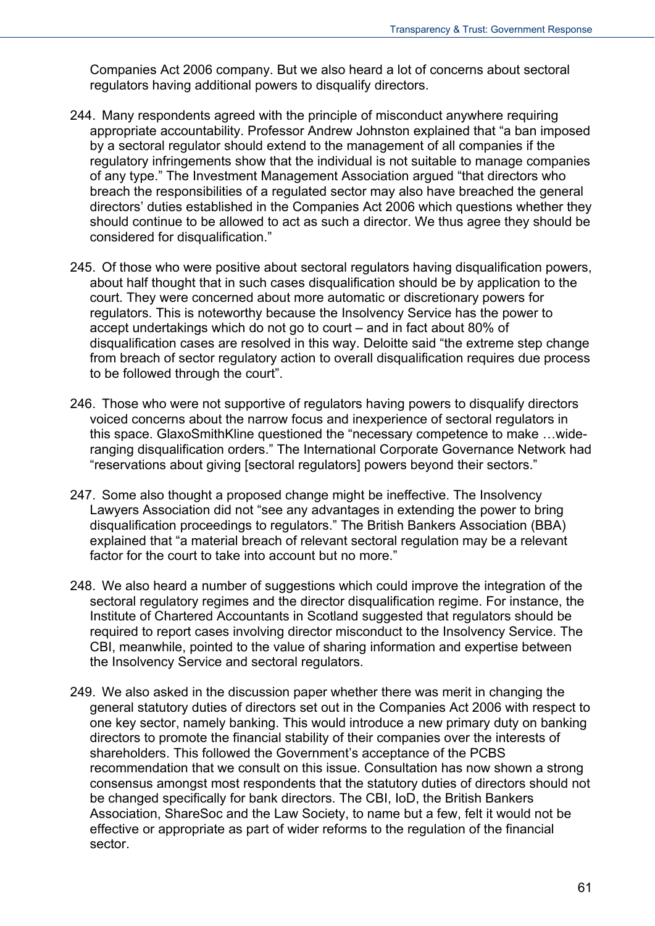Companies Act 2006 company. But we also heard a lot of concerns about sectoral regulators having additional powers to disqualify directors.

- 244. Many respondents agreed with the principle of misconduct anywhere requiring appropriate accountability. Professor Andrew Johnston explained that "a ban imposed by a sectoral regulator should extend to the management of all companies if the regulatory infringements show that the individual is not suitable to manage companies of any type." The Investment Management Association argued "that directors who breach the responsibilities of a regulated sector may also have breached the general directors' duties established in the Companies Act 2006 which questions whether they should continue to be allowed to act as such a director. We thus agree they should be considered for disqualification."
- 245. Of those who were positive about sectoral regulators having disqualification powers, about half thought that in such cases disqualification should be by application to the court. They were concerned about more automatic or discretionary powers for regulators. This is noteworthy because the Insolvency Service has the power to accept undertakings which do not go to court – and in fact about 80% of disqualification cases are resolved in this way. Deloitte said "the extreme step change from breach of sector regulatory action to overall disqualification requires due process to be followed through the court".
- 246. Those who were not supportive of regulators having powers to disqualify directors voiced concerns about the narrow focus and inexperience of sectoral regulators in this space. GlaxoSmithKline questioned the "necessary competence to make …wideranging disqualification orders." The International Corporate Governance Network had "reservations about giving [sectoral regulators] powers beyond their sectors."
- 247. Some also thought a proposed change might be ineffective. The Insolvency Lawyers Association did not "see any advantages in extending the power to bring disqualification proceedings to regulators." The British Bankers Association (BBA) explained that "a material breach of relevant sectoral regulation may be a relevant factor for the court to take into account but no more."
- 248. We also heard a number of suggestions which could improve the integration of the sectoral regulatory regimes and the director disqualification regime. For instance, the Institute of Chartered Accountants in Scotland suggested that regulators should be required to report cases involving director misconduct to the Insolvency Service. The CBI, meanwhile, pointed to the value of sharing information and expertise between the Insolvency Service and sectoral regulators.
- 249. We also asked in the discussion paper whether there was merit in changing the general statutory duties of directors set out in the Companies Act 2006 with respect to one key sector, namely banking. This would introduce a new primary duty on banking directors to promote the financial stability of their companies over the interests of shareholders. This followed the Government's acceptance of the PCBS recommendation that we consult on this issue. Consultation has now shown a strong consensus amongst most respondents that the statutory duties of directors should not be changed specifically for bank directors. The CBI, IoD, the British Bankers Association, ShareSoc and the Law Society, to name but a few, felt it would not be effective or appropriate as part of wider reforms to the regulation of the financial sector.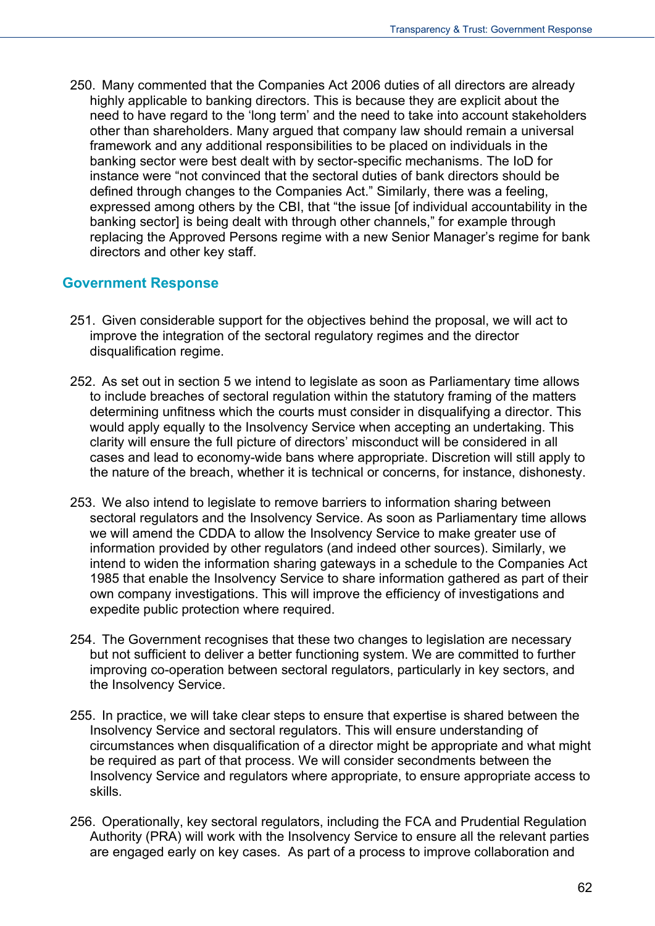250. Many commented that the Companies Act 2006 duties of all directors are already highly applicable to banking directors. This is because they are explicit about the need to have regard to the 'long term' and the need to take into account stakeholders other than shareholders. Many argued that company law should remain a universal framework and any additional responsibilities to be placed on individuals in the banking sector were best dealt with by sector-specific mechanisms. The IoD for instance were "not convinced that the sectoral duties of bank directors should be defined through changes to the Companies Act." Similarly, there was a feeling, expressed among others by the CBI, that "the issue [of individual accountability in the banking sector] is being dealt with through other channels," for example through replacing the Approved Persons regime with a new Senior Manager's regime for bank directors and other key staff.

#### **Government Response**

- 251. Given considerable support for the objectives behind the proposal, we will act to improve the integration of the sectoral regulatory regimes and the director disqualification regime.
- 252. As set out in section 5 we intend to legislate as soon as Parliamentary time allows to include breaches of sectoral regulation within the statutory framing of the matters determining unfitness which the courts must consider in disqualifying a director. This would apply equally to the Insolvency Service when accepting an undertaking. This clarity will ensure the full picture of directors' misconduct will be considered in all cases and lead to economy-wide bans where appropriate. Discretion will still apply to the nature of the breach, whether it is technical or concerns, for instance, dishonesty.
- 253. We also intend to legislate to remove barriers to information sharing between sectoral regulators and the Insolvency Service. As soon as Parliamentary time allows we will amend the CDDA to allow the Insolvency Service to make greater use of information provided by other regulators (and indeed other sources). Similarly, we intend to widen the information sharing gateways in a schedule to the Companies Act 1985 that enable the Insolvency Service to share information gathered as part of their own company investigations. This will improve the efficiency of investigations and expedite public protection where required.
- 254. The Government recognises that these two changes to legislation are necessary but not sufficient to deliver a better functioning system. We are committed to further improving co-operation between sectoral regulators, particularly in key sectors, and the Insolvency Service.
- 255. In practice, we will take clear steps to ensure that expertise is shared between the Insolvency Service and sectoral regulators. This will ensure understanding of circumstances when disqualification of a director might be appropriate and what might be required as part of that process. We will consider secondments between the Insolvency Service and regulators where appropriate, to ensure appropriate access to skills.
- 256. Operationally, key sectoral regulators, including the FCA and Prudential Regulation Authority (PRA) will work with the Insolvency Service to ensure all the relevant parties are engaged early on key cases. As part of a process to improve collaboration and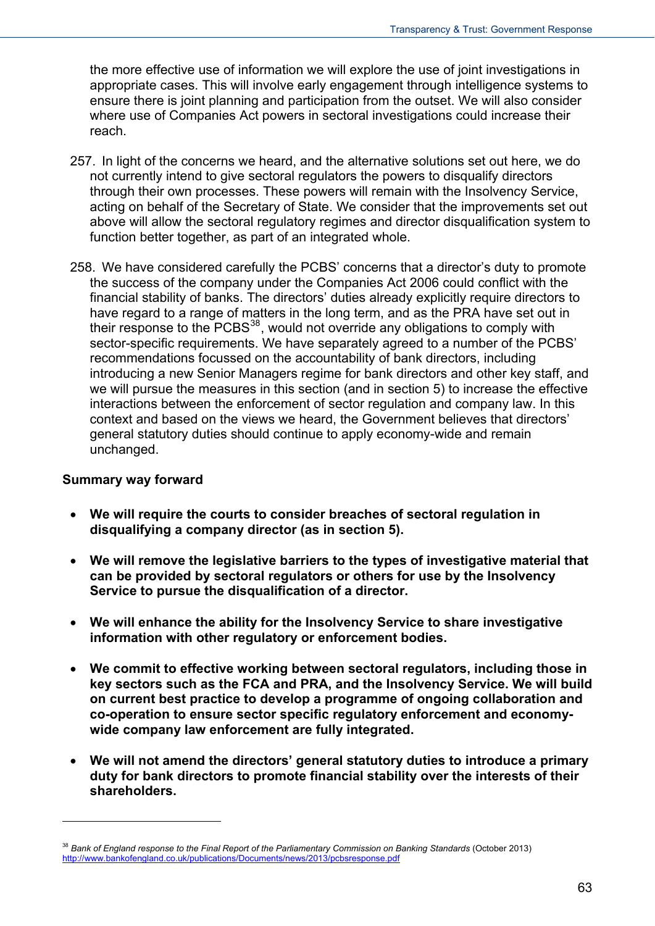the more effective use of information we will explore the use of joint investigations in appropriate cases. This will involve early engagement through intelligence systems to ensure there is joint planning and participation from the outset. We will also consider where use of Companies Act powers in sectoral investigations could increase their reach.

- 257. In light of the concerns we heard, and the alternative solutions set out here, we do not currently intend to give sectoral regulators the powers to disqualify directors through their own processes. These powers will remain with the Insolvency Service, acting on behalf of the Secretary of State. We consider that the improvements set out above will allow the sectoral regulatory regimes and director disqualification system to function better together, as part of an integrated whole.
- 258. We have considered carefully the PCBS' concerns that a director's duty to promote the success of the company under the Companies Act 2006 could conflict with the financial stability of banks. The directors' duties already explicitly require directors to have regard to a range of matters in the long term, and as the PRA have set out in their response to the  $PCBS^{38}$  $PCBS^{38}$  $PCBS^{38}$ , would not override any obligations to comply with sector-specific requirements. We have separately agreed to a number of the PCBS' recommendations focussed on the accountability of bank directors, including introducing a new Senior Managers regime for bank directors and other key staff, and we will pursue the measures in this section (and in section 5) to increase the effective interactions between the enforcement of sector regulation and company law. In this context and based on the views we heard, the Government believes that directors' general statutory duties should continue to apply economy-wide and remain unchanged.

#### **Summary way forward**

- **We will require the courts to consider breaches of sectoral regulation in disqualifying a company director (as in section 5).**
- **We will remove the legislative barriers to the types of investigative material that can be provided by sectoral regulators or others for use by the Insolvency Service to pursue the disqualification of a director.**
- **We will enhance the ability for the Insolvency Service to share investigative information with other regulatory or enforcement bodies.**
- **We commit to effective working between sectoral regulators, including those in key sectors such as the FCA and PRA, and the Insolvency Service. We will build on current best practice to develop a programme of ongoing collaboration and co-operation to ensure sector specific regulatory enforcement and economywide company law enforcement are fully integrated.**
- **We will not amend the directors' general statutory duties to introduce a primary duty for bank directors to promote financial stability over the interests of their shareholders.**

<sup>&</sup>lt;sup>38</sup> Bank of England response to the Final Report of the Parliamentary Commission on Banking Standards (October 2013) <http://www.bankofengland.co.uk/publications/Documents/news/2013/pcbsresponse.pdf>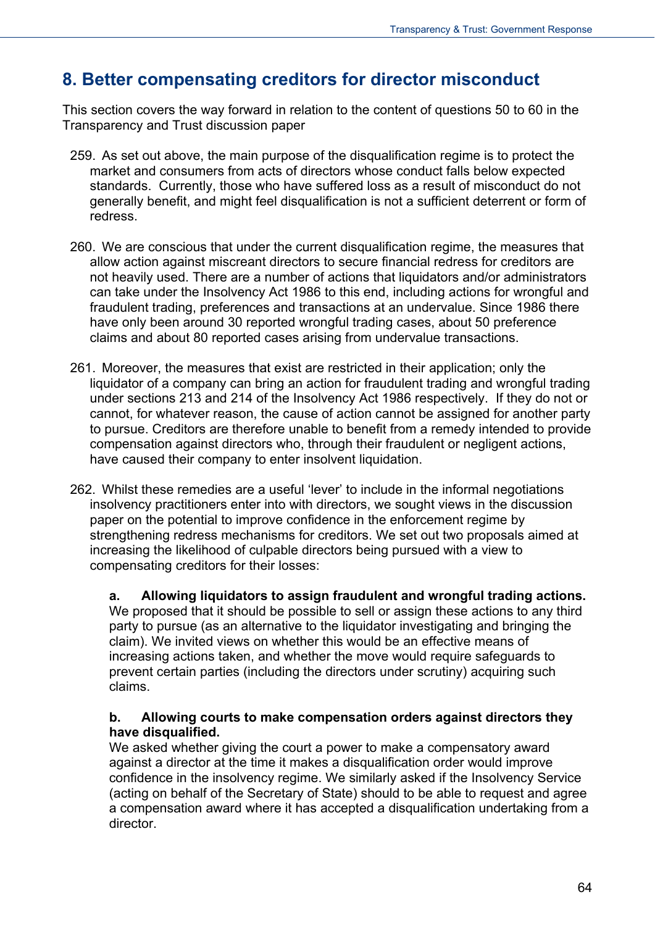# **8. Better compensating creditors for director misconduct**

This section covers the way forward in relation to the content of questions 50 to 60 in the Transparency and Trust discussion paper

- 259. As set out above, the main purpose of the disqualification regime is to protect the market and consumers from acts of directors whose conduct falls below expected standards. Currently, those who have suffered loss as a result of misconduct do not generally benefit, and might feel disqualification is not a sufficient deterrent or form of redress.
- 260. We are conscious that under the current disqualification regime, the measures that allow action against miscreant directors to secure financial redress for creditors are not heavily used. There are a number of actions that liquidators and/or administrators can take under the Insolvency Act 1986 to this end, including actions for wrongful and fraudulent trading, preferences and transactions at an undervalue. Since 1986 there have only been around 30 reported wrongful trading cases, about 50 preference claims and about 80 reported cases arising from undervalue transactions.
- 261. Moreover, the measures that exist are restricted in their application; only the liquidator of a company can bring an action for fraudulent trading and wrongful trading under sections 213 and 214 of the Insolvency Act 1986 respectively. If they do not or cannot, for whatever reason, the cause of action cannot be assigned for another party to pursue. Creditors are therefore unable to benefit from a remedy intended to provide compensation against directors who, through their fraudulent or negligent actions, have caused their company to enter insolvent liquidation.
- 262. Whilst these remedies are a useful 'lever' to include in the informal negotiations insolvency practitioners enter into with directors, we sought views in the discussion paper on the potential to improve confidence in the enforcement regime by strengthening redress mechanisms for creditors. We set out two proposals aimed at increasing the likelihood of culpable directors being pursued with a view to compensating creditors for their losses:

**a. Allowing liquidators to assign fraudulent and wrongful trading actions.**  We proposed that it should be possible to sell or assign these actions to any third party to pursue (as an alternative to the liquidator investigating and bringing the claim). We invited views on whether this would be an effective means of increasing actions taken, and whether the move would require safeguards to prevent certain parties (including the directors under scrutiny) acquiring such claims.

#### **b. Allowing courts to make compensation orders against directors they have disqualified.**

We asked whether giving the court a power to make a compensatory award against a director at the time it makes a disqualification order would improve confidence in the insolvency regime. We similarly asked if the Insolvency Service (acting on behalf of the Secretary of State) should to be able to request and agree a compensation award where it has accepted a disqualification undertaking from a director.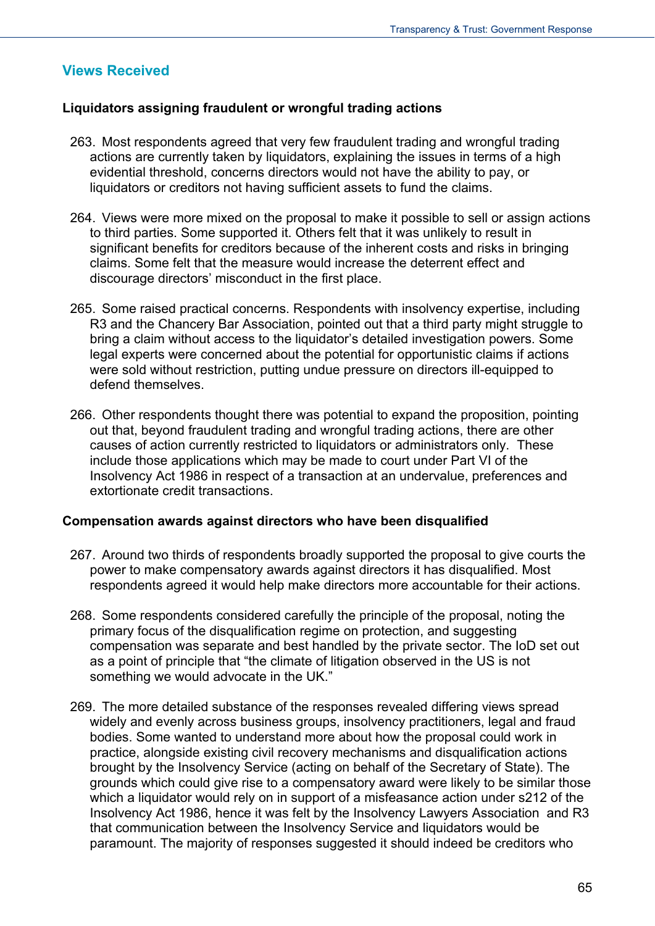## **Views Received**

#### **Liquidators assigning fraudulent or wrongful trading actions**

- 263. Most respondents agreed that very few fraudulent trading and wrongful trading actions are currently taken by liquidators, explaining the issues in terms of a high evidential threshold, concerns directors would not have the ability to pay, or liquidators or creditors not having sufficient assets to fund the claims.
- 264. Views were more mixed on the proposal to make it possible to sell or assign actions to third parties. Some supported it. Others felt that it was unlikely to result in significant benefits for creditors because of the inherent costs and risks in bringing claims. Some felt that the measure would increase the deterrent effect and discourage directors' misconduct in the first place.
- 265. Some raised practical concerns. Respondents with insolvency expertise, including R3 and the Chancery Bar Association, pointed out that a third party might struggle to bring a claim without access to the liquidator's detailed investigation powers. Some legal experts were concerned about the potential for opportunistic claims if actions were sold without restriction, putting undue pressure on directors ill-equipped to defend themselves.
- 266. Other respondents thought there was potential to expand the proposition, pointing out that, beyond fraudulent trading and wrongful trading actions, there are other causes of action currently restricted to liquidators or administrators only. These include those applications which may be made to court under Part VI of the Insolvency Act 1986 in respect of a transaction at an undervalue, preferences and extortionate credit transactions.

#### **Compensation awards against directors who have been disqualified**

- 267. Around two thirds of respondents broadly supported the proposal to give courts the power to make compensatory awards against directors it has disqualified. Most respondents agreed it would help make directors more accountable for their actions.
- 268. Some respondents considered carefully the principle of the proposal, noting the primary focus of the disqualification regime on protection, and suggesting compensation was separate and best handled by the private sector. The IoD set out as a point of principle that "the climate of litigation observed in the US is not something we would advocate in the UK."
- 269. The more detailed substance of the responses revealed differing views spread widely and evenly across business groups, insolvency practitioners, legal and fraud bodies. Some wanted to understand more about how the proposal could work in practice, alongside existing civil recovery mechanisms and disqualification actions brought by the Insolvency Service (acting on behalf of the Secretary of State). The grounds which could give rise to a compensatory award were likely to be similar those which a liquidator would rely on in support of a misfeasance action under s212 of the Insolvency Act 1986, hence it was felt by the Insolvency Lawyers Association and R3 that communication between the Insolvency Service and liquidators would be paramount. The majority of responses suggested it should indeed be creditors who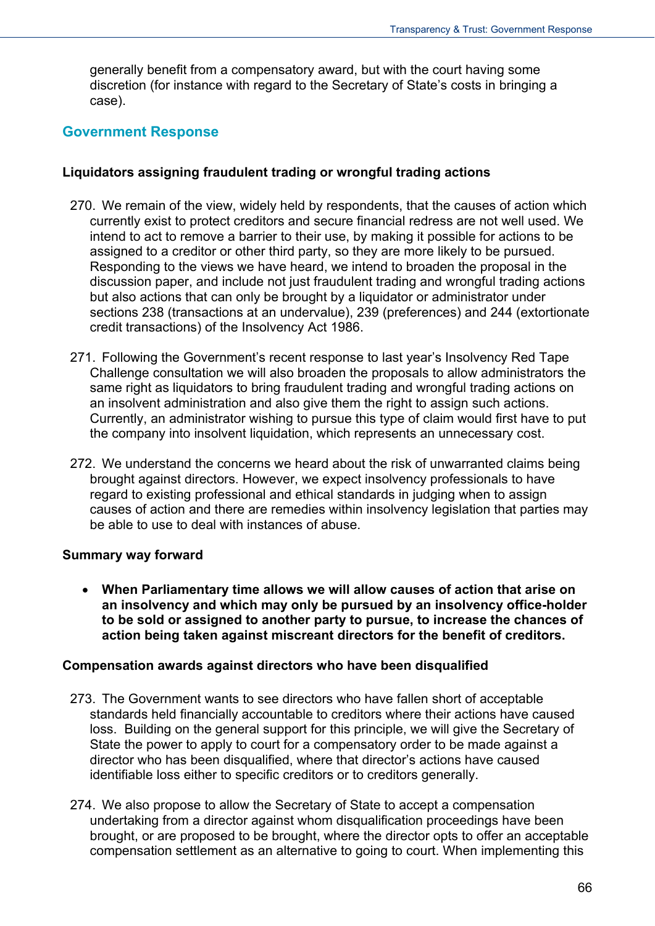generally benefit from a compensatory award, but with the court having some discretion (for instance with regard to the Secretary of State's costs in bringing a case).

#### **Government Response**

#### **Liquidators assigning fraudulent trading or wrongful trading actions**

- 270. We remain of the view, widely held by respondents, that the causes of action which currently exist to protect creditors and secure financial redress are not well used. We intend to act to remove a barrier to their use, by making it possible for actions to be assigned to a creditor or other third party, so they are more likely to be pursued. Responding to the views we have heard, we intend to broaden the proposal in the discussion paper, and include not just fraudulent trading and wrongful trading actions but also actions that can only be brought by a liquidator or administrator under sections 238 (transactions at an undervalue), 239 (preferences) and 244 (extortionate credit transactions) of the Insolvency Act 1986.
- 271. Following the Government's recent response to last year's Insolvency Red Tape Challenge consultation we will also broaden the proposals to allow administrators the same right as liquidators to bring fraudulent trading and wrongful trading actions on an insolvent administration and also give them the right to assign such actions. Currently, an administrator wishing to pursue this type of claim would first have to put the company into insolvent liquidation, which represents an unnecessary cost.
- 272. We understand the concerns we heard about the risk of unwarranted claims being brought against directors. However, we expect insolvency professionals to have regard to existing professional and ethical standards in judging when to assign causes of action and there are remedies within insolvency legislation that parties may be able to use to deal with instances of abuse.

#### **Summary way forward**

 **When Parliamentary time allows we will allow causes of action that arise on an insolvency and which may only be pursued by an insolvency office-holder to be sold or assigned to another party to pursue, to increase the chances of action being taken against miscreant directors for the benefit of creditors.**

#### **Compensation awards against directors who have been disqualified**

- 273. The Government wants to see directors who have fallen short of acceptable standards held financially accountable to creditors where their actions have caused loss. Building on the general support for this principle, we will give the Secretary of State the power to apply to court for a compensatory order to be made against a director who has been disqualified, where that director's actions have caused identifiable loss either to specific creditors or to creditors generally.
- 274. We also propose to allow the Secretary of State to accept a compensation undertaking from a director against whom disqualification proceedings have been brought, or are proposed to be brought, where the director opts to offer an acceptable compensation settlement as an alternative to going to court. When implementing this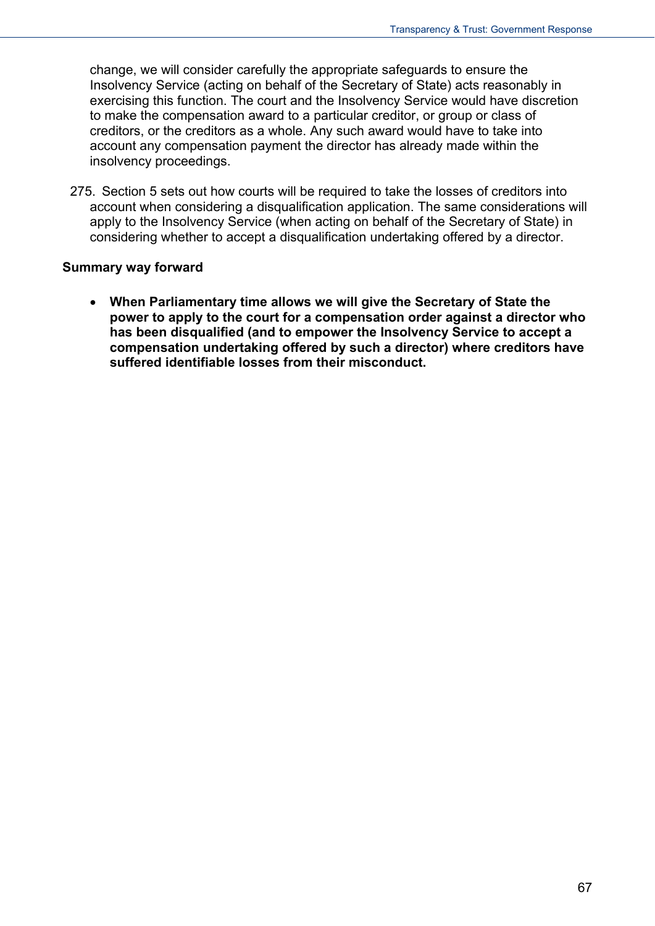change, we will consider carefully the appropriate safeguards to ensure the Insolvency Service (acting on behalf of the Secretary of State) acts reasonably in exercising this function. The court and the Insolvency Service would have discretion to make the compensation award to a particular creditor, or group or class of creditors, or the creditors as a whole. Any such award would have to take into account any compensation payment the director has already made within the insolvency proceedings.

275. Section 5 sets out how courts will be required to take the losses of creditors into account when considering a disqualification application. The same considerations will apply to the Insolvency Service (when acting on behalf of the Secretary of State) in considering whether to accept a disqualification undertaking offered by a director.

#### **Summary way forward**

 **When Parliamentary time allows we will give the Secretary of State the power to apply to the court for a compensation order against a director who has been disqualified (and to empower the Insolvency Service to accept a compensation undertaking offered by such a director) where creditors have suffered identifiable losses from their misconduct.**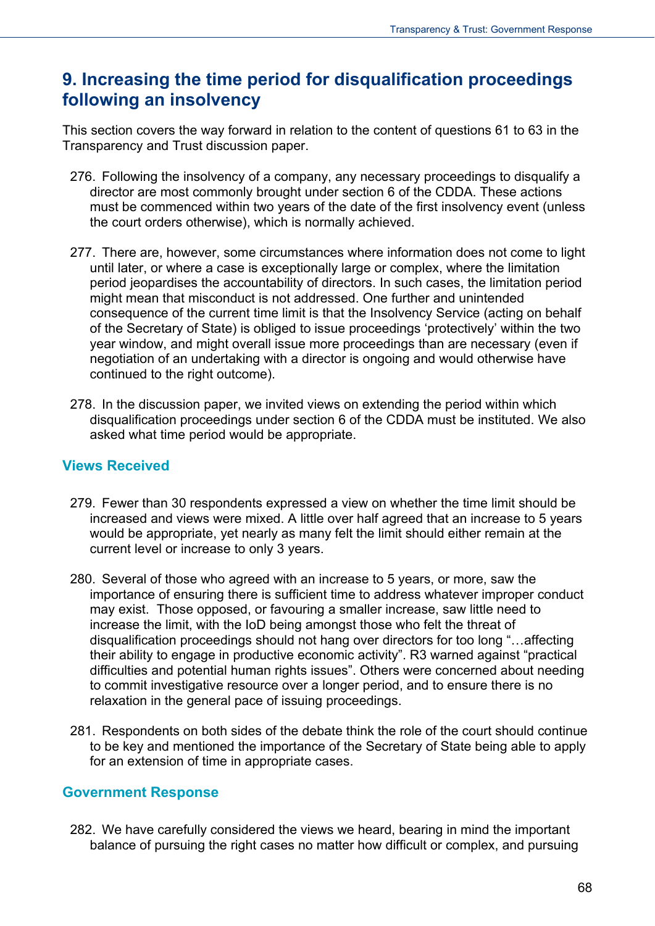## **9. Increasing the time period for disqualification proceedings following an insolvency**

This section covers the way forward in relation to the content of questions 61 to 63 in the Transparency and Trust discussion paper.

- 276. Following the insolvency of a company, any necessary proceedings to disqualify a director are most commonly brought under section 6 of the CDDA. These actions must be commenced within two years of the date of the first insolvency event (unless the court orders otherwise), which is normally achieved.
- 277. There are, however, some circumstances where information does not come to light until later, or where a case is exceptionally large or complex, where the limitation period jeopardises the accountability of directors. In such cases, the limitation period might mean that misconduct is not addressed. One further and unintended consequence of the current time limit is that the Insolvency Service (acting on behalf of the Secretary of State) is obliged to issue proceedings 'protectively' within the two year window, and might overall issue more proceedings than are necessary (even if negotiation of an undertaking with a director is ongoing and would otherwise have continued to the right outcome).
- 278. In the discussion paper, we invited views on extending the period within which disqualification proceedings under section 6 of the CDDA must be instituted. We also asked what time period would be appropriate.

#### **Views Received**

- 279. Fewer than 30 respondents expressed a view on whether the time limit should be increased and views were mixed. A little over half agreed that an increase to 5 years would be appropriate, yet nearly as many felt the limit should either remain at the current level or increase to only 3 years.
- 280. Several of those who agreed with an increase to 5 years, or more, saw the importance of ensuring there is sufficient time to address whatever improper conduct may exist. Those opposed, or favouring a smaller increase, saw little need to increase the limit, with the IoD being amongst those who felt the threat of disqualification proceedings should not hang over directors for too long "…affecting their ability to engage in productive economic activity". R3 warned against "practical difficulties and potential human rights issues". Others were concerned about needing to commit investigative resource over a longer period, and to ensure there is no relaxation in the general pace of issuing proceedings.
- 281. Respondents on both sides of the debate think the role of the court should continue to be key and mentioned the importance of the Secretary of State being able to apply for an extension of time in appropriate cases.

#### **Government Response**

282. We have carefully considered the views we heard, bearing in mind the important balance of pursuing the right cases no matter how difficult or complex, and pursuing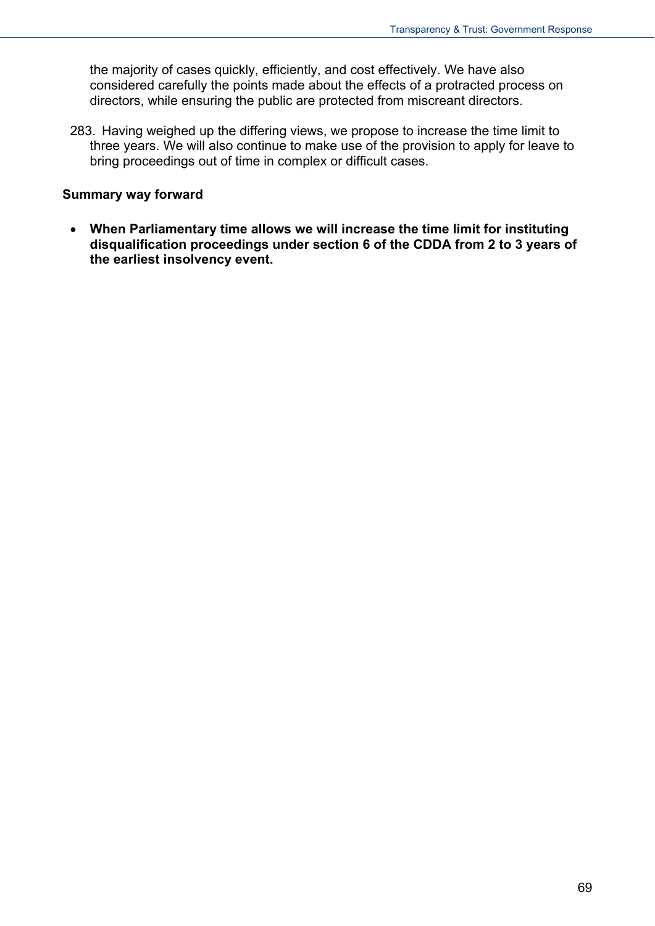the majority of cases quickly, efficiently, and cost effectively. We have also considered carefully the points made about the effects of a protracted process on directors, while ensuring the public are protected from miscreant directors.

283. Having weighed up the differing views, we propose to increase the time limit to three years. We will also continue to make use of the provision to apply for leave to bring proceedings out of time in complex or difficult cases.

#### **Summary way forward**

 **When Parliamentary time allows we will increase the time limit for instituting disqualification proceedings under section 6 of the CDDA from 2 to 3 years of the earliest insolvency event.**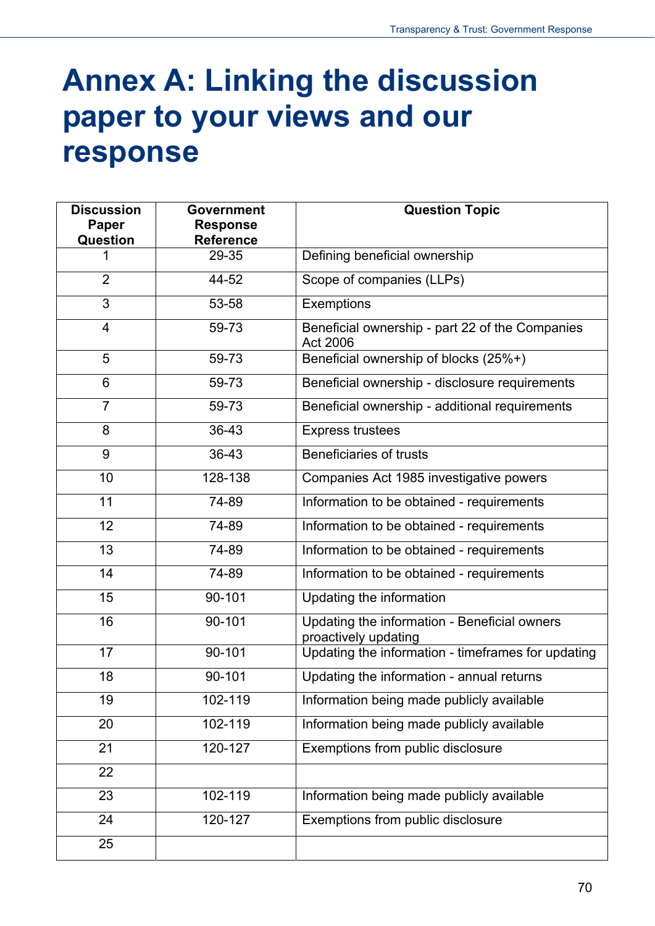# **Annex A: Linking the discussion paper to your views and our response**

| <b>Discussion</b><br><b>Paper</b> | <b>Government</b><br><b>Response</b> | <b>Question Topic</b>                                                |
|-----------------------------------|--------------------------------------|----------------------------------------------------------------------|
| <b>Question</b>                   | <b>Reference</b>                     |                                                                      |
| 1                                 | 29-35                                | Defining beneficial ownership                                        |
| $\overline{2}$                    | 44-52                                | Scope of companies (LLPs)                                            |
| 3                                 | 53-58                                | Exemptions                                                           |
| $\overline{4}$                    | 59-73                                | Beneficial ownership - part 22 of the Companies<br>Act 2006          |
| 5                                 | 59-73                                | Beneficial ownership of blocks (25%+)                                |
| $6\phantom{1}$                    | 59-73                                | Beneficial ownership - disclosure requirements                       |
| $\overline{7}$                    | 59-73                                | Beneficial ownership - additional requirements                       |
| 8                                 | 36-43                                | <b>Express trustees</b>                                              |
| 9                                 | 36-43                                | Beneficiaries of trusts                                              |
| 10                                | 128-138                              | Companies Act 1985 investigative powers                              |
| 11                                | 74-89                                | Information to be obtained - requirements                            |
| 12                                | 74-89                                | Information to be obtained - requirements                            |
| 13                                | 74-89                                | Information to be obtained - requirements                            |
| 14                                | 74-89                                | Information to be obtained - requirements                            |
| 15                                | 90-101                               | Updating the information                                             |
| 16                                | 90-101                               | Updating the information - Beneficial owners<br>proactively updating |
| 17                                | 90-101                               | Updating the information - timeframes for updating                   |
| 18                                | 90-101                               | Updating the information - annual returns                            |
| 19                                | 102-119                              | Information being made publicly available                            |
| 20                                | 102-119                              | Information being made publicly available                            |
| 21                                | 120-127                              | Exemptions from public disclosure                                    |
| 22                                |                                      |                                                                      |
| 23                                | 102-119                              | Information being made publicly available                            |
| 24                                | 120-127                              | Exemptions from public disclosure                                    |
| 25                                |                                      |                                                                      |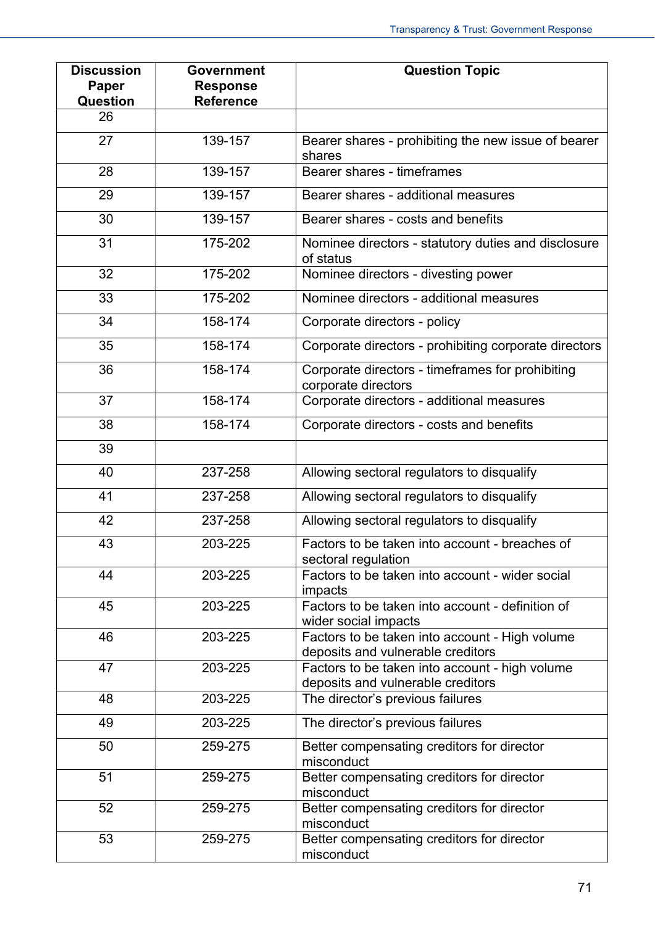| <b>Discussion</b><br>Paper<br><b>Question</b> | <b>Government</b><br><b>Response</b><br><b>Reference</b> | <b>Question Topic</b>                                                               |
|-----------------------------------------------|----------------------------------------------------------|-------------------------------------------------------------------------------------|
| 26                                            |                                                          |                                                                                     |
| 27                                            | 139-157                                                  | Bearer shares - prohibiting the new issue of bearer<br>shares                       |
| 28                                            | 139-157                                                  | Bearer shares - timeframes                                                          |
| 29                                            | 139-157                                                  | Bearer shares - additional measures                                                 |
| 30                                            | 139-157                                                  | Bearer shares - costs and benefits                                                  |
| 31                                            | 175-202                                                  | Nominee directors - statutory duties and disclosure<br>of status                    |
| 32                                            | 175-202                                                  | Nominee directors - divesting power                                                 |
| 33                                            | 175-202                                                  | Nominee directors - additional measures                                             |
| 34                                            | 158-174                                                  | Corporate directors - policy                                                        |
| 35                                            | 158-174                                                  | Corporate directors - prohibiting corporate directors                               |
| 36                                            | 158-174                                                  | Corporate directors - timeframes for prohibiting<br>corporate directors             |
| 37                                            | 158-174                                                  | Corporate directors - additional measures                                           |
| 38                                            | 158-174                                                  | Corporate directors - costs and benefits                                            |
| 39                                            |                                                          |                                                                                     |
| 40                                            | 237-258                                                  | Allowing sectoral regulators to disqualify                                          |
| 41                                            | 237-258                                                  | Allowing sectoral regulators to disqualify                                          |
| 42                                            | 237-258                                                  | Allowing sectoral regulators to disqualify                                          |
| 43                                            | 203-225                                                  | Factors to be taken into account - breaches of<br>sectoral regulation               |
| 44                                            | 203-225                                                  | Factors to be taken into account - wider social<br>impacts                          |
| 45                                            | 203-225                                                  | Factors to be taken into account - definition of<br>wider social impacts            |
| 46                                            | 203-225                                                  | Factors to be taken into account - High volume<br>deposits and vulnerable creditors |
| 47                                            | 203-225                                                  | Factors to be taken into account - high volume<br>deposits and vulnerable creditors |
| 48                                            | 203-225                                                  | The director's previous failures                                                    |
| 49                                            | 203-225                                                  | The director's previous failures                                                    |
| 50                                            | 259-275                                                  | Better compensating creditors for director<br>misconduct                            |
| 51                                            | 259-275                                                  | Better compensating creditors for director<br>misconduct                            |
| 52                                            | 259-275                                                  | Better compensating creditors for director<br>misconduct                            |
| 53                                            | 259-275                                                  | Better compensating creditors for director<br>misconduct                            |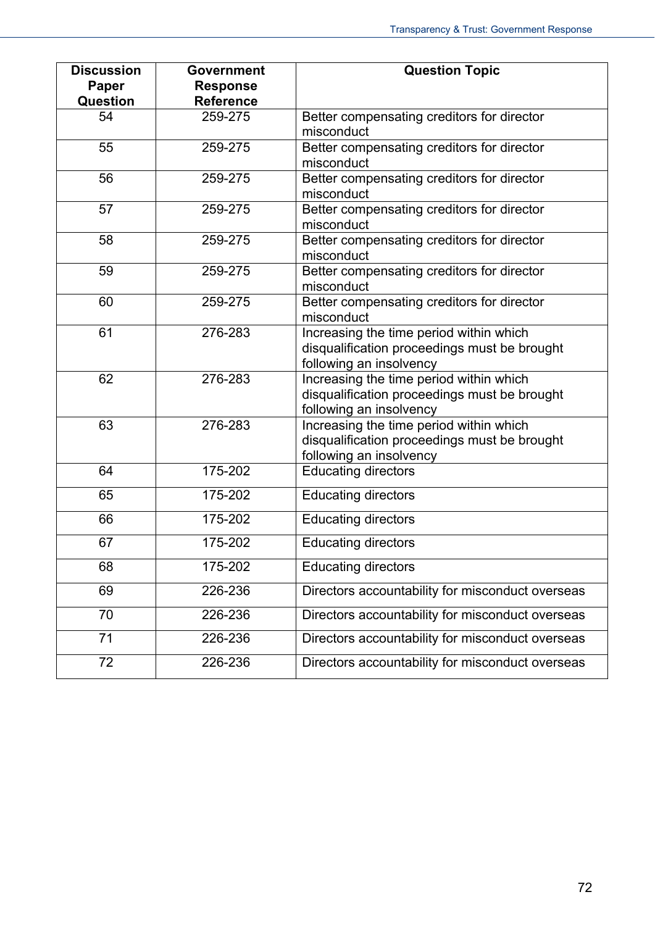| <b>Discussion</b> | <b>Government</b> | <b>Question Topic</b>                                 |
|-------------------|-------------------|-------------------------------------------------------|
| Paper             | <b>Response</b>   |                                                       |
| <b>Question</b>   | <b>Reference</b>  |                                                       |
| 54                | 259-275           | Better compensating creditors for director            |
|                   |                   | misconduct                                            |
| 55                | 259-275           | Better compensating creditors for director            |
|                   |                   | misconduct                                            |
| 56                | 259-275           | Better compensating creditors for director            |
|                   |                   | misconduct                                            |
| 57                | 259-275           | Better compensating creditors for director            |
|                   |                   | misconduct                                            |
| 58                | 259-275           | Better compensating creditors for director            |
|                   |                   | misconduct                                            |
| 59                | 259-275           | Better compensating creditors for director            |
|                   |                   | misconduct                                            |
| 60                | 259-275           | Better compensating creditors for director            |
|                   |                   | misconduct                                            |
| 61                | 276-283           | Increasing the time period within which               |
|                   |                   | disqualification proceedings must be brought          |
|                   |                   | following an insolvency                               |
| 62                | 276-283           | Increasing the time period within which               |
|                   |                   | disqualification proceedings must be brought          |
|                   |                   | following an insolvency                               |
| 63                | 276-283           | Increasing the time period within which               |
|                   |                   | disqualification proceedings must be brought          |
| 64                | 175-202           | following an insolvency<br><b>Educating directors</b> |
|                   |                   |                                                       |
| 65                | 175-202           | <b>Educating directors</b>                            |
| 66                | 175-202           | <b>Educating directors</b>                            |
| 67                | 175-202           | <b>Educating directors</b>                            |
| 68                | 175-202           | <b>Educating directors</b>                            |
| 69                | 226-236           | Directors accountability for misconduct overseas      |
| 70                | 226-236           | Directors accountability for misconduct overseas      |
| 71                | 226-236           | Directors accountability for misconduct overseas      |
| 72                | 226-236           | Directors accountability for misconduct overseas      |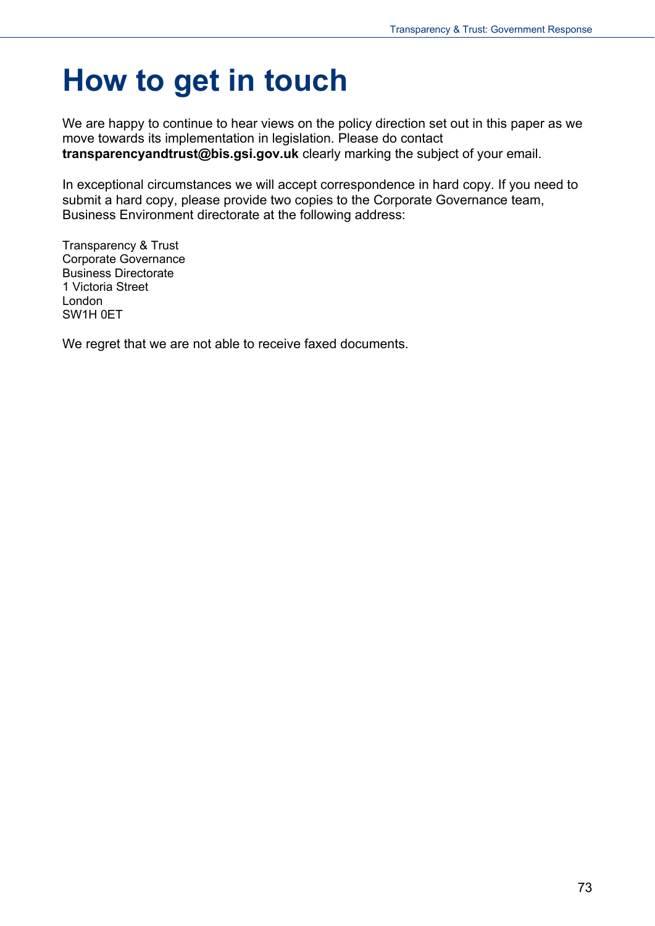## **How to get in touch**

We are happy to continue to hear views on the policy direction set out in this paper as we move towards its implementation in legislation. Please do contact **transparencyandtrust@bis.gsi.gov.uk** clearly marking the subject of your email.

In exceptional circumstances we will accept correspondence in hard copy. If you need to submit a hard copy, please provide two copies to the Corporate Governance team, Business Environment directorate at the following address:

Transparency & Trust Corporate Governance Business Directorate 1 Victoria Street London SW1H 0ET

We regret that we are not able to receive faxed documents.